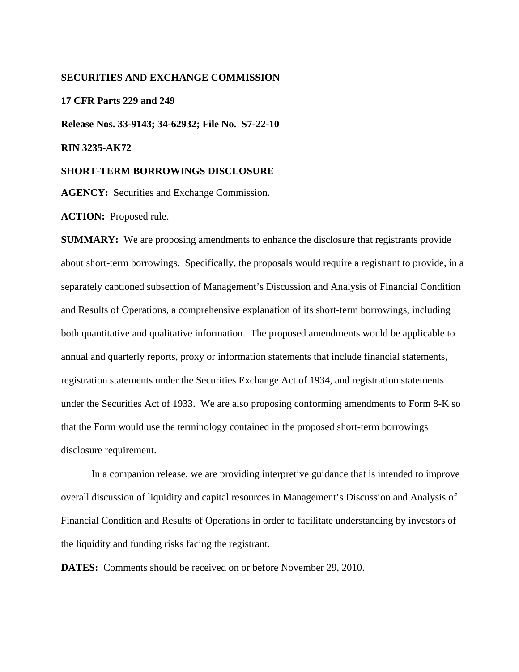## **SECURITIES AND EXCHANGE COMMISSION**

### **17 CFR Parts 229 and 249**

**Release Nos. 33-9143; 34-62932; File No. S7-22-10** 

**RIN 3235-AK72** 

#### **SHORT-TERM BORROWINGS DISCLOSURE**

**AGENCY:** Securities and Exchange Commission.

**ACTION:** Proposed rule.

**SUMMARY:** We are proposing amendments to enhance the disclosure that registrants provide about short-term borrowings. Specifically, the proposals would require a registrant to provide, in a separately captioned subsection of Management's Discussion and Analysis of Financial Condition and Results of Operations, a comprehensive explanation of its short-term borrowings, including both quantitative and qualitative information. The proposed amendments would be applicable to annual and quarterly reports, proxy or information statements that include financial statements, registration statements under the Securities Exchange Act of 1934, and registration statements under the Securities Act of 1933. We are also proposing conforming amendments to Form 8-K so that the Form would use the terminology contained in the proposed short-term borrowings disclosure requirement.

In a companion release, we are providing interpretive guidance that is intended to improve overall discussion of liquidity and capital resources in Management's Discussion and Analysis of Financial Condition and Results of Operations in order to facilitate understanding by investors of the liquidity and funding risks facing the registrant.

**DATES:** Comments should be received on or before November 29, 2010.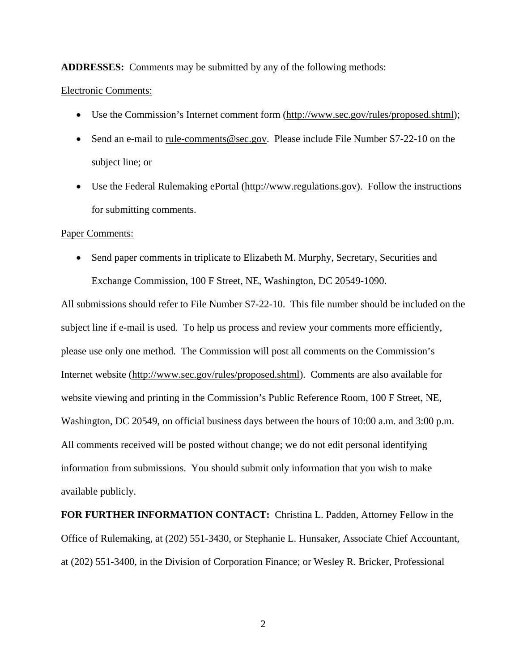**ADDRESSES:** Comments may be submitted by any of the following methods:

## Electronic Comments:

- Use the Commission's Internet comment form (http://www.sec.gov/rules/proposed.shtml);
- Send an e-mail to rule-comments@sec.gov. Please include File Number S7-22-10 on the subject line; or
- Use the Federal Rulemaking ePortal (http://www.regulations.gov). Follow the instructions for submitting comments.

## Paper Comments:

• Send paper comments in triplicate to Elizabeth M. Murphy, Secretary, Securities and Exchange Commission, 100 F Street, NE, Washington, DC 20549-1090.

All submissions should refer to File Number S7-22-10. This file number should be included on the subject line if e-mail is used. To help us process and review your comments more efficiently, please use only one method. The Commission will post all comments on the Commission's Internet website (http://www.sec.gov/rules/proposed.shtml). Comments are also available for website viewing and printing in the Commission's Public Reference Room, 100 F Street, NE, Washington, DC 20549, on official business days between the hours of 10:00 a.m. and 3:00 p.m. All comments received will be posted without change; we do not edit personal identifying information from submissions. You should submit only information that you wish to make available publicly.

**FOR FURTHER INFORMATION CONTACT:** Christina L. Padden, Attorney Fellow in the Office of Rulemaking, at (202) 551-3430, or Stephanie L. Hunsaker, Associate Chief Accountant, at (202) 551-3400, in the Division of Corporation Finance; or Wesley R. Bricker, Professional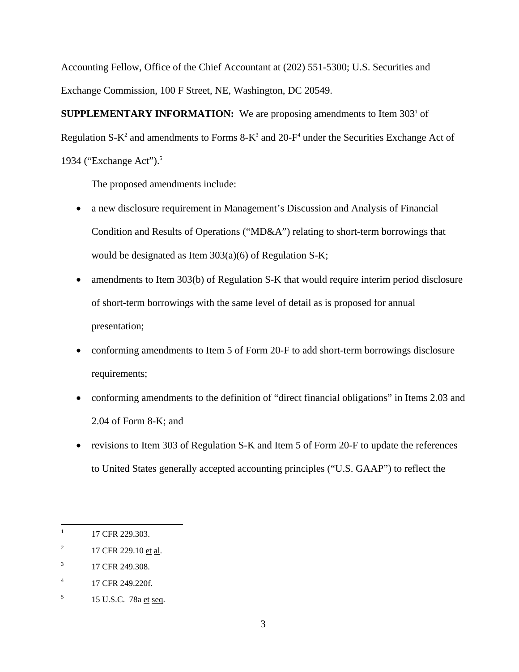Accounting Fellow, Office of the Chief Accountant at (202) 551-5300; U.S. Securities and Exchange Commission, 100 F Street, NE, Washington, DC 20549.

**SUPPLEMENTARY INFORMATION:** We are proposing amendments to Item 303<sup>1</sup> of Regulation S- $K^2$  and amendments to Forms 8- $K^3$  and 20- $F^4$  under the Securities Exchange Act of 1934 ("Exchange Act").<sup>5</sup>

The proposed amendments include:

- a new disclosure requirement in Management's Discussion and Analysis of Financial Condition and Results of Operations ("MD&A") relating to short-term borrowings that would be designated as Item 303(a)(6) of Regulation S-K;
- amendments to Item 303(b) of Regulation S-K that would require interim period disclosure of short-term borrowings with the same level of detail as is proposed for annual presentation;
- conforming amendments to Item 5 of Form 20-F to add short-term borrowings disclosure requirements;
- conforming amendments to the definition of "direct financial obligations" in Items 2.03 and 2.04 of Form 8-K; and
- revisions to Item 303 of Regulation S-K and Item 5 of Form 20-F to update the references to United States generally accepted accounting principles ("U.S. GAAP") to reflect the

 $\overline{a}$ 

<sup>17</sup> CFR 229.303.

 $\overline{c}$ 17 CFR 229.10 et al.

 $\overline{3}$ 3 17 CFR 249.308.

 $\overline{4}$ 17 CFR 249.220f.

<sup>5</sup> 5 15 U.S.C. 78a et seq.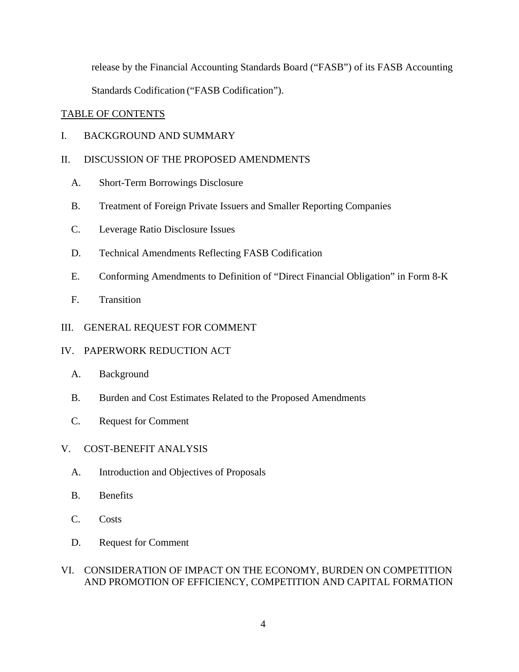release by the Financial Accounting Standards Board ("FASB") of its FASB Accounting Standards Codification ("FASB Codification").

# TABLE OF CONTENTS

I. BACKGROUND AND SUMMARY

# II. DISCUSSION OF THE PROPOSED AMENDMENTS

- A. Short-Term Borrowings Disclosure
- B. Treatment of Foreign Private Issuers and Smaller Reporting Companies
- C. Leverage Ratio Disclosure Issues
- D. Technical Amendments Reflecting FASB Codification
- E. Conforming Amendments to Definition of "Direct Financial Obligation" in Form 8-K
- F. Transition

# III. GENERAL REQUEST FOR COMMENT

# IV. PAPERWORK REDUCTION ACT

- A. Background
- B. Burden and Cost Estimates Related to the Proposed Amendments
- C. Request for Comment

# V. COST-BENEFIT ANALYSIS

- A. Introduction and Objectives of Proposals
- B. Benefits
- C. Costs
- D. Request for Comment

# VI. CONSIDERATION OF IMPACT ON THE ECONOMY, BURDEN ON COMPETITION AND PROMOTION OF EFFICIENCY, COMPETITION AND CAPITAL FORMATION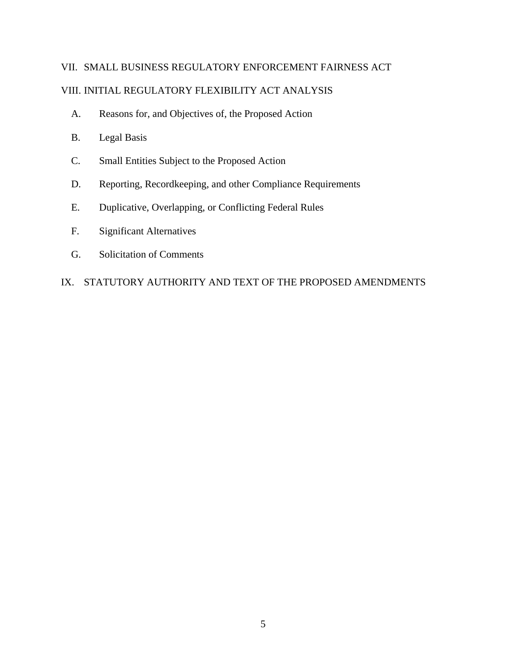# VII. SMALL BUSINESS REGULATORY ENFORCEMENT FAIRNESS ACT

# VIII. INITIAL REGULATORY FLEXIBILITY ACT ANALYSIS

- A. Reasons for, and Objectives of, the Proposed Action
- B. Legal Basis
- C. Small Entities Subject to the Proposed Action
- D. Reporting, Recordkeeping, and other Compliance Requirements
- E. Duplicative, Overlapping, or Conflicting Federal Rules
- F. Significant Alternatives
- G. Solicitation of Comments

# IX. STATUTORY AUTHORITY AND TEXT OF THE PROPOSED AMENDMENTS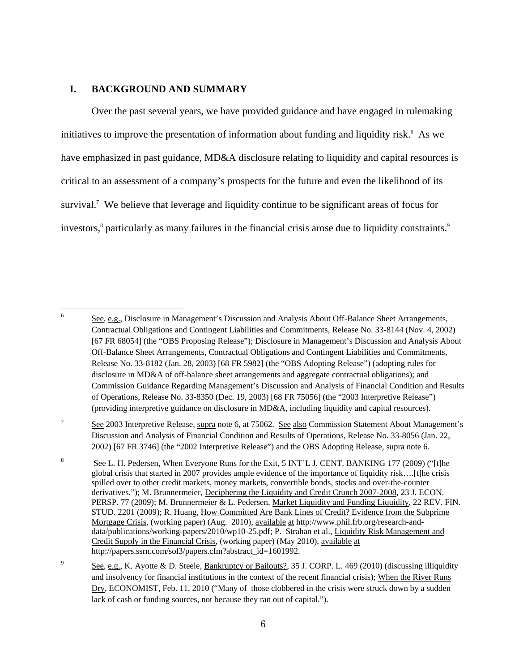# **I. BACKGROUND AND SUMMARY**

 $\overline{a}$ 

Over the past several years, we have provided guidance and have engaged in rulemaking initiatives to improve the presentation of information about funding and liquidity risk.<sup>6</sup> As we have emphasized in past guidance, MD&A disclosure relating to liquidity and capital resources is critical to an assessment of a company's prospects for the future and even the likelihood of its survival.<sup>7</sup> We believe that leverage and liquidity continue to be significant areas of focus for investors,<sup>8</sup> particularly as many failures in the financial crisis arose due to liquidity constraints.<sup>9</sup>

 Contractual Obligations and Contingent Liabilities and Commitments, Release No. 33-8144 (Nov. 4, 2002) [67 FR 68054] (the "OBS Proposing Release"); Disclosure in Management's Discussion and Analysis About disclosure in MD&A of off-balance sheet arrangements and aggregate contractual obligations); and See, e.g., Disclosure in Management's Discussion and Analysis About Off-Balance Sheet Arrangements, Off-Balance Sheet Arrangements, Contractual Obligations and Contingent Liabilities and Commitments, Release No. 33-8182 (Jan. 28, 2003) [68 FR 5982] (the "OBS Adopting Release") (adopting rules for Commission Guidance Regarding Management's Discussion and Analysis of Financial Condition and Results of Operations, Release No. 33-8350 (Dec. 19, 2003) [68 FR 75056] (the "2003 Interpretive Release") (providing interpretive guidance on disclosure in MD&A, including liquidity and capital resources).

 $\boldsymbol{7}$ See 2003 Interpretive Release, supra note 6, at 75062. See also Commission Statement About Management's Discussion and Analysis of Financial Condition and Results of Operations, Release No. 33-8056 (Jan. 22, 2002) [67 FR 3746] (the "2002 Interpretive Release") and the OBS Adopting Release, supra note 6.

 $\bf 8$  spilled over to other credit markets, money markets, convertible bonds, stocks and over-the-counter See L. H. Pedersen, When Everyone Runs for the Exit, 5 INT'L J. CENT. BANKING 177 (2009) ("[t]he global crisis that started in 2007 provides ample evidence of the importance of liquidity risk….[t]he crisis derivatives."); M. Brunnermeier, Deciphering the Liquidity and Credit Crunch 2007-2008, 23 J. ECON. PERSP. 77 (2009); M. Brunnermeier & L. Pedersen, Market Liquidity and Funding Liquidity, 22 REV. FIN. STUD. 2201 (2009); R. Huang, How Committed Are Bank Lines of Credit? Evidence from the Subprime Mortgage Crisis, (working paper) (Aug. 2010), available at http://www.phil.frb.org/research-anddata/publications/working-papers/2010/wp10-25.pdf; P. Strahan et al., Liquidity Risk Management and Credit Supply in the Financial Crisis, (working paper) (May 2010), available at http://papers.ssrn.com/sol3/papers.cfm?abstract\_id=1601992.

 $\mathbf{Q}$ Dry, ECONOMIST, Feb. 11, 2010 ("Many of those clobbered in the crisis were struck down by a sudden lack of cash or funding sources, not because they ran out of capital."). See, e.g., K. Ayotte & D. Steele, Bankruptcy or Bailouts?, 35 J. CORP. L. 469 (2010) (discussing illiquidity and insolvency for financial institutions in the context of the recent financial crisis); When the River Runs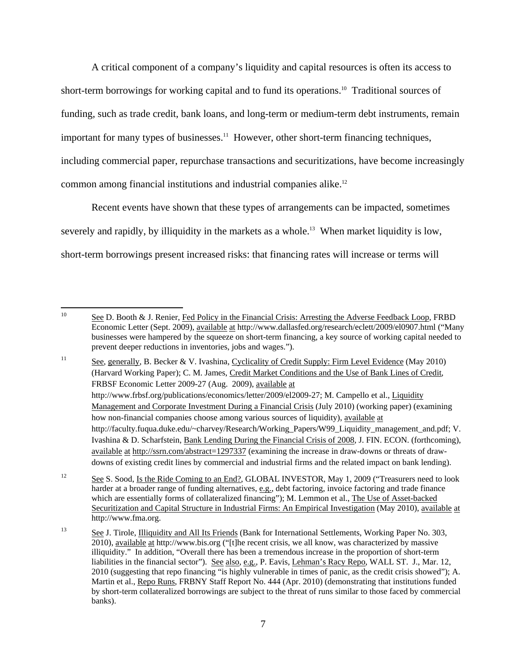A critical component of a company's liquidity and capital resources is often its access to short-term borrowings for working capital and to fund its operations.<sup>10</sup> Traditional sources of funding, such as trade credit, bank loans, and long-term or medium-term debt instruments, remain important for many types of businesses.<sup>11</sup> However, other short-term financing techniques, including commercial paper, repurchase transactions and securitizations, have become increasingly common among financial institutions and industrial companies alike.12

Recent events have shown that these types of arrangements can be impacted, sometimes severely and rapidly, by illiquidity in the markets as a whole.<sup>13</sup> When market liquidity is low, short-term borrowings present increased risks: that financing rates will increase or terms will

 $\overline{a}$ See D. Booth & J. Renier, Fed Policy in the Financial Crisis: Arresting the Adverse Feedback Loop, FRBD Economic Letter (Sept. 2009), available at http://www.dallasfed.org/research/eclett/2009/el0907.html ("Many businesses were hampered by the squeeze on short-term financing, a key source of working capital needed to prevent deeper reductions in inventories, jobs and wages.").

 $11\,$  Management and Corporate Investment During a Financial Crisis (July 2010) (working paper) (examining See, generally, B. Becker & V. Ivashina, Cyclicality of Credit Supply: Firm Level Evidence (May 2010) (Harvard Working Paper); C. M. James, Credit Market Conditions and the Use of Bank Lines of Credit, FRBSF Economic Letter 2009-27 (Aug. 2009), available at http://www.frbsf.org/publications/economics/letter/2009/el2009-27; M. Campello et al., Liquidity how non-financial companies choose among various sources of liquidity), available at http://faculty.fuqua.duke.edu/~charvey/Research/Working\_Papers/W99\_Liquidity\_management\_and.pdf; V. Ivashina & D. Scharfstein, Bank Lending During the Financial Crisis of 2008, J. FIN. ECON. (forthcoming), available at http://ssrn.com/abstract=1297337 (examining the increase in draw-downs or threats of drawdowns of existing credit lines by commercial and industrial firms and the related impact on bank lending).

 $12$ See S. Sood, Is the Ride Coming to an End?, GLOBAL INVESTOR, May 1, 2009 ("Treasurers need to look harder at a broader range of funding alternatives, e.g., debt factoring, invoice factoring and trade finance which are essentially forms of collateralized financing"); M. Lemmon et al., The Use of Asset-backed Securitization and Capital Structure in Industrial Firms: An Empirical Investigation (May 2010), available at http://www.fma.org.

<sup>13</sup> See J. Tirole, Illiquidity and All Its Friends (Bank for International Settlements, Working Paper No. 303, 2010), available at http://www.bis.org ("[t]he recent crisis, we all know, was characterized by massive illiquidity." In addition, "Overall there has been a tremendous increase in the proportion of short-term liabilities in the financial sector"). See also, e.g., P. Eavis, Lehman's Racy Repo, WALL ST. J., Mar. 12, 2010 (suggesting that repo financing "is highly vulnerable in times of panic, as the credit crisis showed"); A. Martin et al., Repo Runs, FRBNY Staff Report No. 444 (Apr. 2010) (demonstrating that institutions funded by short-term collateralized borrowings are subject to the threat of runs similar to those faced by commercial banks).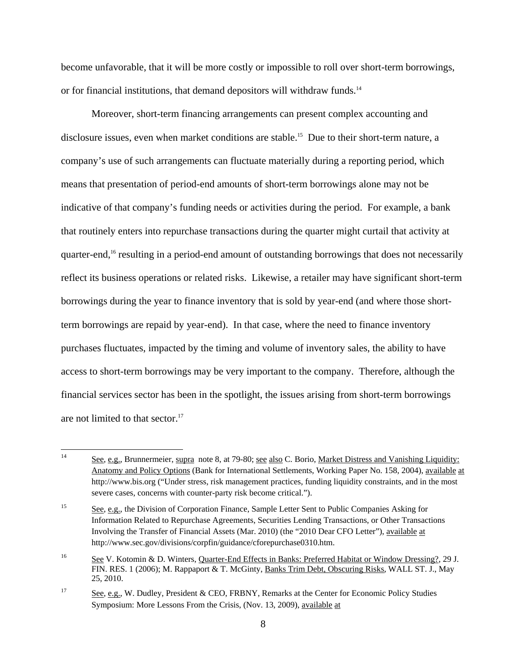become unfavorable, that it will be more costly or impossible to roll over short-term borrowings, or for financial institutions, that demand depositors will withdraw funds.<sup>14</sup>

Moreover, short-term financing arrangements can present complex accounting and disclosure issues, even when market conditions are stable.<sup>15</sup> Due to their short-term nature, a company's use of such arrangements can fluctuate materially during a reporting period, which means that presentation of period-end amounts of short-term borrowings alone may not be indicative of that company's funding needs or activities during the period. For example, a bank that routinely enters into repurchase transactions during the quarter might curtail that activity at quarter-end,<sup>16</sup> resulting in a period-end amount of outstanding borrowings that does not necessarily reflect its business operations or related risks. Likewise, a retailer may have significant short-term borrowings during the year to finance inventory that is sold by year-end (and where those shortterm borrowings are repaid by year-end). In that case, where the need to finance inventory purchases fluctuates, impacted by the timing and volume of inventory sales, the ability to have access to short-term borrowings may be very important to the company. Therefore, although the financial services sector has been in the spotlight, the issues arising from short-term borrowings are not limited to that sector.<sup>17</sup>

<u>.</u>

See, e.g., Brunnermeier, supra note 8, at 79-80; see also C. Borio, Market Distress and Vanishing Liquidity: Anatomy and Policy Options (Bank for International Settlements, Working Paper No. 158, 2004), available at http://www.bis.org ("Under stress, risk management practices, funding liquidity constraints, and in the most severe cases, concerns with counter-party risk become critical.").

<sup>15</sup> See, e.g., the Division of Corporation Finance, Sample Letter Sent to Public Companies Asking for Information Related to Repurchase Agreements, Securities Lending Transactions, or Other Transactions Involving the Transfer of Financial Assets (Mar. 2010) (the "2010 Dear CFO Letter"), available at http://www.sec.gov/divisions/corpfin/guidance/cforepurchase0310.htm.

<sup>16</sup> See V. Kotomin & D. Winters, Quarter-End Effects in Banks: Preferred Habitat or Window Dressing?, 29 J. FIN. RES. 1 (2006); M. Rappaport & T. McGinty, Banks Trim Debt, Obscuring Risks, WALL ST. J., May 25, 2010.

<sup>17</sup> See, e.g., W. Dudley, President & CEO, FRBNY, Remarks at the Center for Economic Policy Studies Symposium: More Lessons From the Crisis, (Nov. 13, 2009), available at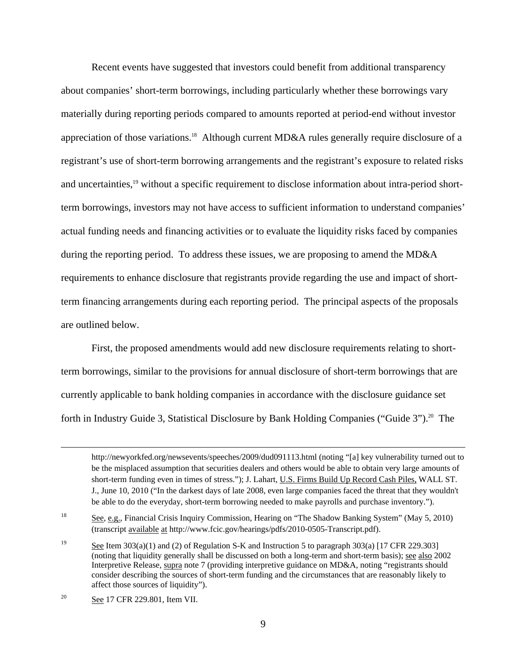Recent events have suggested that investors could benefit from additional transparency about companies' short-term borrowings, including particularly whether these borrowings vary materially during reporting periods compared to amounts reported at period-end without investor appreciation of those variations.<sup>18</sup> Although current MD&A rules generally require disclosure of a registrant's use of short-term borrowing arrangements and the registrant's exposure to related risks and uncertainties,<sup>19</sup> without a specific requirement to disclose information about intra-period shortterm borrowings, investors may not have access to sufficient information to understand companies' actual funding needs and financing activities or to evaluate the liquidity risks faced by companies during the reporting period. To address these issues, we are proposing to amend the MD&A requirements to enhance disclosure that registrants provide regarding the use and impact of shortterm financing arrangements during each reporting period. The principal aspects of the proposals are outlined below.

First, the proposed amendments would add new disclosure requirements relating to shortterm borrowings, similar to the provisions for annual disclosure of short-term borrowings that are currently applicable to bank holding companies in accordance with the disclosure guidance set forth in Industry Guide 3, Statistical Disclosure by Bank Holding Companies ("Guide 3").<sup>20</sup> The

 $18\,$ See, e.g., Financial Crisis Inquiry Commission, Hearing on "The Shadow Banking System" (May 5, 2010) (transcript available at http://www.fcic.gov/hearings/pdfs/2010-0505-Transcript.pdf).

 be the misplaced assumption that securities dealers and others would be able to obtain very large amounts of http://newyorkfed.org/newsevents/speeches/2009/dud091113.html (noting "[a] key vulnerability turned out to short-term funding even in times of stress."); J. Lahart, U.S. Firms Build Up Record Cash Piles, WALL ST. J., June 10, 2010 ("In the darkest days of late 2008, even large companies faced the threat that they wouldn't be able to do the everyday, short-term borrowing needed to make payrolls and purchase inventory.").

<sup>19</sup> See Item 303(a)(1) and (2) of Regulation S-K and Instruction 5 to paragraph 303(a) [17 CFR 229.303] (noting that liquidity generally shall be discussed on both a long-term and short-term basis); see also 2002 Interpretive Release, supra note 7 (providing interpretive guidance on MD&A, noting "registrants should consider describing the sources of short-term funding and the circumstances that are reasonably likely to affect those sources of liquidity").

<sup>20</sup> See 17 CFR 229.801, Item VII.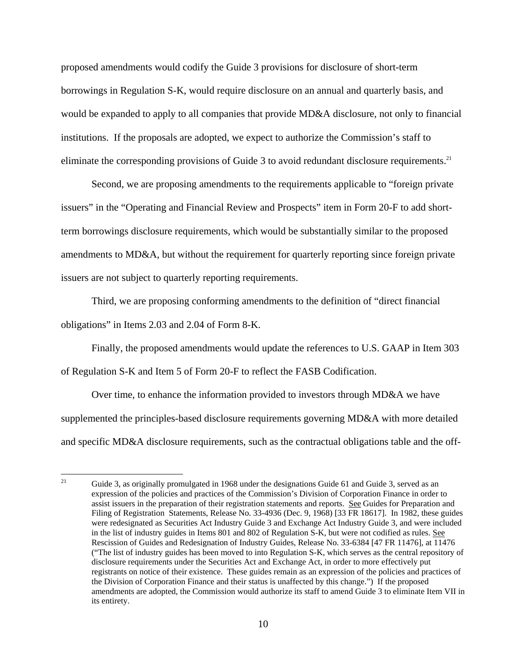proposed amendments would codify the Guide 3 provisions for disclosure of short-term borrowings in Regulation S-K, would require disclosure on an annual and quarterly basis, and would be expanded to apply to all companies that provide MD&A disclosure, not only to financial institutions. If the proposals are adopted, we expect to authorize the Commission's staff to eliminate the corresponding provisions of Guide 3 to avoid redundant disclosure requirements.<sup>21</sup>

Second, we are proposing amendments to the requirements applicable to "foreign private issuers" in the "Operating and Financial Review and Prospects" item in Form 20-F to add shortterm borrowings disclosure requirements, which would be substantially similar to the proposed amendments to MD&A, but without the requirement for quarterly reporting since foreign private issuers are not subject to quarterly reporting requirements.

Third, we are proposing conforming amendments to the definition of "direct financial obligations" in Items 2.03 and 2.04 of Form 8-K.

Finally, the proposed amendments would update the references to U.S. GAAP in Item 303

of Regulation S-K and Item 5 of Form 20-F to reflect the FASB Codification.

1

Over time, to enhance the information provided to investors through MD&A we have supplemented the principles-based disclosure requirements governing MD&A with more detailed and specific MD&A disclosure requirements, such as the contractual obligations table and the off-

 21 Filing of Registration Statements, Release No. 33-4936 (Dec. 9, 1968) [33 FR 18617]. In 1982, these guides Rescission of Guides and Redesignation of Industry Guides, Release No. 33-6384 [47 FR 11476], at 11476 Guide 3, as originally promulgated in 1968 under the designations Guide 61 and Guide 3, served as an expression of the policies and practices of the Commission's Division of Corporation Finance in order to assist issuers in the preparation of their registration statements and reports. See Guides for Preparation and were redesignated as Securities Act Industry Guide 3 and Exchange Act Industry Guide 3, and were included in the list of industry guides in Items 801 and 802 of Regulation S-K, but were not codified as rules. See ("The list of industry guides has been moved to into Regulation S-K, which serves as the central repository of disclosure requirements under the Securities Act and Exchange Act, in order to more effectively put registrants on notice of their existence. These guides remain as an expression of the policies and practices of the Division of Corporation Finance and their status is unaffected by this change.") If the proposed amendments are adopted, the Commission would authorize its staff to amend Guide 3 to eliminate Item VII in its entirety.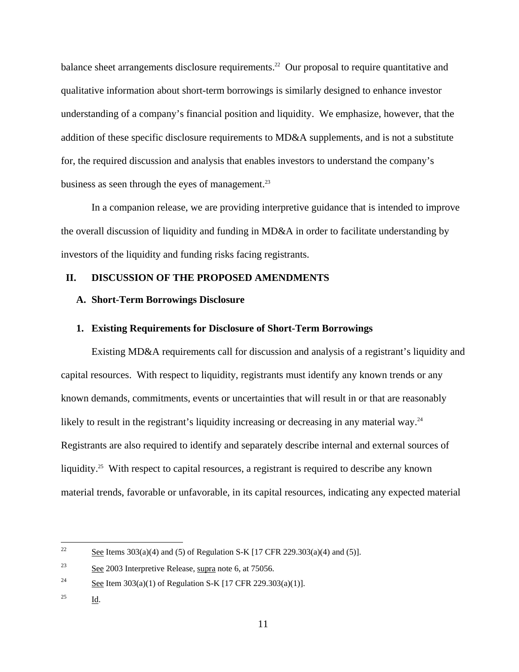business as seen through the eyes of management. $^{23}$ balance sheet arrangements disclosure requirements.<sup>22</sup> Our proposal to require quantitative and qualitative information about short-term borrowings is similarly designed to enhance investor understanding of a company's financial position and liquidity. We emphasize, however, that the addition of these specific disclosure requirements to MD&A supplements, and is not a substitute for, the required discussion and analysis that enables investors to understand the company's

In a companion release, we are providing interpretive guidance that is intended to improve the overall discussion of liquidity and funding in MD&A in order to facilitate understanding by investors of the liquidity and funding risks facing registrants.

# **II. DISCUSSION OF THE PROPOSED AMENDMENTS**

# **A. Short-Term Borrowings Disclosure**

## **1. Existing Requirements for Disclosure of Short-Term Borrowings**

Existing MD&A requirements call for discussion and analysis of a registrant's liquidity and capital resources. With respect to liquidity, registrants must identify any known trends or any known demands, commitments, events or uncertainties that will result in or that are reasonably likely to result in the registrant's liquidity increasing or decreasing in any material way.<sup>24</sup> Registrants are also required to identify and separately describe internal and external sources of liquidity.<sup>25</sup> With respect to capital resources, a registrant is required to describe any known material trends, favorable or unfavorable, in its capital resources, indicating any expected material

 $\overline{a}$ 

See Items  $303(a)(4)$  and (5) of Regulation S-K [17 CFR 229.303(a)(4) and (5)].

 $23\,$ See 2003 Interpretive Release, supra note 6, at 75056.

<sup>24</sup> See Item 303(a)(1) of Regulation S-K [17 CFR 229.303(a)(1)].

 $25$ Id.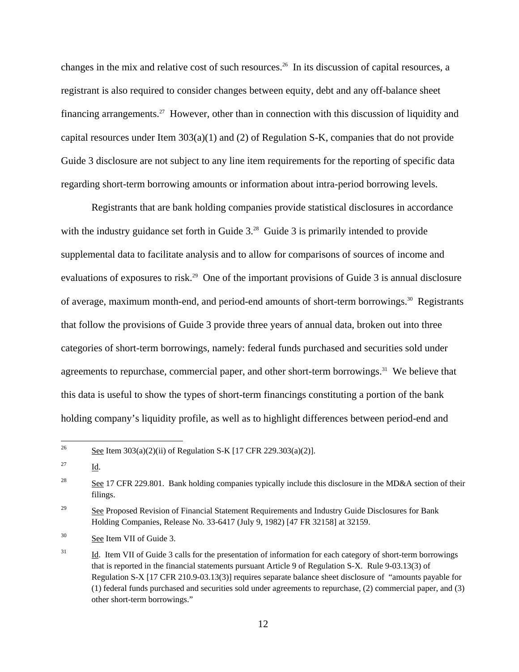changes in the mix and relative cost of such resources.26 In its discussion of capital resources, a registrant is also required to consider changes between equity, debt and any off-balance sheet financing arrangements.<sup>27</sup> However, other than in connection with this discussion of liquidity and capital resources under Item 303(a)(1) and (2) of Regulation S-K, companies that do not provide Guide 3 disclosure are not subject to any line item requirements for the reporting of specific data regarding short-term borrowing amounts or information about intra-period borrowing levels.

Registrants that are bank holding companies provide statistical disclosures in accordance with the industry guidance set forth in Guide 3.<sup>28</sup> Guide 3 is primarily intended to provide supplemental data to facilitate analysis and to allow for comparisons of sources of income and evaluations of exposures to risk.<sup>29</sup> One of the important provisions of Guide 3 is annual disclosure of average, maximum month-end, and period-end amounts of short-term borrowings.<sup>30</sup> Registrants that follow the provisions of Guide 3 provide three years of annual data, broken out into three categories of short-term borrowings, namely: federal funds purchased and securities sold under agreements to repurchase, commercial paper, and other short-term borrowings.<sup>31</sup> We believe that this data is useful to show the types of short-term financings constituting a portion of the bank holding company's liquidity profile, as well as to highlight differences between period-end and

 $\overline{a}$ 

See Item 303(a)(2)(ii) of Regulation S-K [17 CFR 229.303(a)(2)].

<sup>27</sup>  $Id.$ 

<sup>28</sup> See 17 CFR 229.801. Bank holding companies typically include this disclosure in the MD&A section of their filings.

<sup>29</sup> 29 See Proposed Revision of Financial Statement Requirements and Industry Guide Disclosures for Bank Holding Companies, Release No. 33-6417 (July 9, 1982) [47 FR 32158] at 32159.

 $30^{\circ}$ See Item VII of Guide 3.

 $31$  that is reported in the financial statements pursuant Article 9 of Regulation S-X. Rule 9-03.13(3) of 31 Id. Item VII of Guide 3 calls for the presentation of information for each category of short-term borrowings Regulation S-X [17 CFR 210.9-03.13(3)] requires separate balance sheet disclosure of "amounts payable for (1) federal funds purchased and securities sold under agreements to repurchase, (2) commercial paper, and (3) other short-term borrowings."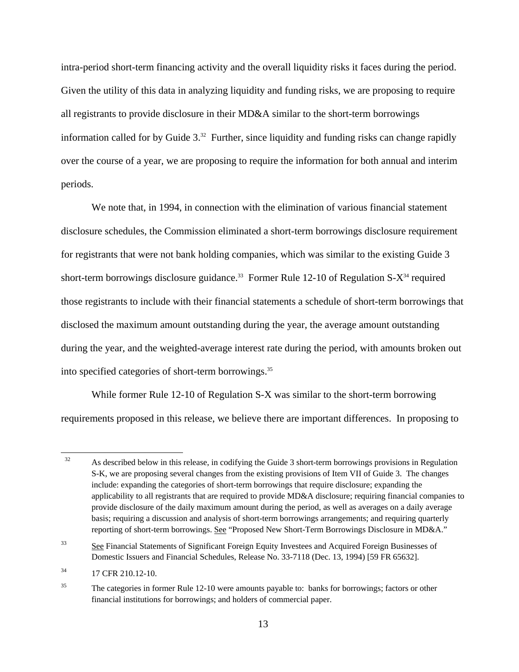intra-period short-term financing activity and the overall liquidity risks it faces during the period. Given the utility of this data in analyzing liquidity and funding risks, we are proposing to require all registrants to provide disclosure in their MD&A similar to the short-term borrowings information called for by Guide  $3<sup>32</sup>$  Further, since liquidity and funding risks can change rapidly over the course of a year, we are proposing to require the information for both annual and interim periods.

We note that, in 1994, in connection with the elimination of various financial statement disclosure schedules, the Commission eliminated a short-term borrowings disclosure requirement for registrants that were not bank holding companies, which was similar to the existing Guide 3 short-term borrowings disclosure guidance.<sup>33</sup> Former Rule 12-10 of Regulation S- $X^{34}$  required those registrants to include with their financial statements a schedule of short-term borrowings that disclosed the maximum amount outstanding during the year, the average amount outstanding during the year, and the weighted-average interest rate during the period, with amounts broken out into specified categories of short-term borrowings.35

While former Rule 12-10 of Regulation S-X was similar to the short-term borrowing requirements proposed in this release, we believe there are important differences. In proposing to

 $\overline{a}$ 32 S-K, we are proposing several changes from the existing provisions of Item VII of Guide 3. The changes basis; requiring a discussion and analysis of short-term borrowings arrangements; and requiring quarterly As described below in this release, in codifying the Guide 3 short-term borrowings provisions in Regulation include: expanding the categories of short-term borrowings that require disclosure; expanding the applicability to all registrants that are required to provide MD&A disclosure; requiring financial companies to provide disclosure of the daily maximum amount during the period, as well as averages on a daily average reporting of short-term borrowings. See "Proposed New Short-Term Borrowings Disclosure in MD&A."

<sup>33</sup> See Financial Statements of Significant Foreign Equity Investees and Acquired Foreign Businesses of Domestic Issuers and Financial Schedules, Release No. 33-7118 (Dec. 13, 1994) [59 FR 65632].

<sup>34</sup> 17 CFR 210.12-10.

<sup>35</sup> The categories in former Rule 12-10 were amounts payable to: banks for borrowings; factors or other financial institutions for borrowings; and holders of commercial paper.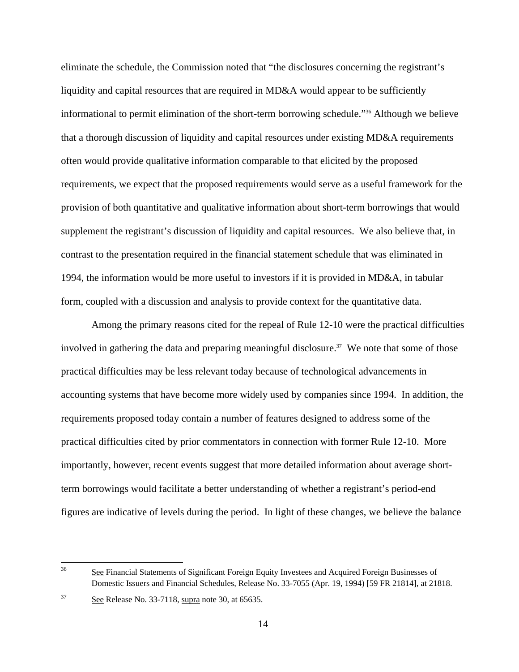eliminate the schedule, the Commission noted that "the disclosures concerning the registrant's liquidity and capital resources that are required in MD&A would appear to be sufficiently informational to permit elimination of the short-term borrowing schedule."36 Although we believe that a thorough discussion of liquidity and capital resources under existing MD&A requirements often would provide qualitative information comparable to that elicited by the proposed requirements, we expect that the proposed requirements would serve as a useful framework for the provision of both quantitative and qualitative information about short-term borrowings that would supplement the registrant's discussion of liquidity and capital resources. We also believe that, in contrast to the presentation required in the financial statement schedule that was eliminated in 1994, the information would be more useful to investors if it is provided in MD&A, in tabular form, coupled with a discussion and analysis to provide context for the quantitative data.

Among the primary reasons cited for the repeal of Rule 12-10 were the practical difficulties involved in gathering the data and preparing meaningful disclosure.<sup>37</sup> We note that some of those practical difficulties may be less relevant today because of technological advancements in accounting systems that have become more widely used by companies since 1994. In addition, the requirements proposed today contain a number of features designed to address some of the practical difficulties cited by prior commentators in connection with former Rule 12-10. More importantly, however, recent events suggest that more detailed information about average shortterm borrowings would facilitate a better understanding of whether a registrant's period-end figures are indicative of levels during the period. In light of these changes, we believe the balance

 $\overline{a}$ 

<sup>36</sup> See Financial Statements of Significant Foreign Equity Investees and Acquired Foreign Businesses of Domestic Issuers and Financial Schedules, Release No. 33-7055 (Apr. 19, 1994) [59 FR 21814], at 21818.

<sup>37</sup> See Release No. 33-7118, supra note 30, at 65635.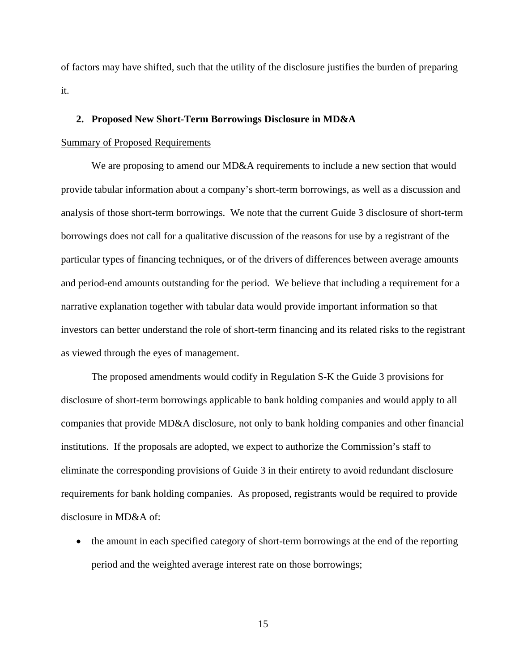of factors may have shifted, such that the utility of the disclosure justifies the burden of preparing it.

### **2. Proposed New Short-Term Borrowings Disclosure in MD&A**

## Summary of Proposed Requirements

We are proposing to amend our MD&A requirements to include a new section that would provide tabular information about a company's short-term borrowings, as well as a discussion and analysis of those short-term borrowings. We note that the current Guide 3 disclosure of short-term borrowings does not call for a qualitative discussion of the reasons for use by a registrant of the particular types of financing techniques, or of the drivers of differences between average amounts and period-end amounts outstanding for the period. We believe that including a requirement for a narrative explanation together with tabular data would provide important information so that investors can better understand the role of short-term financing and its related risks to the registrant as viewed through the eyes of management.

The proposed amendments would codify in Regulation S-K the Guide 3 provisions for disclosure of short-term borrowings applicable to bank holding companies and would apply to all companies that provide MD&A disclosure, not only to bank holding companies and other financial institutions. If the proposals are adopted, we expect to authorize the Commission's staff to eliminate the corresponding provisions of Guide 3 in their entirety to avoid redundant disclosure requirements for bank holding companies. As proposed, registrants would be required to provide disclosure in MD&A of:

• the amount in each specified category of short-term borrowings at the end of the reporting period and the weighted average interest rate on those borrowings;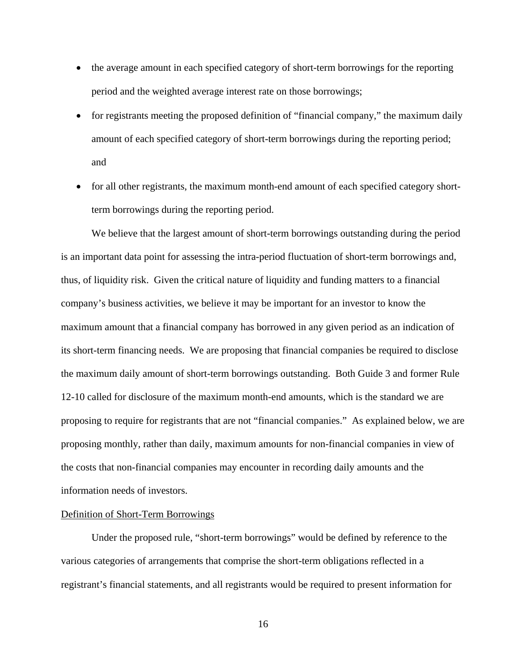- the average amount in each specified category of short-term borrowings for the reporting period and the weighted average interest rate on those borrowings;
- for registrants meeting the proposed definition of "financial company," the maximum daily amount of each specified category of short-term borrowings during the reporting period; and
- for all other registrants, the maximum month-end amount of each specified category shortterm borrowings during the reporting period.

We believe that the largest amount of short-term borrowings outstanding during the period is an important data point for assessing the intra-period fluctuation of short-term borrowings and, thus, of liquidity risk. Given the critical nature of liquidity and funding matters to a financial company's business activities, we believe it may be important for an investor to know the maximum amount that a financial company has borrowed in any given period as an indication of its short-term financing needs. We are proposing that financial companies be required to disclose the maximum daily amount of short-term borrowings outstanding. Both Guide 3 and former Rule 12-10 called for disclosure of the maximum month-end amounts, which is the standard we are proposing to require for registrants that are not "financial companies." As explained below, we are proposing monthly, rather than daily, maximum amounts for non-financial companies in view of the costs that non-financial companies may encounter in recording daily amounts and the information needs of investors.

# Definition of Short-Term Borrowings

Under the proposed rule, "short-term borrowings" would be defined by reference to the various categories of arrangements that comprise the short-term obligations reflected in a registrant's financial statements, and all registrants would be required to present information for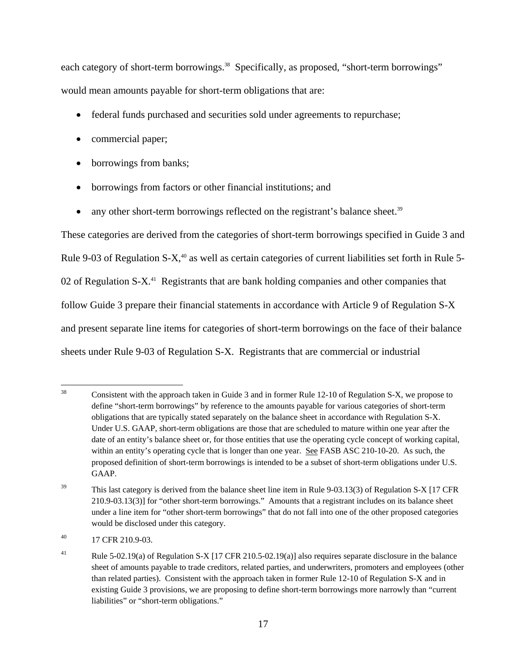each category of short-term borrowings.<sup>38</sup> Specifically, as proposed, "short-term borrowings" would mean amounts payable for short-term obligations that are:

- federal funds purchased and securities sold under agreements to repurchase;
- commercial paper;
- borrowings from banks;
- borrowings from factors or other financial institutions; and
- any other short-term borrowings reflected on the registrant's balance sheet.<sup>39</sup>

These categories are derived from the categories of short-term borrowings specified in Guide 3 and Rule 9-03 of Regulation S-X,<sup>40</sup> as well as certain categories of current liabilities set forth in Rule 5-02 of Regulation S-X<sup>41</sup> Registrants that are bank holding companies and other companies that follow Guide 3 prepare their financial statements in accordance with Article 9 of Regulation S-X and present separate line items for categories of short-term borrowings on the face of their balance sheets under Rule 9-03 of Regulation S-X. Registrants that are commercial or industrial

<sup>38</sup> within an entity's operating cycle that is longer than one year. See FASB ASC 210-10-20. As such, the proposed definition of short-term borrowings is intended to be a subset of short-term obligations under U.S. Consistent with the approach taken in Guide 3 and in former Rule 12-10 of Regulation S-X, we propose to define "short-term borrowings" by reference to the amounts payable for various categories of short-term obligations that are typically stated separately on the balance sheet in accordance with Regulation S-X. Under U.S. GAAP, short-term obligations are those that are scheduled to mature within one year after the date of an entity's balance sheet or, for those entities that use the operating cycle concept of working capital, GAAP.

 $39$  This last category is derived from the balance sheet line item in Rule 9-03.13(3) of Regulation S-X [17 CFR under a line item for "other short-term borrowings" that do not fall into one of the other proposed categories 210.9-03.13(3)] for "other short-term borrowings." Amounts that a registrant includes on its balance sheet would be disclosed under this category.

 $^{40}$  17 CFR 210.9-03.

 than related parties). Consistent with the approach taken in former Rule 12-10 of Regulation S-X and in <sup>41</sup> Rule 5-02.19(a) of Regulation S-X [17 CFR 210.5-02.19(a)] also requires separate disclosure in the balance sheet of amounts payable to trade creditors, related parties, and underwriters, promoters and employees (other existing Guide 3 provisions, we are proposing to define short-term borrowings more narrowly than "current liabilities" or "short-term obligations."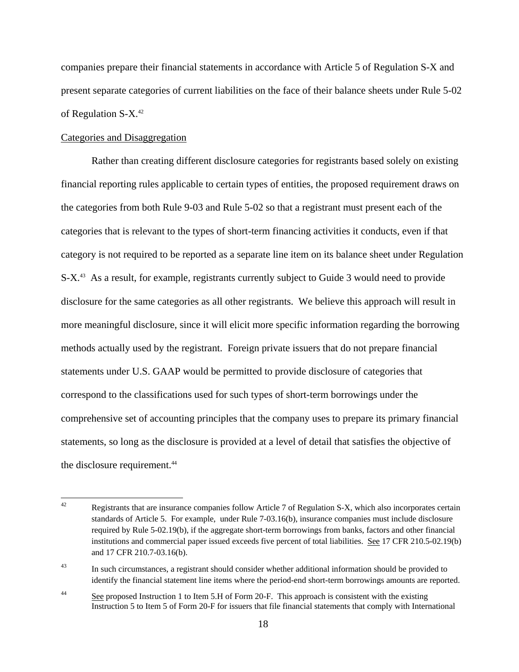companies prepare their financial statements in accordance with Article 5 of Regulation S-X and present separate categories of current liabilities on the face of their balance sheets under Rule 5-02 of Regulation S-X.42

## Categories and Disaggregation

Rather than creating different disclosure categories for registrants based solely on existing financial reporting rules applicable to certain types of entities, the proposed requirement draws on the categories from both Rule 9-03 and Rule 5-02 so that a registrant must present each of the categories that is relevant to the types of short-term financing activities it conducts, even if that category is not required to be reported as a separate line item on its balance sheet under Regulation S-X<sup>43</sup> As a result, for example, registrants currently subject to Guide 3 would need to provide disclosure for the same categories as all other registrants. We believe this approach will result in more meaningful disclosure, since it will elicit more specific information regarding the borrowing methods actually used by the registrant. Foreign private issuers that do not prepare financial statements under U.S. GAAP would be permitted to provide disclosure of categories that correspond to the classifications used for such types of short-term borrowings under the comprehensive set of accounting principles that the company uses to prepare its primary financial statements, so long as the disclosure is provided at a level of detail that satisfies the objective of the disclosure requirement.<sup>44</sup>

 $42$  standards of Article 5. For example, under Rule 7-03.16(b), insurance companies must include disclosure Registrants that are insurance companies follow Article 7 of Regulation S-X, which also incorporates certain required by Rule 5-02.19(b), if the aggregate short-term borrowings from banks, factors and other financial institutions and commercial paper issued exceeds five percent of total liabilities. See 17 CFR 210.5-02.19(b) and 17 CFR 210.7-03.16(b).

<sup>&</sup>lt;sup>43</sup> In such circumstances, a registrant should consider whether additional information should be provided to identify the financial statement line items where the period-end short-term borrowings amounts are reported.

 $\frac{44}{2}$  See proposed Instruction 1 to Item 5.H of Form 20-F. This approach is consistent with the existing Instruction 5 to Item 5 of Form 20-F for issuers that file financial statements that comply with International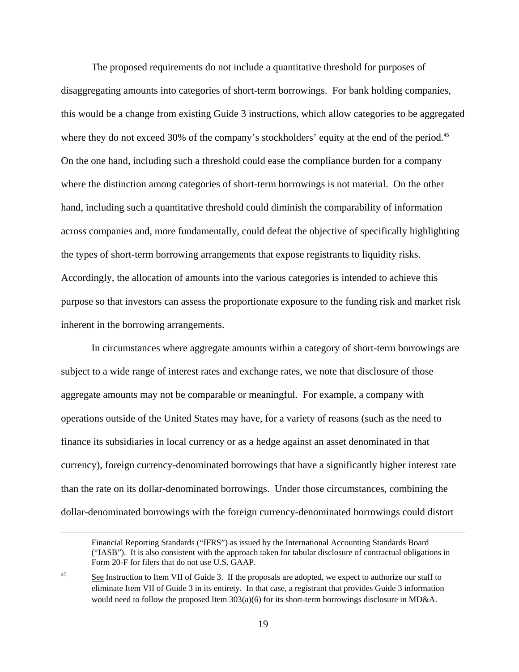where they do not exceed 30% of the company's stockholders' equity at the end of the period.<sup>45</sup> The proposed requirements do not include a quantitative threshold for purposes of disaggregating amounts into categories of short-term borrowings. For bank holding companies, this would be a change from existing Guide 3 instructions, which allow categories to be aggregated On the one hand, including such a threshold could ease the compliance burden for a company where the distinction among categories of short-term borrowings is not material. On the other hand, including such a quantitative threshold could diminish the comparability of information across companies and, more fundamentally, could defeat the objective of specifically highlighting the types of short-term borrowing arrangements that expose registrants to liquidity risks. Accordingly, the allocation of amounts into the various categories is intended to achieve this purpose so that investors can assess the proportionate exposure to the funding risk and market risk inherent in the borrowing arrangements.

In circumstances where aggregate amounts within a category of short-term borrowings are subject to a wide range of interest rates and exchange rates, we note that disclosure of those aggregate amounts may not be comparable or meaningful. For example, a company with operations outside of the United States may have, for a variety of reasons (such as the need to finance its subsidiaries in local currency or as a hedge against an asset denominated in that currency), foreign currency-denominated borrowings that have a significantly higher interest rate than the rate on its dollar-denominated borrowings. Under those circumstances, combining the dollar-denominated borrowings with the foreign currency-denominated borrowings could distort

 $\overline{a}$ 

Financial Reporting Standards ("IFRS") as issued by the International Accounting Standards Board ("IASB"). It is also consistent with the approach taken for tabular disclosure of contractual obligations in Form 20-F for filers that do not use U.S. GAAP.

See Instruction to Item VII of Guide 3. If the proposals are adopted, we expect to authorize our staff to eliminate Item VII of Guide 3 in its entirety. In that case, a registrant that provides Guide 3 information would need to follow the proposed Item 303(a)(6) for its short-term borrowings disclosure in MD&A. 45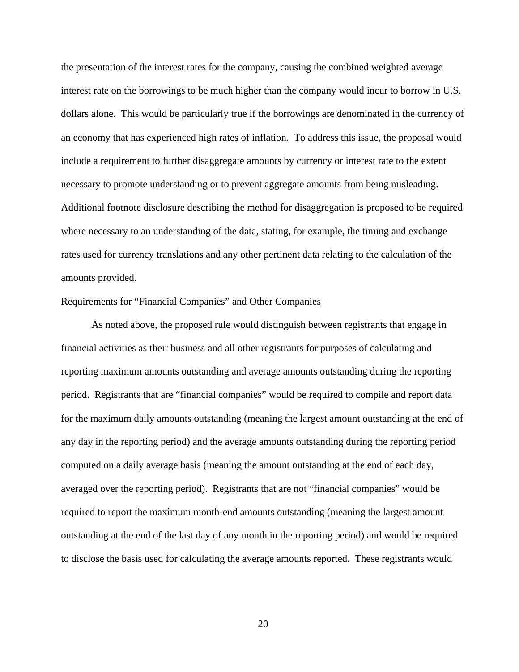the presentation of the interest rates for the company, causing the combined weighted average interest rate on the borrowings to be much higher than the company would incur to borrow in U.S. dollars alone. This would be particularly true if the borrowings are denominated in the currency of an economy that has experienced high rates of inflation. To address this issue, the proposal would include a requirement to further disaggregate amounts by currency or interest rate to the extent necessary to promote understanding or to prevent aggregate amounts from being misleading. Additional footnote disclosure describing the method for disaggregation is proposed to be required where necessary to an understanding of the data, stating, for example, the timing and exchange rates used for currency translations and any other pertinent data relating to the calculation of the amounts provided.

### Requirements for "Financial Companies" and Other Companies

As noted above, the proposed rule would distinguish between registrants that engage in financial activities as their business and all other registrants for purposes of calculating and reporting maximum amounts outstanding and average amounts outstanding during the reporting period. Registrants that are "financial companies" would be required to compile and report data for the maximum daily amounts outstanding (meaning the largest amount outstanding at the end of any day in the reporting period) and the average amounts outstanding during the reporting period computed on a daily average basis (meaning the amount outstanding at the end of each day, averaged over the reporting period). Registrants that are not "financial companies" would be required to report the maximum month-end amounts outstanding (meaning the largest amount outstanding at the end of the last day of any month in the reporting period) and would be required to disclose the basis used for calculating the average amounts reported. These registrants would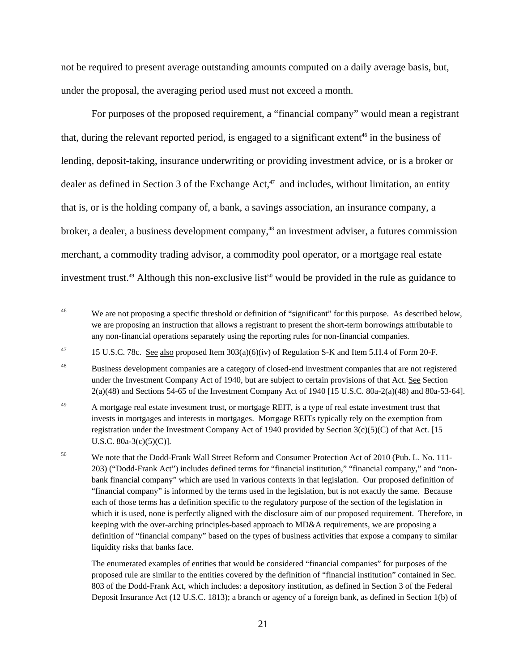not be required to present average outstanding amounts computed on a daily average basis, but, under the proposal, the averaging period used must not exceed a month.

For purposes of the proposed requirement, a "financial company" would mean a registrant that, during the relevant reported period, is engaged to a significant extent<sup>46</sup> in the business of lending, deposit-taking, insurance underwriting or providing investment advice, or is a broker or dealer as defined in Section 3 of the Exchange Act, $47$  and includes, without limitation, an entity that is, or is the holding company of, a bank, a savings association, an insurance company, a broker, a dealer, a business development company,<sup>48</sup> an investment adviser, a futures commission merchant, a commodity trading advisor, a commodity pool operator, or a mortgage real estate investment trust.<sup>49</sup> Although this non-exclusive list<sup>50</sup> would be provided in the rule as guidance to

 $46$ We are not proposing a specific threshold or definition of "significant" for this purpose. As described below, we are proposing an instruction that allows a registrant to present the short-term borrowings attributable to any non-financial operations separately using the reporting rules for non-financial companies.

<sup>&</sup>lt;sup>47</sup> 15 U.S.C. 78c. See also proposed Item  $303(a)(6)(iv)$  of Regulation S-K and Item 5.H.4 of Form 20-F.

<sup>48</sup> Business development companies are a category of closed-end investment companies that are not registered under the Investment Company Act of 1940, but are subject to certain provisions of that Act. See Section 2(a)(48) and Sections 54-65 of the Investment Company Act of 1940 [15 U.S.C. 80a-2(a)(48) and 80a-53-64].

<sup>49</sup>  registration under the Investment Company Act of 1940 provided by Section 3(c)(5)(C) of that Act. [15 U.S.C.  $80a-3(c)(5)(C)$ ]. A mortgage real estate investment trust, or mortgage REIT, is a type of real estate investment trust that invests in mortgages and interests in mortgages. Mortgage REITs typically rely on the exemption from

U.S.C. 80a-3(c)(5)(C)].<br><sup>50</sup> We note that the Dodd-Frank Wall Street Reform and Consumer Protection Act of 2010 (Pub. L. No. 111- bank financial company" which are used in various contexts in that legislation. Our proposed definition of 203) ("Dodd-Frank Act") includes defined terms for "financial institution," "financial company," and "non-"financial company" is informed by the terms used in the legislation, but is not exactly the same. Because each of those terms has a definition specific to the regulatory purpose of the section of the legislation in which it is used, none is perfectly aligned with the disclosure aim of our proposed requirement. Therefore, in keeping with the over-arching principles-based approach to MD&A requirements, we are proposing a definition of "financial company" based on the types of business activities that expose a company to similar liquidity risks that banks face.

The enumerated examples of entities that would be considered "financial companies" for purposes of the proposed rule are similar to the entities covered by the definition of "financial institution" contained in Sec. 803 of the Dodd-Frank Act, which includes: a depository institution, as defined in Section 3 of the Federal Deposit Insurance Act (12 U.S.C. 1813); a branch or agency of a foreign bank, as defined in Section 1(b) of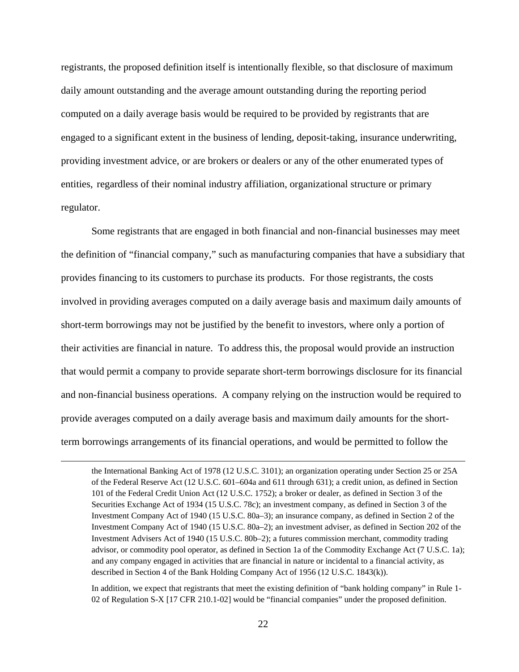registrants, the proposed definition itself is intentionally flexible, so that disclosure of maximum daily amount outstanding and the average amount outstanding during the reporting period computed on a daily average basis would be required to be provided by registrants that are engaged to a significant extent in the business of lending, deposit-taking, insurance underwriting, providing investment advice, or are brokers or dealers or any of the other enumerated types of entities, regardless of their nominal industry affiliation, organizational structure or primary regulator.

Some registrants that are engaged in both financial and non-financial businesses may meet the definition of "financial company," such as manufacturing companies that have a subsidiary that provides financing to its customers to purchase its products. For those registrants, the costs involved in providing averages computed on a daily average basis and maximum daily amounts of short-term borrowings may not be justified by the benefit to investors, where only a portion of their activities are financial in nature. To address this, the proposal would provide an instruction that would permit a company to provide separate short-term borrowings disclosure for its financial and non-financial business operations. A company relying on the instruction would be required to provide averages computed on a daily average basis and maximum daily amounts for the shortterm borrowings arrangements of its financial operations, and would be permitted to follow the

 $\overline{a}$ 

 of the Federal Reserve Act (12 U.S.C. 601–604a and 611 through 631); a credit union, as defined in Section 101 of the Federal Credit Union Act (12 U.S.C. 1752); a broker or dealer, as defined in Section 3 of the Securities Exchange Act of 1934 (15 U.S.C. 78c); an investment company, as defined in Section 3 of the Investment Company Act of 1940 (15 U.S.C. 80a–3); an insurance company, as defined in Section 2 of the Investment Company Act of 1940 (15 U.S.C. 80a–2); an investment adviser, as defined in Section 202 of the Investment Advisers Act of 1940 (15 U.S.C. 80b–2); a futures commission merchant, commodity trading advisor, or commodity pool operator, as defined in Section 1a of the Commodity Exchange Act (7 U.S.C. 1a); described in Section 4 of the Bank Holding Company Act of 1956 (12 U.S.C. 1843(k)). the International Banking Act of 1978 (12 U.S.C. 3101); an organization operating under Section 25 or 25A and any company engaged in activities that are financial in nature or incidental to a financial activity, as

In addition, we expect that registrants that meet the existing definition of "bank holding company" in Rule 1- 02 of Regulation S-X [17 CFR 210.1-02] would be "financial companies" under the proposed definition.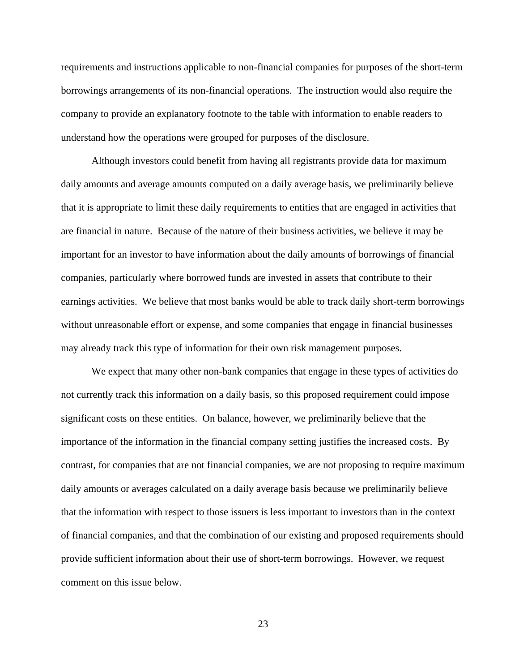requirements and instructions applicable to non-financial companies for purposes of the short-term borrowings arrangements of its non-financial operations. The instruction would also require the company to provide an explanatory footnote to the table with information to enable readers to understand how the operations were grouped for purposes of the disclosure.

Although investors could benefit from having all registrants provide data for maximum daily amounts and average amounts computed on a daily average basis, we preliminarily believe that it is appropriate to limit these daily requirements to entities that are engaged in activities that are financial in nature. Because of the nature of their business activities, we believe it may be important for an investor to have information about the daily amounts of borrowings of financial companies, particularly where borrowed funds are invested in assets that contribute to their earnings activities. We believe that most banks would be able to track daily short-term borrowings without unreasonable effort or expense, and some companies that engage in financial businesses may already track this type of information for their own risk management purposes.

We expect that many other non-bank companies that engage in these types of activities do not currently track this information on a daily basis, so this proposed requirement could impose significant costs on these entities. On balance, however, we preliminarily believe that the importance of the information in the financial company setting justifies the increased costs. By contrast, for companies that are not financial companies, we are not proposing to require maximum daily amounts or averages calculated on a daily average basis because we preliminarily believe that the information with respect to those issuers is less important to investors than in the context of financial companies, and that the combination of our existing and proposed requirements should provide sufficient information about their use of short-term borrowings. However, we request comment on this issue below.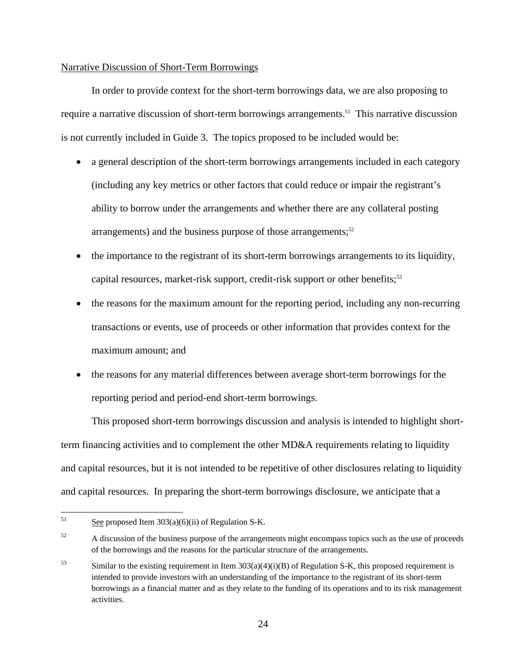## Narrative Discussion of Short-Term Borrowings

In order to provide context for the short-term borrowings data, we are also proposing to require a narrative discussion of short-term borrowings arrangements.<sup>51</sup> This narrative discussion is not currently included in Guide 3. The topics proposed to be included would be:

- a general description of the short-term borrowings arrangements included in each category (including any key metrics or other factors that could reduce or impair the registrant's ability to borrow under the arrangements and whether there are any collateral posting arrangements) and the business purpose of those arrangements; $52$
- the importance to the registrant of its short-term borrowings arrangements to its liquidity, capital resources, market-risk support, credit-risk support or other benefits;<sup>53</sup>
- the reasons for the maximum amount for the reporting period, including any non-recurring transactions or events, use of proceeds or other information that provides context for the maximum amount; and
- the reasons for any material differences between average short-term borrowings for the reporting period and period-end short-term borrowings.

This proposed short-term borrowings discussion and analysis is intended to highlight shortterm financing activities and to complement the other MD&A requirements relating to liquidity and capital resources, but it is not intended to be repetitive of other disclosures relating to liquidity and capital resources. In preparing the short-term borrowings disclosure, we anticipate that a

<sup>51</sup> See proposed Item  $303(a)(6)(ii)$  of Regulation S-K.

<sup>&</sup>lt;sup>52</sup> A discussion of the business purpose of the arrangements might encompass topics such as the use of proceeds of the borrowings and the reasons for the particular structure of the arrangements.

 $53$  Similar to the existing requirement in Item 303(a)(4)(i)(B) of Regulation S-K, this proposed requirement is intended to provide investors with an understanding of the importance to the registrant of its short-term borrowings as a financial matter and as they relate to the funding of its operations and to its risk management activities.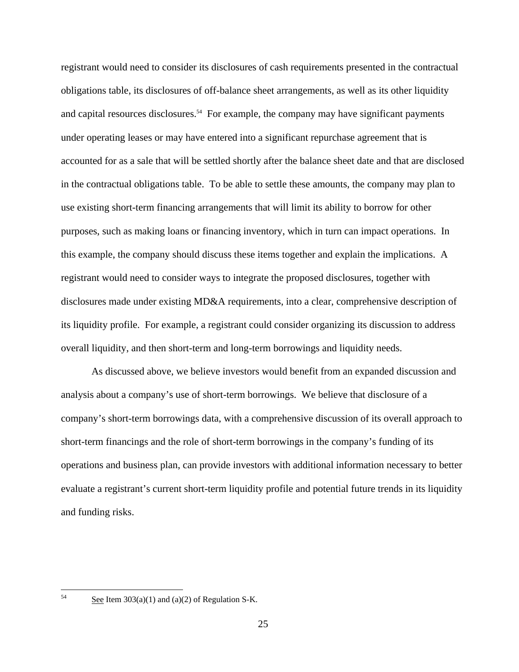registrant would need to consider its disclosures of cash requirements presented in the contractual obligations table, its disclosures of off-balance sheet arrangements, as well as its other liquidity and capital resources disclosures.<sup>54</sup> For example, the company may have significant payments under operating leases or may have entered into a significant repurchase agreement that is accounted for as a sale that will be settled shortly after the balance sheet date and that are disclosed in the contractual obligations table. To be able to settle these amounts, the company may plan to use existing short-term financing arrangements that will limit its ability to borrow for other purposes, such as making loans or financing inventory, which in turn can impact operations. In this example, the company should discuss these items together and explain the implications. A registrant would need to consider ways to integrate the proposed disclosures, together with disclosures made under existing MD&A requirements, into a clear, comprehensive description of its liquidity profile. For example, a registrant could consider organizing its discussion to address overall liquidity, and then short-term and long-term borrowings and liquidity needs.

As discussed above, we believe investors would benefit from an expanded discussion and analysis about a company's use of short-term borrowings. We believe that disclosure of a company's short-term borrowings data, with a comprehensive discussion of its overall approach to short-term financings and the role of short-term borrowings in the company's funding of its operations and business plan, can provide investors with additional information necessary to better evaluate a registrant's current short-term liquidity profile and potential future trends in its liquidity and funding risks.

See Item  $303(a)(1)$  and  $(a)(2)$  of Regulation S-K.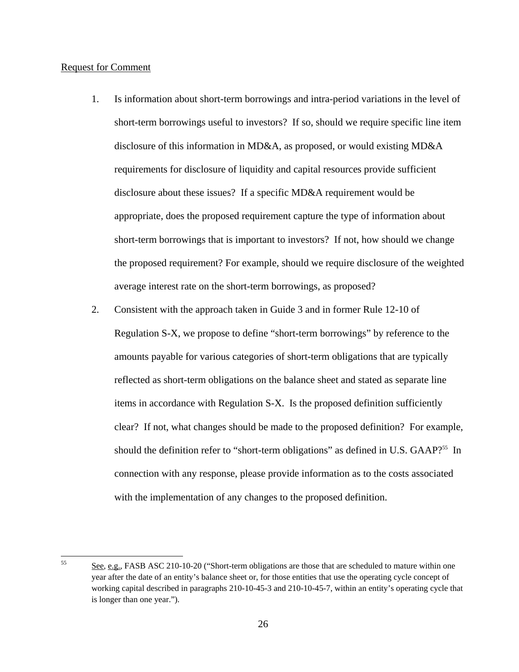# Request for Comment

 $\overline{a}$ 

- average interest rate on the short-term borrowings, as proposed? 1. Is information about short-term borrowings and intra-period variations in the level of short-term borrowings useful to investors? If so, should we require specific line item disclosure of this information in MD&A, as proposed, or would existing MD&A requirements for disclosure of liquidity and capital resources provide sufficient disclosure about these issues? If a specific MD&A requirement would be appropriate, does the proposed requirement capture the type of information about short-term borrowings that is important to investors? If not, how should we change the proposed requirement? For example, should we require disclosure of the weighted
- 2. Consistent with the approach taken in Guide 3 and in former Rule 12-10 of Regulation S-X, we propose to define "short-term borrowings" by reference to the amounts payable for various categories of short-term obligations that are typically reflected as short-term obligations on the balance sheet and stated as separate line items in accordance with Regulation S-X. Is the proposed definition sufficiently clear? If not, what changes should be made to the proposed definition? For example, should the definition refer to "short-term obligations" as defined in U.S. GAAP?<sup>55</sup> In connection with any response, please provide information as to the costs associated with the implementation of any changes to the proposed definition.

 55 See, e.g., FASB ASC 210-10-20 ("Short-term obligations are those that are scheduled to mature within one year after the date of an entity's balance sheet or, for those entities that use the operating cycle concept of working capital described in paragraphs 210-10-45-3 and 210-10-45-7, within an entity's operating cycle that is longer than one year.").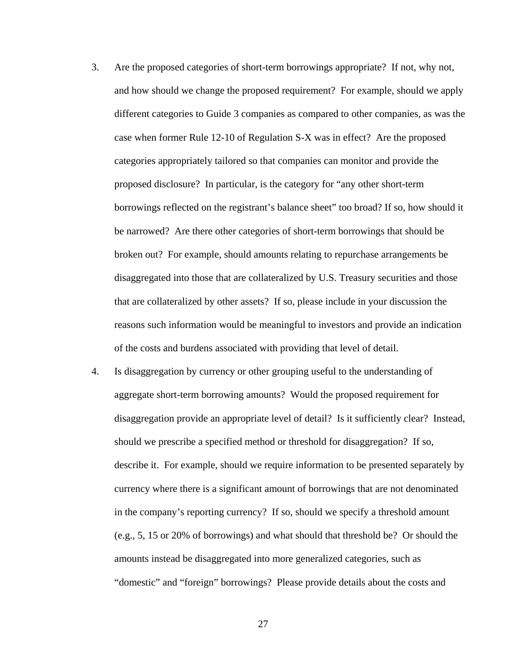- that are collateralized by other assets? If so, please include in your discussion the 3. Are the proposed categories of short-term borrowings appropriate? If not, why not, and how should we change the proposed requirement? For example, should we apply different categories to Guide 3 companies as compared to other companies, as was the case when former Rule 12-10 of Regulation S-X was in effect? Are the proposed categories appropriately tailored so that companies can monitor and provide the proposed disclosure? In particular, is the category for "any other short-term borrowings reflected on the registrant's balance sheet" too broad? If so, how should it be narrowed? Are there other categories of short-term borrowings that should be broken out? For example, should amounts relating to repurchase arrangements be disaggregated into those that are collateralized by U.S. Treasury securities and those reasons such information would be meaningful to investors and provide an indication of the costs and burdens associated with providing that level of detail.
- 4. Is disaggregation by currency or other grouping useful to the understanding of aggregate short-term borrowing amounts? Would the proposed requirement for disaggregation provide an appropriate level of detail? Is it sufficiently clear? Instead, should we prescribe a specified method or threshold for disaggregation? If so, describe it. For example, should we require information to be presented separately by currency where there is a significant amount of borrowings that are not denominated in the company's reporting currency? If so, should we specify a threshold amount (e.g., 5, 15 or 20% of borrowings) and what should that threshold be? Or should the amounts instead be disaggregated into more generalized categories, such as "domestic" and "foreign" borrowings? Please provide details about the costs and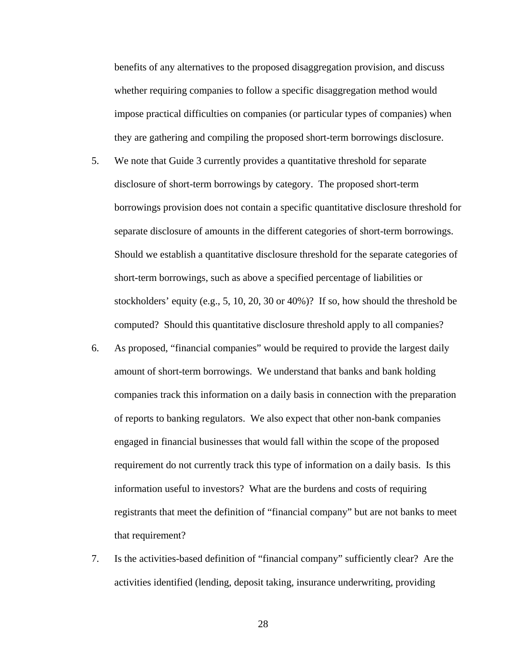benefits of any alternatives to the proposed disaggregation provision, and discuss whether requiring companies to follow a specific disaggregation method would impose practical difficulties on companies (or particular types of companies) when they are gathering and compiling the proposed short-term borrowings disclosure.

- 5. We note that Guide 3 currently provides a quantitative threshold for separate disclosure of short-term borrowings by category. The proposed short-term borrowings provision does not contain a specific quantitative disclosure threshold for separate disclosure of amounts in the different categories of short-term borrowings. Should we establish a quantitative disclosure threshold for the separate categories of short-term borrowings, such as above a specified percentage of liabilities or stockholders' equity (e.g., 5, 10, 20, 30 or 40%)? If so, how should the threshold be computed? Should this quantitative disclosure threshold apply to all companies?
- 6. As proposed, "financial companies" would be required to provide the largest daily amount of short-term borrowings. We understand that banks and bank holding companies track this information on a daily basis in connection with the preparation of reports to banking regulators. We also expect that other non-bank companies engaged in financial businesses that would fall within the scope of the proposed requirement do not currently track this type of information on a daily basis. Is this information useful to investors? What are the burdens and costs of requiring registrants that meet the definition of "financial company" but are not banks to meet that requirement?
- 7. Is the activities-based definition of "financial company" sufficiently clear? Are the activities identified (lending, deposit taking, insurance underwriting, providing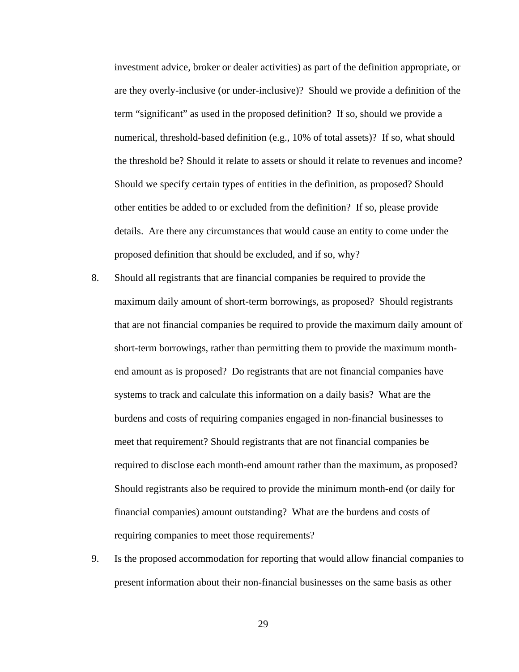the threshold be? Should it relate to assets or should it relate to revenues and income? investment advice, broker or dealer activities) as part of the definition appropriate, or are they overly-inclusive (or under-inclusive)? Should we provide a definition of the term "significant" as used in the proposed definition? If so, should we provide a numerical, threshold-based definition (e.g., 10% of total assets)? If so, what should Should we specify certain types of entities in the definition, as proposed? Should other entities be added to or excluded from the definition? If so, please provide details. Are there any circumstances that would cause an entity to come under the proposed definition that should be excluded, and if so, why?

- 8. Should all registrants that are financial companies be required to provide the maximum daily amount of short-term borrowings, as proposed? Should registrants that are not financial companies be required to provide the maximum daily amount of short-term borrowings, rather than permitting them to provide the maximum monthend amount as is proposed? Do registrants that are not financial companies have systems to track and calculate this information on a daily basis? What are the burdens and costs of requiring companies engaged in non-financial businesses to meet that requirement? Should registrants that are not financial companies be required to disclose each month-end amount rather than the maximum, as proposed? Should registrants also be required to provide the minimum month-end (or daily for financial companies) amount outstanding? What are the burdens and costs of requiring companies to meet those requirements?
- 9. Is the proposed accommodation for reporting that would allow financial companies to present information about their non-financial businesses on the same basis as other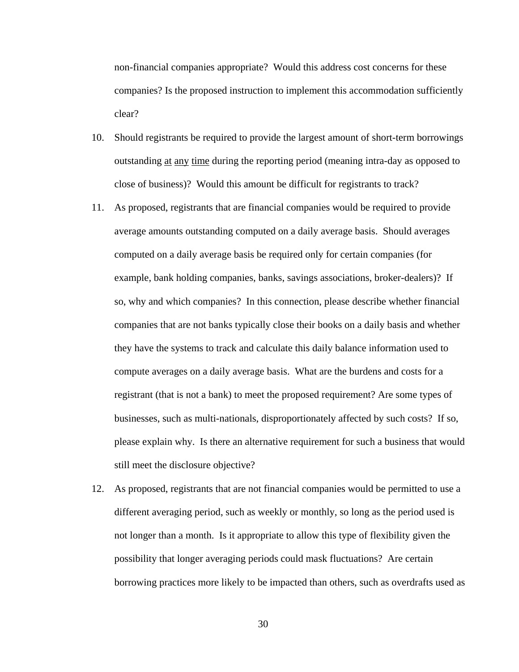non-financial companies appropriate? Would this address cost concerns for these companies? Is the proposed instruction to implement this accommodation sufficiently clear?

- 10. Should registrants be required to provide the largest amount of short-term borrowings outstanding at any time during the reporting period (meaning intra-day as opposed to close of business)? Would this amount be difficult for registrants to track?
- 11. As proposed, registrants that are financial companies would be required to provide average amounts outstanding computed on a daily average basis. Should averages computed on a daily average basis be required only for certain companies (for example, bank holding companies, banks, savings associations, broker-dealers)? If so, why and which companies? In this connection, please describe whether financial companies that are not banks typically close their books on a daily basis and whether they have the systems to track and calculate this daily balance information used to compute averages on a daily average basis. What are the burdens and costs for a registrant (that is not a bank) to meet the proposed requirement? Are some types of businesses, such as multi-nationals, disproportionately affected by such costs? If so, please explain why. Is there an alternative requirement for such a business that would still meet the disclosure objective?
- 12. As proposed, registrants that are not financial companies would be permitted to use a different averaging period, such as weekly or monthly, so long as the period used is not longer than a month. Is it appropriate to allow this type of flexibility given the possibility that longer averaging periods could mask fluctuations? Are certain borrowing practices more likely to be impacted than others, such as overdrafts used as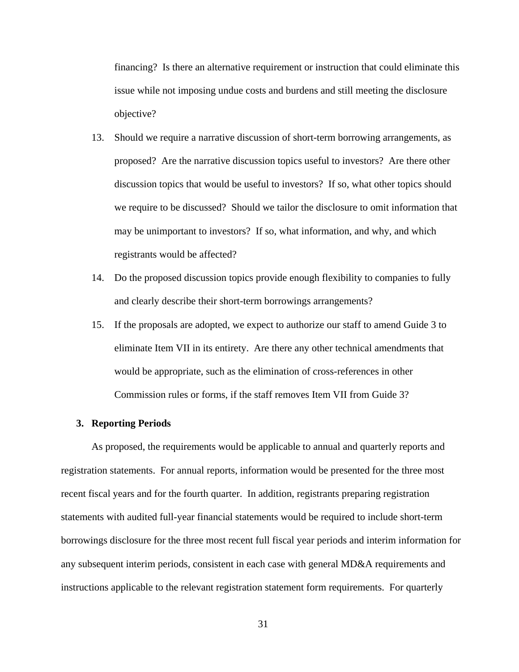financing? Is there an alternative requirement or instruction that could eliminate this issue while not imposing undue costs and burdens and still meeting the disclosure objective?

- 13. Should we require a narrative discussion of short-term borrowing arrangements, as proposed? Are the narrative discussion topics useful to investors? Are there other discussion topics that would be useful to investors? If so, what other topics should we require to be discussed? Should we tailor the disclosure to omit information that may be unimportant to investors? If so, what information, and why, and which registrants would be affected?
- 14. Do the proposed discussion topics provide enough flexibility to companies to fully and clearly describe their short-term borrowings arrangements?
- 15. If the proposals are adopted, we expect to authorize our staff to amend Guide 3 to eliminate Item VII in its entirety. Are there any other technical amendments that would be appropriate, such as the elimination of cross-references in other Commission rules or forms, if the staff removes Item VII from Guide 3?

# **3. Reporting Periods**

As proposed, the requirements would be applicable to annual and quarterly reports and registration statements. For annual reports, information would be presented for the three most recent fiscal years and for the fourth quarter. In addition, registrants preparing registration statements with audited full-year financial statements would be required to include short-term borrowings disclosure for the three most recent full fiscal year periods and interim information for any subsequent interim periods, consistent in each case with general MD&A requirements and instructions applicable to the relevant registration statement form requirements. For quarterly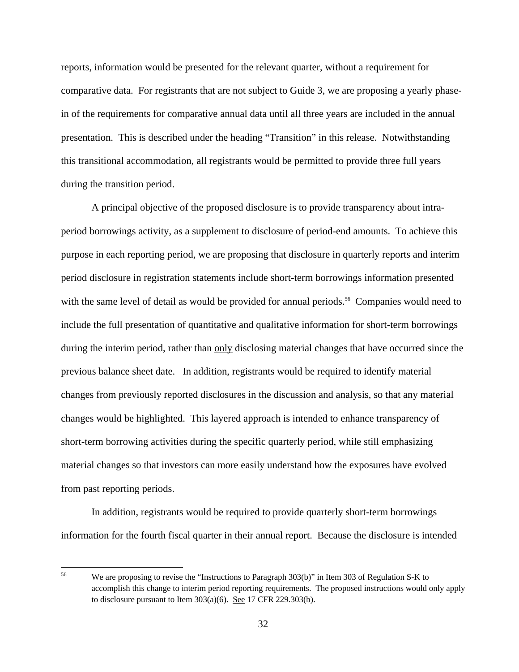reports, information would be presented for the relevant quarter, without a requirement for comparative data. For registrants that are not subject to Guide 3, we are proposing a yearly phasein of the requirements for comparative annual data until all three years are included in the annual presentation. This is described under the heading "Transition" in this release. Notwithstanding this transitional accommodation, all registrants would be permitted to provide three full years during the transition period.

A principal objective of the proposed disclosure is to provide transparency about intraperiod borrowings activity, as a supplement to disclosure of period-end amounts. To achieve this purpose in each reporting period, we are proposing that disclosure in quarterly reports and interim period disclosure in registration statements include short-term borrowings information presented with the same level of detail as would be provided for annual periods.<sup>56</sup> Companies would need to include the full presentation of quantitative and qualitative information for short-term borrowings during the interim period, rather than only disclosing material changes that have occurred since the previous balance sheet date. In addition, registrants would be required to identify material changes from previously reported disclosures in the discussion and analysis, so that any material changes would be highlighted. This layered approach is intended to enhance transparency of short-term borrowing activities during the specific quarterly period, while still emphasizing material changes so that investors can more easily understand how the exposures have evolved from past reporting periods.

In addition, registrants would be required to provide quarterly short-term borrowings information for the fourth fiscal quarter in their annual report. Because the disclosure is intended

 56 We are proposing to revise the "Instructions to Paragraph 303(b)" in Item 303 of Regulation S-K to accomplish this change to interim period reporting requirements. The proposed instructions would only apply to disclosure pursuant to Item 303(a)(6). See 17 CFR 229.303(b).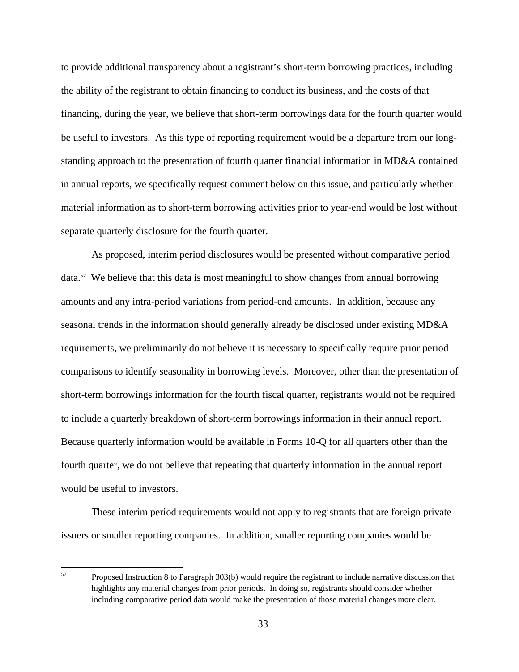to provide additional transparency about a registrant's short-term borrowing practices, including the ability of the registrant to obtain financing to conduct its business, and the costs of that financing, during the year, we believe that short-term borrowings data for the fourth quarter would be useful to investors. As this type of reporting requirement would be a departure from our longstanding approach to the presentation of fourth quarter financial information in MD&A contained in annual reports, we specifically request comment below on this issue, and particularly whether material information as to short-term borrowing activities prior to year-end would be lost without separate quarterly disclosure for the fourth quarter.

As proposed, interim period disclosures would be presented without comparative period data.57 We believe that this data is most meaningful to show changes from annual borrowing amounts and any intra-period variations from period-end amounts. In addition, because any seasonal trends in the information should generally already be disclosed under existing MD&A requirements, we preliminarily do not believe it is necessary to specifically require prior period comparisons to identify seasonality in borrowing levels. Moreover, other than the presentation of short-term borrowings information for the fourth fiscal quarter, registrants would not be required to include a quarterly breakdown of short-term borrowings information in their annual report. Because quarterly information would be available in Forms 10-Q for all quarters other than the fourth quarter, we do not believe that repeating that quarterly information in the annual report would be useful to investors.

These interim period requirements would not apply to registrants that are foreign private issuers or smaller reporting companies. In addition, smaller reporting companies would be

 $\overline{a}$ 

 57 Proposed Instruction 8 to Paragraph 303(b) would require the registrant to include narrative discussion that highlights any material changes from prior periods. In doing so, registrants should consider whether including comparative period data would make the presentation of those material changes more clear.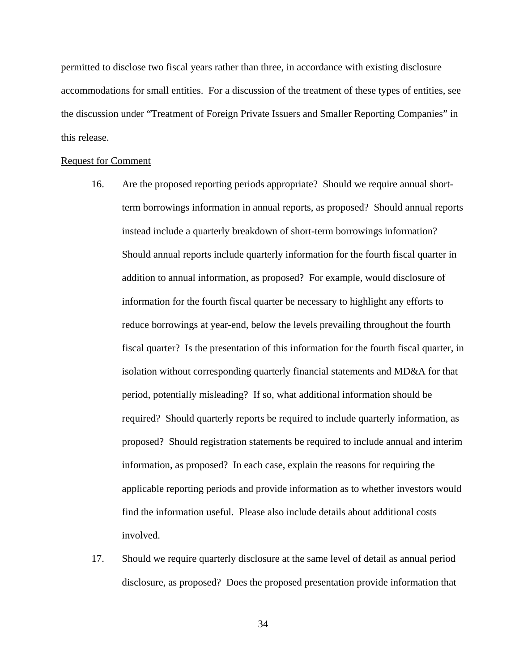permitted to disclose two fiscal years rather than three, in accordance with existing disclosure accommodations for small entities. For a discussion of the treatment of these types of entities, see the discussion under "Treatment of Foreign Private Issuers and Smaller Reporting Companies" in this release.

## Request for Comment

- term borrowings information in annual reports, as proposed? Should annual reports instead include a quarterly breakdown of short-term borrowings information? 16. Are the proposed reporting periods appropriate? Should we require annual short-Should annual reports include quarterly information for the fourth fiscal quarter in addition to annual information, as proposed? For example, would disclosure of information for the fourth fiscal quarter be necessary to highlight any efforts to reduce borrowings at year-end, below the levels prevailing throughout the fourth fiscal quarter? Is the presentation of this information for the fourth fiscal quarter, in isolation without corresponding quarterly financial statements and MD&A for that period, potentially misleading? If so, what additional information should be required? Should quarterly reports be required to include quarterly information, as proposed? Should registration statements be required to include annual and interim information, as proposed? In each case, explain the reasons for requiring the applicable reporting periods and provide information as to whether investors would find the information useful. Please also include details about additional costs involved.
- 17. Should we require quarterly disclosure at the same level of detail as annual period disclosure, as proposed? Does the proposed presentation provide information that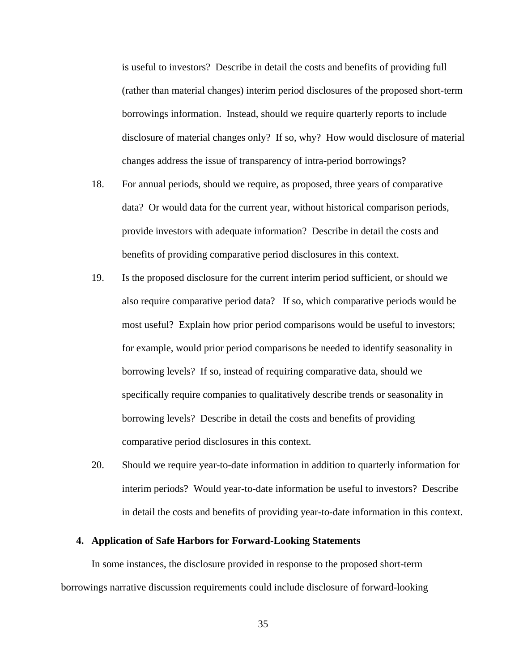is useful to investors? Describe in detail the costs and benefits of providing full (rather than material changes) interim period disclosures of the proposed short-term borrowings information. Instead, should we require quarterly reports to include disclosure of material changes only? If so, why? How would disclosure of material changes address the issue of transparency of intra-period borrowings?

- 18. For annual periods, should we require, as proposed, three years of comparative data? Or would data for the current year, without historical comparison periods, provide investors with adequate information? Describe in detail the costs and benefits of providing comparative period disclosures in this context.
- 19. Is the proposed disclosure for the current interim period sufficient, or should we also require comparative period data? If so, which comparative periods would be most useful? Explain how prior period comparisons would be useful to investors; for example, would prior period comparisons be needed to identify seasonality in borrowing levels? If so, instead of requiring comparative data, should we specifically require companies to qualitatively describe trends or seasonality in borrowing levels? Describe in detail the costs and benefits of providing comparative period disclosures in this context.
- 20. Should we require year-to-date information in addition to quarterly information for interim periods? Would year-to-date information be useful to investors? Describe in detail the costs and benefits of providing year-to-date information in this context.

## **4. Application of Safe Harbors for Forward-Looking Statements**

In some instances, the disclosure provided in response to the proposed short-term borrowings narrative discussion requirements could include disclosure of forward-looking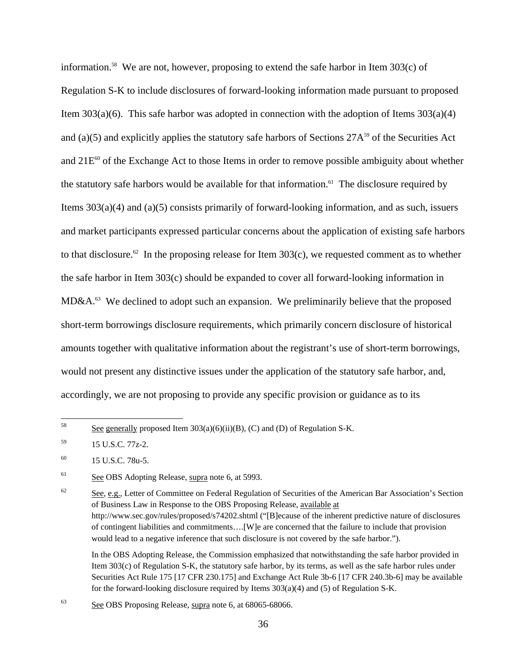information.<sup>58</sup> We are not, however, proposing to extend the safe harbor in Item  $303(c)$  of Regulation S-K to include disclosures of forward-looking information made pursuant to proposed Item  $303(a)(6)$ . This safe harbor was adopted in connection with the adoption of Items  $303(a)(4)$ and (a)(5) and explicitly applies the statutory safe harbors of Sections  $27A^{59}$  of the Securities Act and  $21E<sup>60</sup>$  of the Exchange Act to those Items in order to remove possible ambiguity about whether the statutory safe harbors would be available for that information.<sup>61</sup> The disclosure required by Items 303(a)(4) and (a)(5) consists primarily of forward-looking information, and as such, issuers and market participants expressed particular concerns about the application of existing safe harbors to that disclosure.<sup>62</sup> In the proposing release for Item  $303(c)$ , we requested comment as to whether the safe harbor in Item 303(c) should be expanded to cover all forward-looking information in MD&A.63 We declined to adopt such an expansion. We preliminarily believe that the proposed short-term borrowings disclosure requirements, which primarily concern disclosure of historical amounts together with qualitative information about the registrant's use of short-term borrowings, would not present any distinctive issues under the application of the statutory safe harbor, and, accordingly, we are not proposing to provide any specific provision or guidance as to its

 $62$  See, e.g., Letter of Committee on Federal Regulation of Securities of the American Bar Association's Section of Business Law in Response to the OBS Proposing Release, available at http://www.sec.gov/rules/proposed/s74202.shtml ("[B]ecause of the inherent predictive nature of disclosures of contingent liabilities and commitments….[W]e are concerned that the failure to include that provision would lead to a negative inference that such disclosure is not covered by the safe harbor.").

 Item 303(c) of Regulation S-K, the statutory safe harbor, by its terms, as well as the safe harbor rules under In the OBS Adopting Release, the Commission emphasized that notwithstanding the safe harbor provided in Securities Act Rule 175 [17 CFR 230.175] and Exchange Act Rule 3b-6 [17 CFR 240.3b-6] may be available for the forward-looking disclosure required by Items 303(a)(4) and (5) of Regulation S-K.

63 See OBS Proposing Release, supra note 6, at 68065-68066.

<sup>58</sup> See generally proposed Item  $303(a)(6)(ii)(B)$ , (C) and (D) of Regulation S-K.

<sup>59 15</sup> U.S.C. 77z-2.

 $^{60}$  15 U.S.C. 78u-5.

<sup>61</sup> See OBS Adopting Release, supra note 6, at 5993.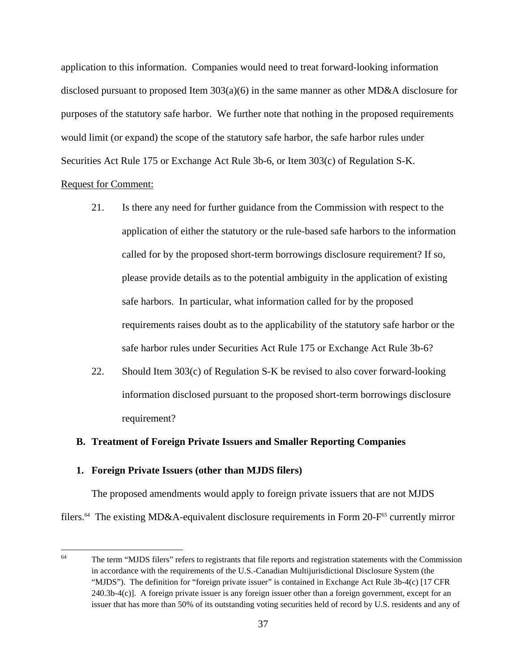application to this information. Companies would need to treat forward-looking information disclosed pursuant to proposed Item 303(a)(6) in the same manner as other MD&A disclosure for purposes of the statutory safe harbor. We further note that nothing in the proposed requirements would limit (or expand) the scope of the statutory safe harbor, the safe harbor rules under Securities Act Rule 175 or Exchange Act Rule 3b-6, or Item 303(c) of Regulation S-K.

# Request for Comment:

- 21. Is there any need for further guidance from the Commission with respect to the application of either the statutory or the rule-based safe harbors to the information called for by the proposed short-term borrowings disclosure requirement? If so, please provide details as to the potential ambiguity in the application of existing safe harbors. In particular, what information called for by the proposed requirements raises doubt as to the applicability of the statutory safe harbor or the safe harbor rules under Securities Act Rule 175 or Exchange Act Rule 3b-6?
- 22. Should Item 303(c) of Regulation S-K be revised to also cover forward-looking information disclosed pursuant to the proposed short-term borrowings disclosure requirement?

### **B. Treatment of Foreign Private Issuers and Smaller Reporting Companies**

## **1. Foreign Private Issuers (other than MJDS filers)**

The proposed amendments would apply to foreign private issuers that are not MJDS filers.<sup>64</sup> The existing MD&A-equivalent disclosure requirements in Form 20-F<sup>65</sup> currently mirror

 $rac{1}{64}$  issuer that has more than 50% of its outstanding voting securities held of record by U.S. residents and any of The term "MJDS filers" refers to registrants that file reports and registration statements with the Commission in accordance with the requirements of the U.S.-Canadian Multijurisdictional Disclosure System (the "MJDS"). The definition for "foreign private issuer" is contained in Exchange Act Rule 3b-4(c) [17 CFR 240.3b-4(c)]. A foreign private issuer is any foreign issuer other than a foreign government, except for an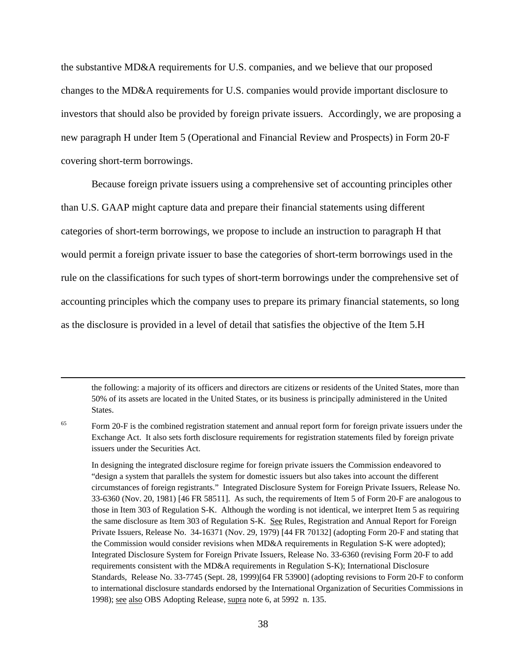the substantive MD&A requirements for U.S. companies, and we believe that our proposed changes to the MD&A requirements for U.S. companies would provide important disclosure to investors that should also be provided by foreign private issuers. Accordingly, we are proposing a new paragraph H under Item 5 (Operational and Financial Review and Prospects) in Form 20-F covering short-term borrowings.

Because foreign private issuers using a comprehensive set of accounting principles other than U.S. GAAP might capture data and prepare their financial statements using different categories of short-term borrowings, we propose to include an instruction to paragraph H that would permit a foreign private issuer to base the categories of short-term borrowings used in the rule on the classifications for such types of short-term borrowings under the comprehensive set of accounting principles which the company uses to prepare its primary financial statements, so long as the disclosure is provided in a level of detail that satisfies the objective of the Item 5.H

the following: a majority of its officers and directors are citizens or residents of the United States, more than 50% of its assets are located in the United States, or its business is principally administered in the United States.

65

 $\overline{a}$ 

 33-6360 (Nov. 20, 1981) [46 FR 58511]. As such, the requirements of Item 5 of Form 20-F are analogous to those in Item 303 of Regulation S-K. Although the wording is not identical, we interpret Item 5 as requiring Integrated Disclosure System for Foreign Private Issuers, Release No. 33-6360 (revising Form 20-F to add 1998); see also OBS Adopting Release, supra note 6, at 5992 n. 135. In designing the integrated disclosure regime for foreign private issuers the Commission endeavored to "design a system that parallels the system for domestic issuers but also takes into account the different circumstances of foreign registrants." Integrated Disclosure System for Foreign Private Issuers, Release No. the same disclosure as Item 303 of Regulation S-K. See Rules, Registration and Annual Report for Foreign Private Issuers, Release No. 34-16371 (Nov. 29, 1979) [44 FR 70132] (adopting Form 20-F and stating that the Commission would consider revisions when MD&A requirements in Regulation S-K were adopted); requirements consistent with the MD&A requirements in Regulation S-K); International Disclosure Standards, Release No. 33-7745 (Sept. 28, 1999)[64 FR 53900] (adopting revisions to Form 20-F to conform to international disclosure standards endorsed by the International Organization of Securities Commissions in

Form 20-F is the combined registration statement and annual report form for foreign private issuers under the Exchange Act. It also sets forth disclosure requirements for registration statements filed by foreign private issuers under the Securities Act.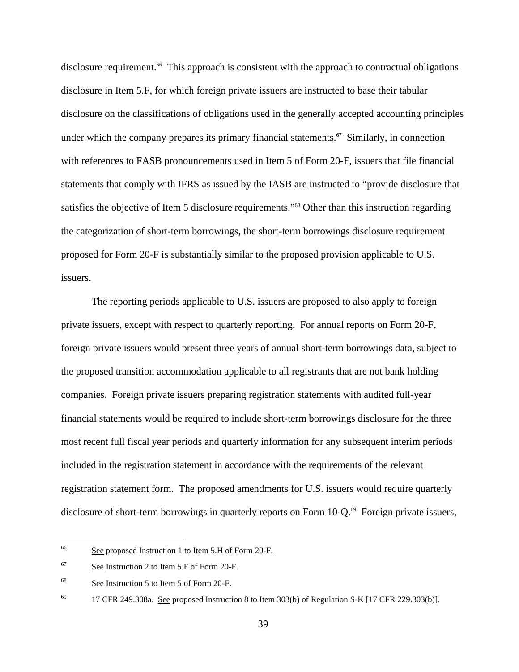disclosure requirement.<sup>66</sup> This approach is consistent with the approach to contractual obligations disclosure in Item 5.F, for which foreign private issuers are instructed to base their tabular disclosure on the classifications of obligations used in the generally accepted accounting principles under which the company prepares its primary financial statements.<sup> $67$ </sup> Similarly, in connection with references to FASB pronouncements used in Item 5 of Form 20-F, issuers that file financial statements that comply with IFRS as issued by the IASB are instructed to "provide disclosure that satisfies the objective of Item 5 disclosure requirements."<sup>68</sup> Other than this instruction regarding the categorization of short-term borrowings, the short-term borrowings disclosure requirement proposed for Form 20-F is substantially similar to the proposed provision applicable to U.S. issuers.

The reporting periods applicable to U.S. issuers are proposed to also apply to foreign private issuers, except with respect to quarterly reporting. For annual reports on Form 20-F, foreign private issuers would present three years of annual short-term borrowings data, subject to the proposed transition accommodation applicable to all registrants that are not bank holding companies. Foreign private issuers preparing registration statements with audited full-year financial statements would be required to include short-term borrowings disclosure for the three most recent full fiscal year periods and quarterly information for any subsequent interim periods included in the registration statement in accordance with the requirements of the relevant registration statement form. The proposed amendments for U.S. issuers would require quarterly disclosure of short-term borrowings in quarterly reports on Form 10-Q.<sup>69</sup> Foreign private issuers,

<sup>66</sup> See proposed Instruction 1 to Item 5.H of Form 20-F.

<sup>67</sup> See Instruction 2 to Item 5.F of Form 20-F.

<sup>68</sup> See Instruction 5 to Item 5 of Form 20-F.

<sup>69</sup> 69 17 CFR 249.308a. See proposed Instruction 8 to Item 303(b) of Regulation S-K [17 CFR 229.303(b)].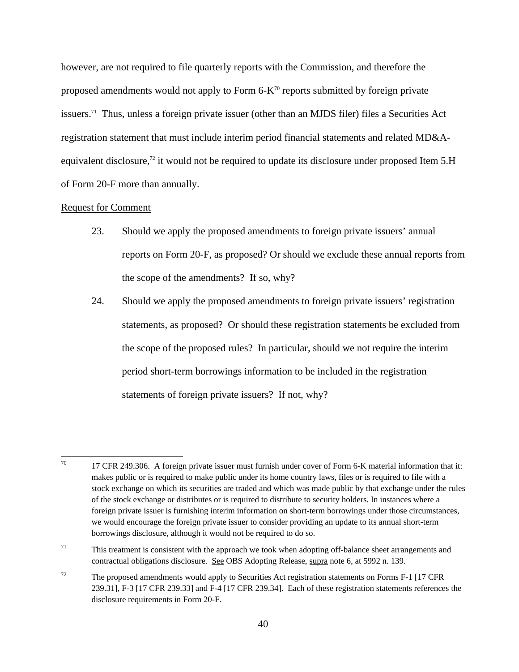however, are not required to file quarterly reports with the Commission, and therefore the proposed amendments would not apply to Form  $6-K<sup>70</sup>$  reports submitted by foreign private issuers.71 Thus, unless a foreign private issuer (other than an MJDS filer) files a Securities Act registration statement that must include interim period financial statements and related MD&Aequivalent disclosure,<sup>72</sup> it would not be required to update its disclosure under proposed Item 5.H of Form 20-F more than annually.

### Request for Comment

- 23. Should we apply the proposed amendments to foreign private issuers' annual reports on Form 20-F, as proposed? Or should we exclude these annual reports from the scope of the amendments? If so, why?
- 24. Should we apply the proposed amendments to foreign private issuers' registration statements, as proposed? Or should these registration statements be excluded from the scope of the proposed rules? In particular, should we not require the interim period short-term borrowings information to be included in the registration statements of foreign private issuers? If not, why?

 $70\,$  borrowings disclosure, although it would not be required to do so. 17 CFR 249.306. A foreign private issuer must furnish under cover of Form 6-K material information that it: makes public or is required to make public under its home country laws, files or is required to file with a stock exchange on which its securities are traded and which was made public by that exchange under the rules of the stock exchange or distributes or is required to distribute to security holders. In instances where a foreign private issuer is furnishing interim information on short-term borrowings under those circumstances, we would encourage the foreign private issuer to consider providing an update to its annual short-term

 $71$  This treatment is consistent with the approach we took when adopting off-balance sheet arrangements and contractual obligations disclosure. See OBS Adopting Release, supra note 6, at 5992 n. 139.

 $72$  The proposed amendments would apply to Securities Act registration statements on Forms F-1 [17 CFR] 239.31], F-3 [17 CFR 239.33] and F-4 [17 CFR 239.34]. Each of these registration statements references the disclosure requirements in Form 20-F.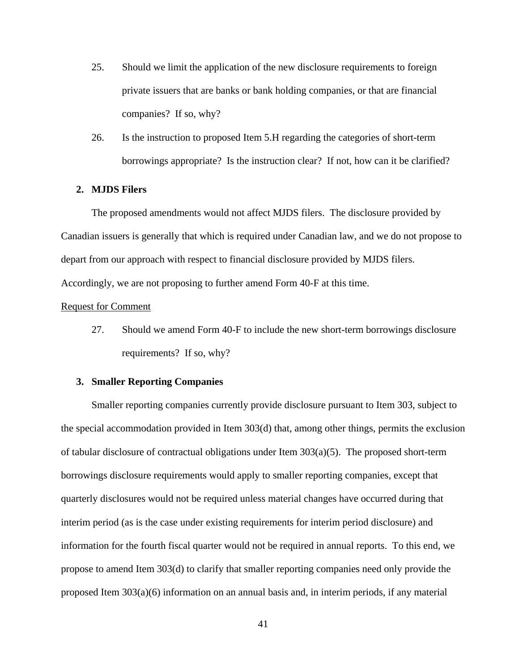- 25. Should we limit the application of the new disclosure requirements to foreign private issuers that are banks or bank holding companies, or that are financial companies? If so, why?
- 26. Is the instruction to proposed Item 5.H regarding the categories of short-term borrowings appropriate? Is the instruction clear? If not, how can it be clarified?

### **2. MJDS Filers**

The proposed amendments would not affect MJDS filers. The disclosure provided by Canadian issuers is generally that which is required under Canadian law, and we do not propose to depart from our approach with respect to financial disclosure provided by MJDS filers. Accordingly, we are not proposing to further amend Form 40-F at this time.

#### Request for Comment

27. Should we amend Form 40-F to include the new short-term borrowings disclosure requirements? If so, why?

### **3. Smaller Reporting Companies**

Smaller reporting companies currently provide disclosure pursuant to Item 303, subject to the special accommodation provided in Item 303(d) that, among other things, permits the exclusion of tabular disclosure of contractual obligations under Item  $303(a)(5)$ . The proposed short-term borrowings disclosure requirements would apply to smaller reporting companies, except that quarterly disclosures would not be required unless material changes have occurred during that interim period (as is the case under existing requirements for interim period disclosure) and information for the fourth fiscal quarter would not be required in annual reports. To this end, we propose to amend Item 303(d) to clarify that smaller reporting companies need only provide the proposed Item 303(a)(6) information on an annual basis and, in interim periods, if any material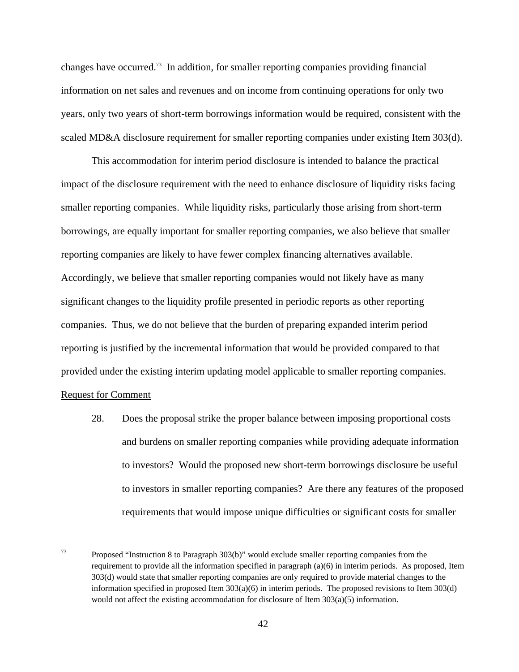changes have occurred.73 In addition, for smaller reporting companies providing financial information on net sales and revenues and on income from continuing operations for only two years, only two years of short-term borrowings information would be required, consistent with the scaled MD&A disclosure requirement for smaller reporting companies under existing Item 303(d).

reporting companies are likely to have fewer complex financing alternatives available. This accommodation for interim period disclosure is intended to balance the practical impact of the disclosure requirement with the need to enhance disclosure of liquidity risks facing smaller reporting companies. While liquidity risks, particularly those arising from short-term borrowings, are equally important for smaller reporting companies, we also believe that smaller Accordingly, we believe that smaller reporting companies would not likely have as many significant changes to the liquidity profile presented in periodic reports as other reporting companies. Thus, we do not believe that the burden of preparing expanded interim period reporting is justified by the incremental information that would be provided compared to that provided under the existing interim updating model applicable to smaller reporting companies.

## Request for Comment

28. Does the proposal strike the proper balance between imposing proportional costs and burdens on smaller reporting companies while providing adequate information to investors? Would the proposed new short-term borrowings disclosure be useful to investors in smaller reporting companies? Are there any features of the proposed requirements that would impose unique difficulties or significant costs for smaller

 $\frac{1}{73}$ Proposed "Instruction 8 to Paragraph 303(b)" would exclude smaller reporting companies from the requirement to provide all the information specified in paragraph (a)(6) in interim periods. As proposed, Item 303(d) would state that smaller reporting companies are only required to provide material changes to the information specified in proposed Item 303(a)(6) in interim periods. The proposed revisions to Item 303(d) would not affect the existing accommodation for disclosure of Item 303(a)(5) information.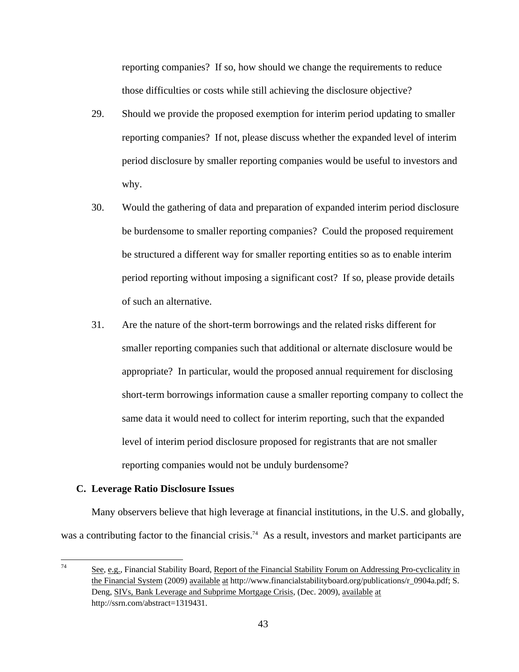reporting companies? If so, how should we change the requirements to reduce those difficulties or costs while still achieving the disclosure objective?

- 29. Should we provide the proposed exemption for interim period updating to smaller reporting companies? If not, please discuss whether the expanded level of interim period disclosure by smaller reporting companies would be useful to investors and why.
- 30. Would the gathering of data and preparation of expanded interim period disclosure be burdensome to smaller reporting companies? Could the proposed requirement be structured a different way for smaller reporting entities so as to enable interim period reporting without imposing a significant cost? If so, please provide details of such an alternative.
- 31. Are the nature of the short-term borrowings and the related risks different for smaller reporting companies such that additional or alternate disclosure would be appropriate? In particular, would the proposed annual requirement for disclosing short-term borrowings information cause a smaller reporting company to collect the same data it would need to collect for interim reporting, such that the expanded level of interim period disclosure proposed for registrants that are not smaller reporting companies would not be unduly burdensome?

### **C. Leverage Ratio Disclosure Issues**

Many observers believe that high leverage at financial institutions, in the U.S. and globally, was a contributing factor to the financial crisis.<sup>74</sup> As a result, investors and market participants are

<sup>&</sup>lt;sup>-</sup><br>74 See, e.g., Financial Stability Board, Report of the Financial Stability Forum on Addressing Pro-cyclicality in the Financial System (2009) available at http://www.financialstabilityboard.org/publications/r\_0904a.pdf; S. Deng, SIVs, Bank Leverage and Subprime Mortgage Crisis, (Dec. 2009), available at http://ssrn.com/abstract=1319431.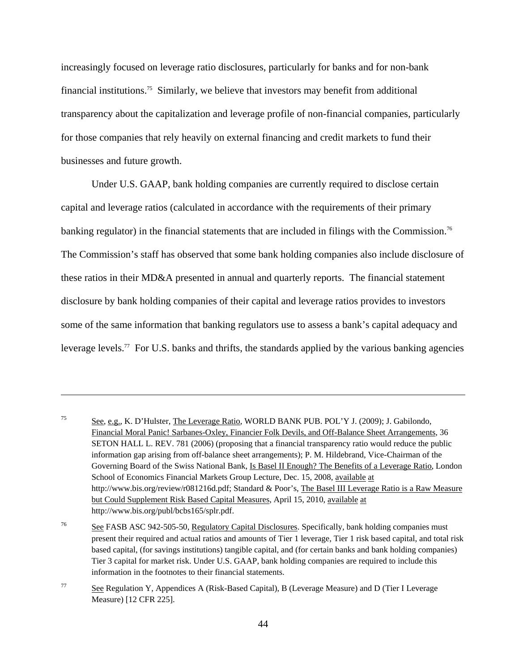increasingly focused on leverage ratio disclosures, particularly for banks and for non-bank financial institutions.75 Similarly, we believe that investors may benefit from additional transparency about the capitalization and leverage profile of non-financial companies, particularly for those companies that rely heavily on external financing and credit markets to fund their businesses and future growth.

banking regulator) in the financial statements that are included in filings with the Commission.<sup>76</sup> Under U.S. GAAP, bank holding companies are currently required to disclose certain capital and leverage ratios (calculated in accordance with the requirements of their primary The Commission's staff has observed that some bank holding companies also include disclosure of these ratios in their MD&A presented in annual and quarterly reports. The financial statement disclosure by bank holding companies of their capital and leverage ratios provides to investors some of the same information that banking regulators use to assess a bank's capital adequacy and leverage levels.<sup>77</sup> For U.S. banks and thrifts, the standards applied by the various banking agencies

 $\overline{a}$ 

<sup>75</sup> See, e.g., K. D'Hulster, The Leverage Ratio, WORLD BANK PUB. POL'Y J. (2009); J. Gabilondo, Financial Moral Panic! Sarbanes-Oxley, Financier Folk Devils, and Off-Balance Sheet Arrangements, 36 SETON HALL L. REV. 781 (2006) (proposing that a financial transparency ratio would reduce the public information gap arising from off-balance sheet arrangements); P. M. Hildebrand, Vice-Chairman of the Governing Board of the Swiss National Bank, Is Basel II Enough? The Benefits of a Leverage Ratio, London School of Economics Financial Markets Group Lecture, Dec. 15, 2008, available at http://www.bis.org/review/r081216d.pdf; Standard & Poor's, The Basel III Leverage Ratio is a Raw Measure but Could Supplement Risk Based Capital Measures, April 15, 2010, available at http://www.bis.org/publ/bcbs165/splr.pdf.

<sup>&</sup>lt;sup>76</sup> See FASB ASC 942-505-50, Regulatory Capital Disclosures. Specifically, bank holding companies must present their required and actual ratios and amounts of Tier 1 leverage, Tier 1 risk based capital, and total risk based capital, (for savings institutions) tangible capital, and (for certain banks and bank holding companies) Tier 3 capital for market risk. Under U.S. GAAP, bank holding companies are required to include this information in the footnotes to their financial statements.

 $\frac{77}{20}$  See Regulation Y, Appendices A (Risk-Based Capital), B (Leverage Measure) and D (Tier I Leverage Measure) [12 CFR 225].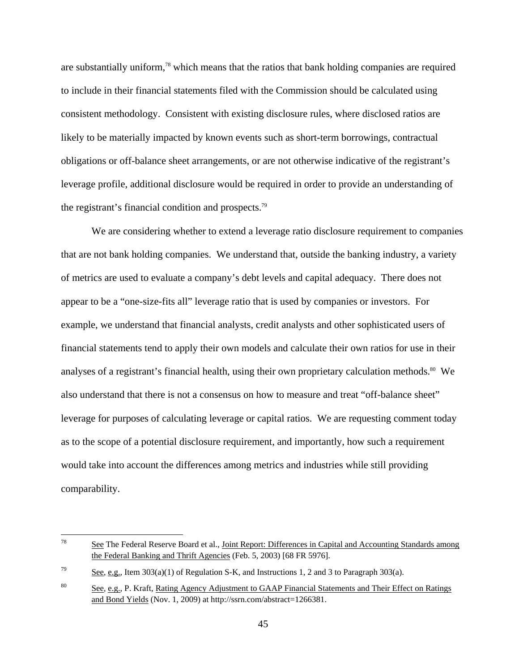are substantially uniform,78 which means that the ratios that bank holding companies are required to include in their financial statements filed with the Commission should be calculated using consistent methodology. Consistent with existing disclosure rules, where disclosed ratios are likely to be materially impacted by known events such as short-term borrowings, contractual obligations or off-balance sheet arrangements, or are not otherwise indicative of the registrant's leverage profile, additional disclosure would be required in order to provide an understanding of the registrant's financial condition and prospects.79

We are considering whether to extend a leverage ratio disclosure requirement to companies that are not bank holding companies. We understand that, outside the banking industry, a variety of metrics are used to evaluate a company's debt levels and capital adequacy. There does not appear to be a "one-size-fits all" leverage ratio that is used by companies or investors. For example, we understand that financial analysts, credit analysts and other sophisticated users of financial statements tend to apply their own models and calculate their own ratios for use in their analyses of a registrant's financial health, using their own proprietary calculation methods.<sup>80</sup> We also understand that there is not a consensus on how to measure and treat "off-balance sheet" leverage for purposes of calculating leverage or capital ratios. We are requesting comment today as to the scope of a potential disclosure requirement, and importantly, how such a requirement would take into account the differences among metrics and industries while still providing comparability.

 $78$ See The Federal Reserve Board et al., Joint Report: Differences in Capital and Accounting Standards among the Federal Banking and Thrift Agencies (Feb. 5, 2003) [68 FR 5976].

 $\frac{79}{2}$  See, e.g., Item 303(a)(1) of Regulation S-K, and Instructions 1, 2 and 3 to Paragraph 303(a).

and Bond Yields (Nov. 1, 2009) at http://ssrn.com/abstract=1266381. <sup>80</sup> See, e.g., P. Kraft, <u>Rating Agency Adjustment to GAAP Financial Statements and Their Effect on Ratings</u>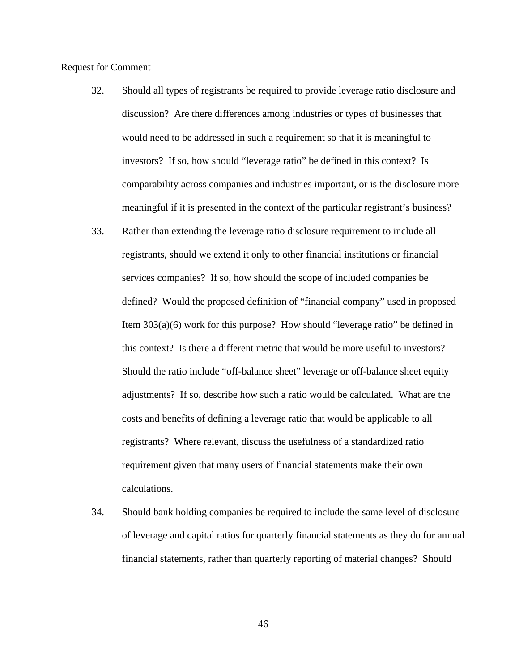### Request for Comment

- 32. Should all types of registrants be required to provide leverage ratio disclosure and discussion? Are there differences among industries or types of businesses that would need to be addressed in such a requirement so that it is meaningful to investors? If so, how should "leverage ratio" be defined in this context? Is comparability across companies and industries important, or is the disclosure more meaningful if it is presented in the context of the particular registrant's business?
- this context? Is there a different metric that would be more useful to investors? 33. Rather than extending the leverage ratio disclosure requirement to include all registrants, should we extend it only to other financial institutions or financial services companies? If so, how should the scope of included companies be defined? Would the proposed definition of "financial company" used in proposed Item 303(a)(6) work for this purpose? How should "leverage ratio" be defined in Should the ratio include "off-balance sheet" leverage or off-balance sheet equity adjustments? If so, describe how such a ratio would be calculated. What are the costs and benefits of defining a leverage ratio that would be applicable to all registrants? Where relevant, discuss the usefulness of a standardized ratio requirement given that many users of financial statements make their own calculations.
- 34. Should bank holding companies be required to include the same level of disclosure of leverage and capital ratios for quarterly financial statements as they do for annual financial statements, rather than quarterly reporting of material changes? Should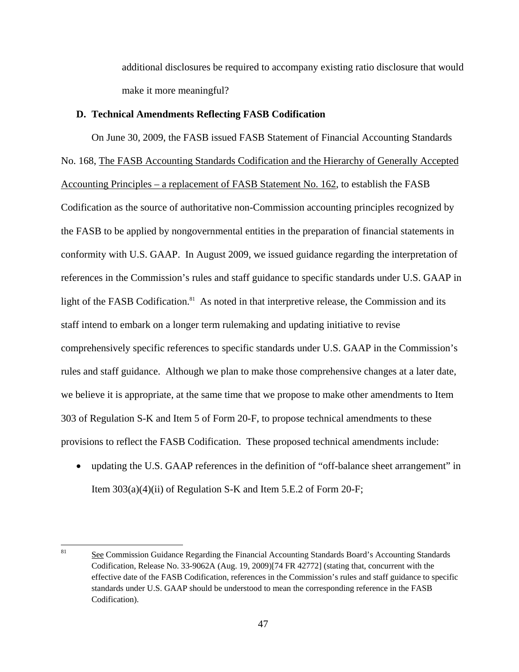additional disclosures be required to accompany existing ratio disclosure that would make it more meaningful?

### **D. Technical Amendments Reflecting FASB Codification**

On June 30, 2009, the FASB issued FASB Statement of Financial Accounting Standards No. 168, The FASB Accounting Standards Codification and the Hierarchy of Generally Accepted Accounting Principles – a replacement of FASB Statement No. 162, to establish the FASB Codification as the source of authoritative non-Commission accounting principles recognized by the FASB to be applied by nongovernmental entities in the preparation of financial statements in conformity with U.S. GAAP. In August 2009, we issued guidance regarding the interpretation of references in the Commission's rules and staff guidance to specific standards under U.S. GAAP in light of the FASB Codification.<sup>81</sup> As noted in that interpretive release, the Commission and its staff intend to embark on a longer term rulemaking and updating initiative to revise comprehensively specific references to specific standards under U.S. GAAP in the Commission's rules and staff guidance. Although we plan to make those comprehensive changes at a later date, we believe it is appropriate, at the same time that we propose to make other amendments to Item 303 of Regulation S-K and Item 5 of Form 20-F, to propose technical amendments to these provisions to reflect the FASB Codification. These proposed technical amendments include:

• updating the U.S. GAAP references in the definition of "off-balance sheet arrangement" in Item 303(a)(4)(ii) of Regulation S-K and Item 5.E.2 of Form 20-F;

 81See Commission Guidance Regarding the Financial Accounting Standards Board's Accounting Standards Codification, Release No. 33-9062A (Aug. 19, 2009)[74 FR 42772] (stating that, concurrent with the effective date of the FASB Codification, references in the Commission's rules and staff guidance to specific standards under U.S. GAAP should be understood to mean the corresponding reference in the FASB Codification).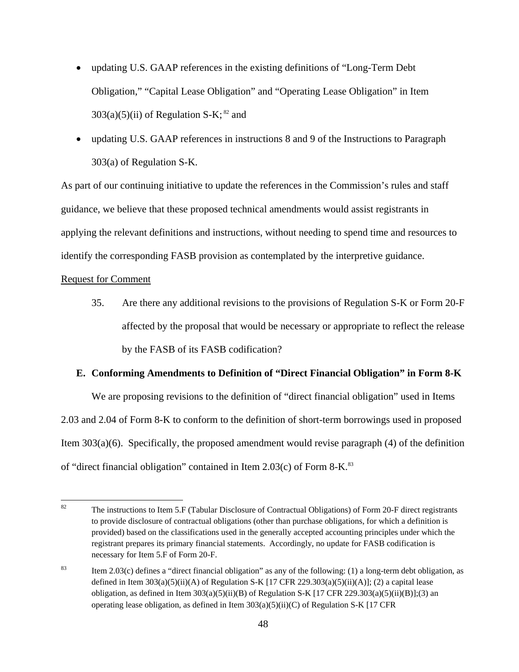- updating U.S. GAAP references in the existing definitions of "Long-Term Debt" Obligation," "Capital Lease Obligation" and "Operating Lease Obligation" in Item  $303(a)(5)(ii)$  of Regulation S-K; <sup>82</sup> and
- updating U.S. GAAP references in instructions 8 and 9 of the Instructions to Paragraph 303(a) of Regulation S-K.

As part of our continuing initiative to update the references in the Commission's rules and staff guidance, we believe that these proposed technical amendments would assist registrants in applying the relevant definitions and instructions, without needing to spend time and resources to identify the corresponding FASB provision as contemplated by the interpretive guidance.

# Request for Comment

 by the FASB of its FASB codification? 35. Are there any additional revisions to the provisions of Regulation S-K or Form 20-F affected by the proposal that would be necessary or appropriate to reflect the release

# **E. Conforming Amendments to Definition of "Direct Financial Obligation" in Form 8-K**

We are proposing revisions to the definition of "direct financial obligation" used in Items 2.03 and 2.04 of Form 8-K to conform to the definition of short-term borrowings used in proposed Item 303(a)(6). Specifically, the proposed amendment would revise paragraph (4) of the definition of "direct financial obligation" contained in Item 2.03(c) of Form 8-K.83

<sup>82</sup>  registrant prepares its primary financial statements. Accordingly, no update for FASB codification is The instructions to Item 5.F (Tabular Disclosure of Contractual Obligations) of Form 20-F direct registrants to provide disclosure of contractual obligations (other than purchase obligations, for which a definition is provided) based on the classifications used in the generally accepted accounting principles under which the necessary for Item 5.F of Form 20-F.

obligation, as defined in Item  $303(a)(5)(ii)(B)$  of Regulation S-K [17 CFR 229.303(a)(5)(ii)(B)];(3) an <sup>83</sup> Item 2.03(c) defines a "direct financial obligation" as any of the following: (1) a long-term debt obligation, as defined in Item  $303(a)(5)(ii)(A)$  of Regulation S-K [17 CFR 229.303(a)(5)(ii)(A)]; (2) a capital lease operating lease obligation, as defined in Item  $303(a)(5)(ii)(C)$  of Regulation S-K [17 CFR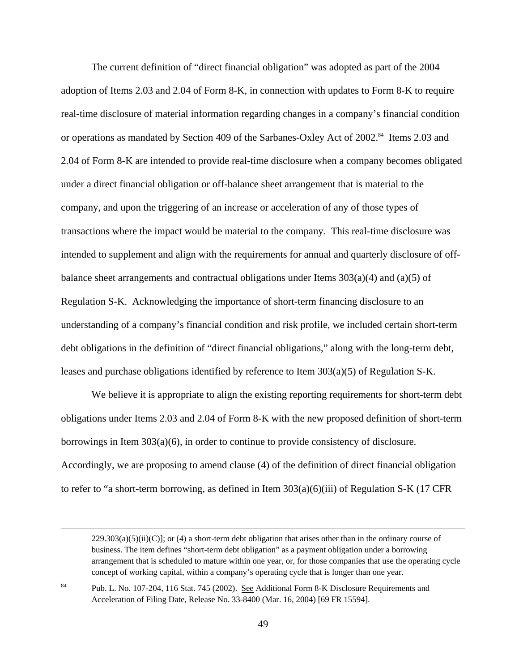The current definition of "direct financial obligation" was adopted as part of the 2004 adoption of Items 2.03 and 2.04 of Form 8-K, in connection with updates to Form 8-K to require real-time disclosure of material information regarding changes in a company's financial condition or operations as mandated by Section 409 of the Sarbanes-Oxley Act of 2002.<sup>84</sup> Items 2.03 and 2.04 of Form 8-K are intended to provide real-time disclosure when a company becomes obligated under a direct financial obligation or off-balance sheet arrangement that is material to the company, and upon the triggering of an increase or acceleration of any of those types of transactions where the impact would be material to the company. This real-time disclosure was intended to supplement and align with the requirements for annual and quarterly disclosure of offbalance sheet arrangements and contractual obligations under Items  $303(a)(4)$  and  $(a)(5)$  of Regulation S-K. Acknowledging the importance of short-term financing disclosure to an understanding of a company's financial condition and risk profile, we included certain short-term debt obligations in the definition of "direct financial obligations," along with the long-term debt, leases and purchase obligations identified by reference to Item 303(a)(5) of Regulation S-K.

We believe it is appropriate to align the existing reporting requirements for short-term debt obligations under Items 2.03 and 2.04 of Form 8-K with the new proposed definition of short-term borrowings in Item 303(a)(6), in order to continue to provide consistency of disclosure. Accordingly, we are proposing to amend clause (4) of the definition of direct financial obligation to refer to "a short-term borrowing, as defined in Item 303(a)(6)(iii) of Regulation S-K (17 CFR

Pub. L. No. 107-204, 116 Stat. 745 (2002). See Additional Form 8-K Disclosure Requirements and Acceleration of Filing Date, Release No. 33-8400 (Mar. 16, 2004) [69 FR 15594]. 84

 $\overline{a}$ 

 $229.303(a)(5)(ii)(C)$ ; or (4) a short-term debt obligation that arises other than in the ordinary course of business. The item defines "short-term debt obligation" as a payment obligation under a borrowing arrangement that is scheduled to mature within one year, or, for those companies that use the operating cycle concept of working capital, within a company's operating cycle that is longer than one year.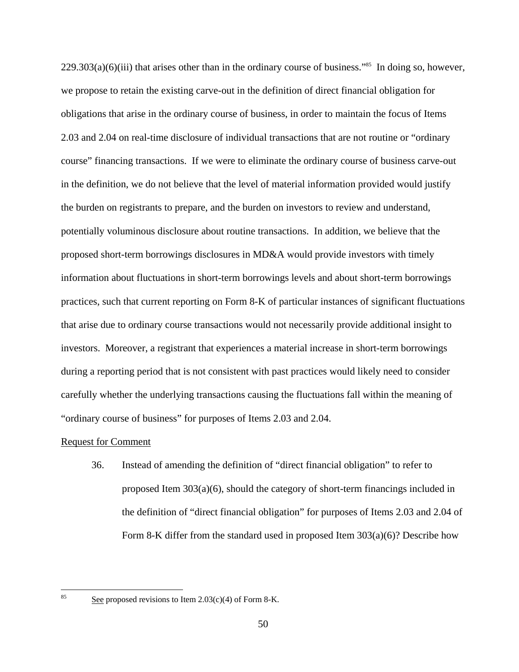$229.303(a)(6)(iii)$  that arises other than in the ordinary course of business."<sup>85</sup> In doing so, however, we propose to retain the existing carve-out in the definition of direct financial obligation for obligations that arise in the ordinary course of business, in order to maintain the focus of Items 2.03 and 2.04 on real-time disclosure of individual transactions that are not routine or "ordinary course" financing transactions. If we were to eliminate the ordinary course of business carve-out in the definition, we do not believe that the level of material information provided would justify the burden on registrants to prepare, and the burden on investors to review and understand, potentially voluminous disclosure about routine transactions. In addition, we believe that the proposed short-term borrowings disclosures in MD&A would provide investors with timely information about fluctuations in short-term borrowings levels and about short-term borrowings practices, such that current reporting on Form 8-K of particular instances of significant fluctuations that arise due to ordinary course transactions would not necessarily provide additional insight to investors. Moreover, a registrant that experiences a material increase in short-term borrowings during a reporting period that is not consistent with past practices would likely need to consider carefully whether the underlying transactions causing the fluctuations fall within the meaning of "ordinary course of business" for purposes of Items 2.03 and 2.04.

### Request for Comment

36. Instead of amending the definition of "direct financial obligation" to refer to proposed Item 303(a)(6), should the category of short-term financings included in the definition of "direct financial obligation" for purposes of Items 2.03 and 2.04 of Form 8-K differ from the standard used in proposed Item 303(a)(6)? Describe how

 $\frac{1}{85}$ 

See proposed revisions to Item  $2.03(c)(4)$  of Form 8-K.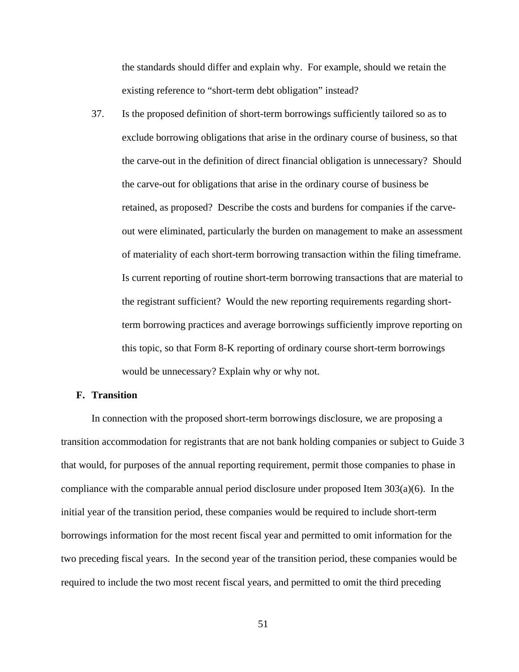the standards should differ and explain why. For example, should we retain the existing reference to "short-term debt obligation" instead?

37. Is the proposed definition of short-term borrowings sufficiently tailored so as to exclude borrowing obligations that arise in the ordinary course of business, so that the carve-out in the definition of direct financial obligation is unnecessary? Should the carve-out for obligations that arise in the ordinary course of business be retained, as proposed? Describe the costs and burdens for companies if the carveout were eliminated, particularly the burden on management to make an assessment of materiality of each short-term borrowing transaction within the filing timeframe. Is current reporting of routine short-term borrowing transactions that are material to the registrant sufficient? Would the new reporting requirements regarding shortterm borrowing practices and average borrowings sufficiently improve reporting on this topic, so that Form 8-K reporting of ordinary course short-term borrowings would be unnecessary? Explain why or why not.

### **F. Transition**

In connection with the proposed short-term borrowings disclosure, we are proposing a transition accommodation for registrants that are not bank holding companies or subject to Guide 3 that would, for purposes of the annual reporting requirement, permit those companies to phase in compliance with the comparable annual period disclosure under proposed Item 303(a)(6). In the initial year of the transition period, these companies would be required to include short-term borrowings information for the most recent fiscal year and permitted to omit information for the two preceding fiscal years. In the second year of the transition period, these companies would be required to include the two most recent fiscal years, and permitted to omit the third preceding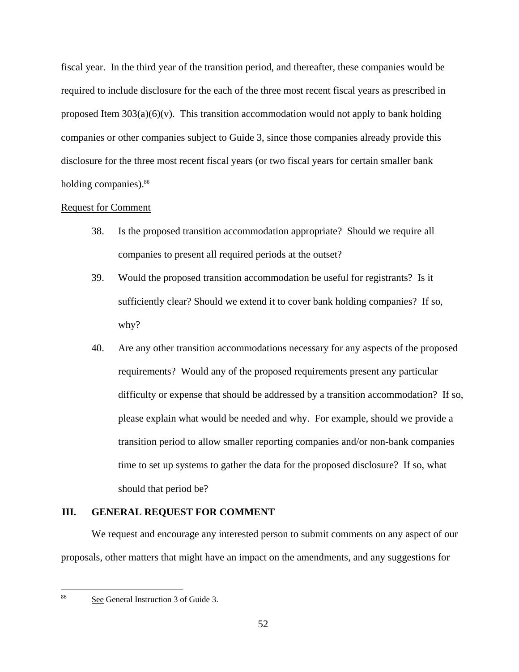fiscal year. In the third year of the transition period, and thereafter, these companies would be required to include disclosure for the each of the three most recent fiscal years as prescribed in proposed Item  $303(a)(6)(v)$ . This transition accommodation would not apply to bank holding companies or other companies subject to Guide 3, since those companies already provide this disclosure for the three most recent fiscal years (or two fiscal years for certain smaller bank holding companies).<sup>86</sup>

### Request for Comment

- 38. Is the proposed transition accommodation appropriate? Should we require all companies to present all required periods at the outset?
- 39. Would the proposed transition accommodation be useful for registrants? Is it sufficiently clear? Should we extend it to cover bank holding companies? If so, why?
- 40. Are any other transition accommodations necessary for any aspects of the proposed requirements? Would any of the proposed requirements present any particular difficulty or expense that should be addressed by a transition accommodation? If so, please explain what would be needed and why. For example, should we provide a transition period to allow smaller reporting companies and/or non-bank companies time to set up systems to gather the data for the proposed disclosure? If so, what should that period be?

# **III. GENERAL REQUEST FOR COMMENT**

We request and encourage any interested person to submit comments on any aspect of our proposals, other matters that might have an impact on the amendments, and any suggestions for

 $\frac{1}{86}$ 

See General Instruction 3 of Guide 3.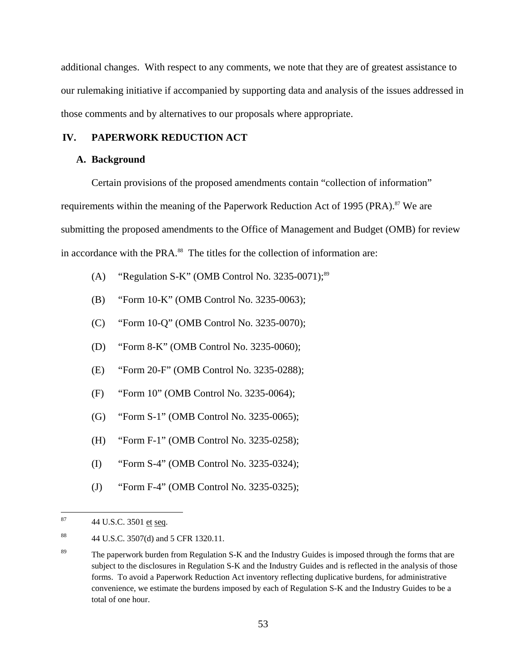additional changes. With respect to any comments, we note that they are of greatest assistance to our rulemaking initiative if accompanied by supporting data and analysis of the issues addressed in those comments and by alternatives to our proposals where appropriate.

## **IV. PAPERWORK REDUCTION ACT**

### **A. Background**

Certain provisions of the proposed amendments contain "collection of information" requirements within the meaning of the Paperwork Reduction Act of 1995 (PRA).<sup>87</sup> We are submitting the proposed amendments to the Office of Management and Budget (OMB) for review in accordance with the PRA.<sup>88</sup> The titles for the collection of information are:

- (A) "Regulation S-K" (OMB Control No. 3235-0071);<sup>89</sup>
- (B) "Form 10-K" (OMB Control No. 3235-0063);
- (C) "Form 10-Q" (OMB Control No. 3235-0070);
- (D) "Form 8-K" (OMB Control No. 3235-0060);
- (E) "Form 20-F" (OMB Control No. 3235-0288);
- (F) "Form 10" (OMB Control No. 3235-0064);
- (G) "Form S-1" (OMB Control No. 3235-0065);
- (H) "Form F-1" (OMB Control No. 3235-0258);
- (I) "Form S-4" (OMB Control No. 3235-0324);
- (J) "Form F-4" (OMB Control No. 3235-0325);

<sup>87</sup> 44 U.S.C. 3501 et seq.

<sup>88</sup> 44 U.S.C. 3507(d) and 5 CFR 1320.11.

<sup>&</sup>lt;sup>89</sup> The paperwork burden from Regulation S-K and the Industry Guides is imposed through the forms that are subject to the disclosures in Regulation S-K and the Industry Guides and is reflected in the analysis of those forms. To avoid a Paperwork Reduction Act inventory reflecting duplicative burdens, for administrative convenience, we estimate the burdens imposed by each of Regulation S-K and the Industry Guides to be a total of one hour.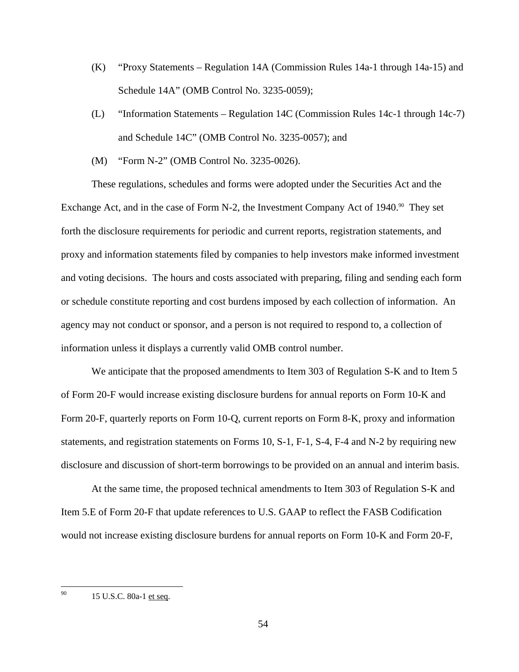- (K) "Proxy Statements Regulation 14A (Commission Rules 14a-1 through 14a-15) and Schedule 14A" (OMB Control No. 3235-0059);
- (L) "Information Statements Regulation 14C (Commission Rules 14c-1 through 14c-7) and Schedule 14C" (OMB Control No. 3235-0057); and
- (M) "Form N-2" (OMB Control No. 3235-0026).

These regulations, schedules and forms were adopted under the Securities Act and the Exchange Act, and in the case of Form N-2, the Investment Company Act of  $1940$ .<sup>90</sup> They set forth the disclosure requirements for periodic and current reports, registration statements, and proxy and information statements filed by companies to help investors make informed investment and voting decisions. The hours and costs associated with preparing, filing and sending each form or schedule constitute reporting and cost burdens imposed by each collection of information. An agency may not conduct or sponsor, and a person is not required to respond to, a collection of information unless it displays a currently valid OMB control number.

We anticipate that the proposed amendments to Item 303 of Regulation S-K and to Item 5 of Form 20-F would increase existing disclosure burdens for annual reports on Form 10-K and Form 20-F, quarterly reports on Form 10-Q, current reports on Form 8-K, proxy and information statements, and registration statements on Forms 10, S-1, F-1, S-4, F-4 and N-2 by requiring new disclosure and discussion of short-term borrowings to be provided on an annual and interim basis.

At the same time, the proposed technical amendments to Item 303 of Regulation S-K and Item 5.E of Form 20-F that update references to U.S. GAAP to reflect the FASB Codification would not increase existing disclosure burdens for annual reports on Form 10-K and Form 20-F,

 $\overline{a}$ 

 90 15 U.S.C. 80a-1 et seq.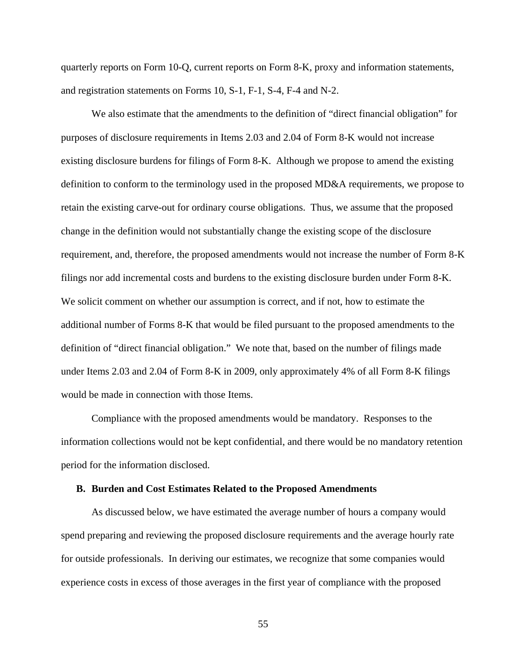quarterly reports on Form 10-Q, current reports on Form 8-K, proxy and information statements, and registration statements on Forms 10, S-1, F-1, S-4, F-4 and N-2.

We also estimate that the amendments to the definition of "direct financial obligation" for purposes of disclosure requirements in Items 2.03 and 2.04 of Form 8-K would not increase existing disclosure burdens for filings of Form 8-K. Although we propose to amend the existing definition to conform to the terminology used in the proposed MD&A requirements, we propose to retain the existing carve-out for ordinary course obligations. Thus, we assume that the proposed change in the definition would not substantially change the existing scope of the disclosure requirement, and, therefore, the proposed amendments would not increase the number of Form 8-K filings nor add incremental costs and burdens to the existing disclosure burden under Form 8-K. We solicit comment on whether our assumption is correct, and if not, how to estimate the additional number of Forms 8-K that would be filed pursuant to the proposed amendments to the definition of "direct financial obligation." We note that, based on the number of filings made under Items 2.03 and 2.04 of Form 8-K in 2009, only approximately 4% of all Form 8-K filings would be made in connection with those Items.

Compliance with the proposed amendments would be mandatory. Responses to the information collections would not be kept confidential, and there would be no mandatory retention period for the information disclosed.

#### **B. Burden and Cost Estimates Related to the Proposed Amendments**

As discussed below, we have estimated the average number of hours a company would spend preparing and reviewing the proposed disclosure requirements and the average hourly rate for outside professionals. In deriving our estimates, we recognize that some companies would experience costs in excess of those averages in the first year of compliance with the proposed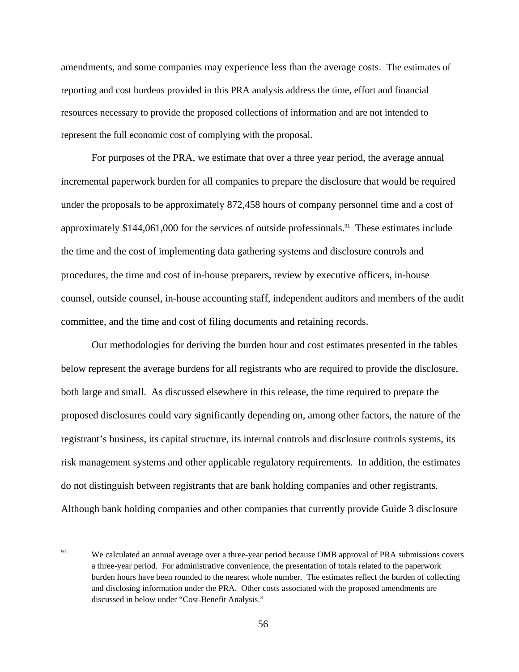amendments, and some companies may experience less than the average costs. The estimates of reporting and cost burdens provided in this PRA analysis address the time, effort and financial resources necessary to provide the proposed collections of information and are not intended to represent the full economic cost of complying with the proposal.

For purposes of the PRA, we estimate that over a three year period, the average annual incremental paperwork burden for all companies to prepare the disclosure that would be required under the proposals to be approximately 872,458 hours of company personnel time and a cost of approximately \$144,061,000 for the services of outside professionals.<sup>91</sup> These estimates include the time and the cost of implementing data gathering systems and disclosure controls and procedures, the time and cost of in-house preparers, review by executive officers, in-house counsel, outside counsel, in-house accounting staff, independent auditors and members of the audit committee, and the time and cost of filing documents and retaining records.

Our methodologies for deriving the burden hour and cost estimates presented in the tables below represent the average burdens for all registrants who are required to provide the disclosure, both large and small. As discussed elsewhere in this release, the time required to prepare the proposed disclosures could vary significantly depending on, among other factors, the nature of the registrant's business, its capital structure, its internal controls and disclosure controls systems, its risk management systems and other applicable regulatory requirements. In addition, the estimates do not distinguish between registrants that are bank holding companies and other registrants. Although bank holding companies and other companies that currently provide Guide 3 disclosure

<sup>&</sup>lt;sup>91</sup> and disclosing information under the PRA. Other costs associated with the proposed amendments are We calculated an annual average over a three-year period because OMB approval of PRA submissions covers a three-year period. For administrative convenience, the presentation of totals related to the paperwork burden hours have been rounded to the nearest whole number. The estimates reflect the burden of collecting discussed in below under "Cost-Benefit Analysis."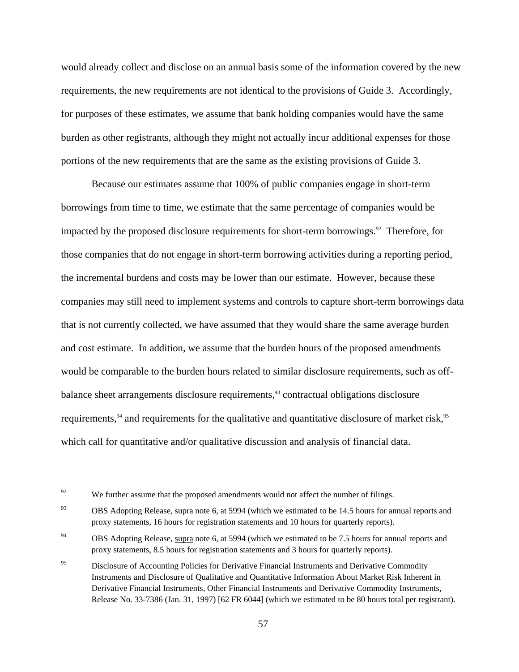would already collect and disclose on an annual basis some of the information covered by the new requirements, the new requirements are not identical to the provisions of Guide 3. Accordingly, for purposes of these estimates, we assume that bank holding companies would have the same burden as other registrants, although they might not actually incur additional expenses for those portions of the new requirements that are the same as the existing provisions of Guide 3.

Because our estimates assume that 100% of public companies engage in short-term borrowings from time to time, we estimate that the same percentage of companies would be impacted by the proposed disclosure requirements for short-term borrowings.<sup>92</sup> Therefore, for those companies that do not engage in short-term borrowing activities during a reporting period, the incremental burdens and costs may be lower than our estimate. However, because these companies may still need to implement systems and controls to capture short-term borrowings data that is not currently collected, we have assumed that they would share the same average burden and cost estimate. In addition, we assume that the burden hours of the proposed amendments would be comparable to the burden hours related to similar disclosure requirements, such as offbalance sheet arrangements disclosure requirements,<sup>93</sup> contractual obligations disclosure requirements, $94$  and requirements for the qualitative and quantitative disclosure of market risk,  $95$ which call for quantitative and/or qualitative discussion and analysis of financial data.

<sup>92</sup> We further assume that the proposed amendments would not affect the number of filings.

<sup>&</sup>lt;sup>93</sup> OBS Adopting Release, supra note 6, at 5994 (which we estimated to be 14.5 hours for annual reports and proxy statements, 16 hours for registration statements and 10 hours for quarterly reports).

 $^{94}$  OBS Adopting Release, supra note 6, at 5994 (which we estimated to be 7.5 hours for annual reports and proxy statements, 8.5 hours for registration statements and 3 hours for quarterly reports).

 Instruments and Disclosure of Qualitative and Quantitative Information About Market Risk Inherent in Release No. 33-7386 (Jan. 31, 1997) [62 FR 6044] (which we estimated to be 80 hours total per registrant). <sup>95</sup> Disclosure of Accounting Policies for Derivative Financial Instruments and Derivative Commodity Derivative Financial Instruments, Other Financial Instruments and Derivative Commodity Instruments,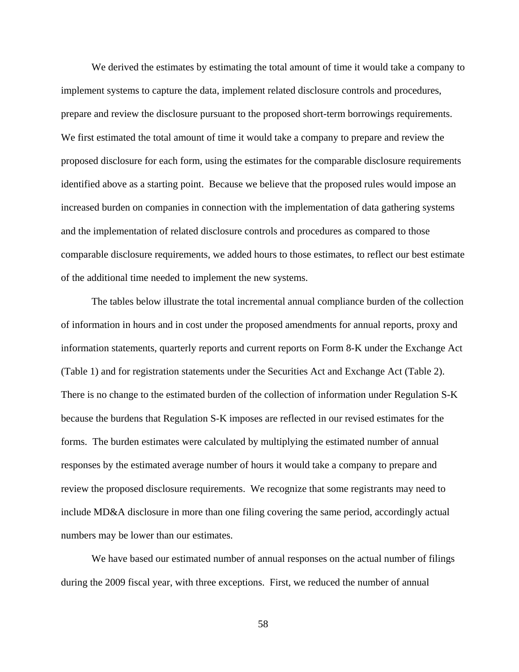We derived the estimates by estimating the total amount of time it would take a company to implement systems to capture the data, implement related disclosure controls and procedures, prepare and review the disclosure pursuant to the proposed short-term borrowings requirements. We first estimated the total amount of time it would take a company to prepare and review the proposed disclosure for each form, using the estimates for the comparable disclosure requirements identified above as a starting point. Because we believe that the proposed rules would impose an increased burden on companies in connection with the implementation of data gathering systems and the implementation of related disclosure controls and procedures as compared to those comparable disclosure requirements, we added hours to those estimates, to reflect our best estimate of the additional time needed to implement the new systems.

The tables below illustrate the total incremental annual compliance burden of the collection of information in hours and in cost under the proposed amendments for annual reports, proxy and information statements, quarterly reports and current reports on Form 8-K under the Exchange Act (Table 1) and for registration statements under the Securities Act and Exchange Act (Table 2). There is no change to the estimated burden of the collection of information under Regulation S-K because the burdens that Regulation S-K imposes are reflected in our revised estimates for the forms. The burden estimates were calculated by multiplying the estimated number of annual responses by the estimated average number of hours it would take a company to prepare and review the proposed disclosure requirements. We recognize that some registrants may need to include MD&A disclosure in more than one filing covering the same period, accordingly actual numbers may be lower than our estimates.

We have based our estimated number of annual responses on the actual number of filings during the 2009 fiscal year, with three exceptions. First, we reduced the number of annual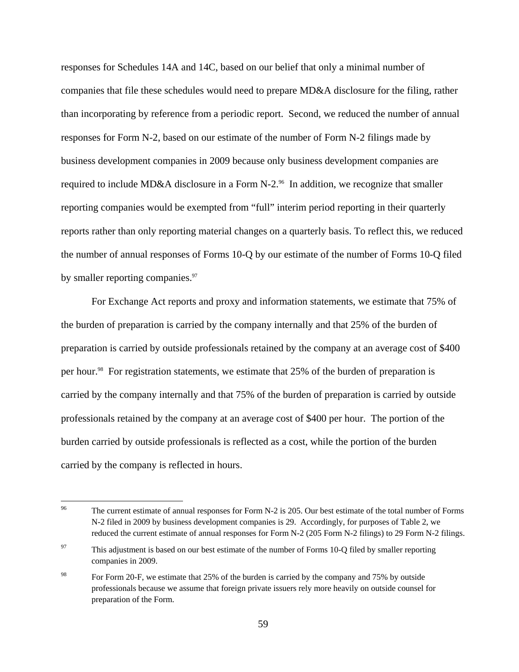responses for Schedules 14A and 14C, based on our belief that only a minimal number of companies that file these schedules would need to prepare MD&A disclosure for the filing, rather than incorporating by reference from a periodic report. Second, we reduced the number of annual responses for Form N-2, based on our estimate of the number of Form N-2 filings made by business development companies in 2009 because only business development companies are required to include MD&A disclosure in a Form N-2.<sup>96</sup> In addition, we recognize that smaller reporting companies would be exempted from "full" interim period reporting in their quarterly reports rather than only reporting material changes on a quarterly basis. To reflect this, we reduced the number of annual responses of Forms 10-Q by our estimate of the number of Forms 10-Q filed by smaller reporting companies. $97$ 

For Exchange Act reports and proxy and information statements, we estimate that 75% of the burden of preparation is carried by the company internally and that 25% of the burden of preparation is carried by outside professionals retained by the company at an average cost of \$400 per hour.<sup>98</sup> For registration statements, we estimate that 25% of the burden of preparation is carried by the company internally and that 75% of the burden of preparation is carried by outside professionals retained by the company at an average cost of \$400 per hour. The portion of the burden carried by outside professionals is reflected as a cost, while the portion of the burden carried by the company is reflected in hours.

 $\overline{a}$  N-2 filed in 2009 by business development companies is 29. Accordingly, for purposes of Table 2, we reduced the current estimate of annual responses for Form N-2 (205 Form N-2 filings) to 29 Form N-2 filings. The current estimate of annual responses for Form N-2 is 205. Our best estimate of the total number of Forms

<sup>&</sup>lt;sup>97</sup> This adjustment is based on our best estimate of the number of Forms 10-Q filed by smaller reporting companies in 2009.

<sup>&</sup>lt;sup>98</sup> For Form 20-F, we estimate that 25% of the burden is carried by the company and 75% by outside professionals because we assume that foreign private issuers rely more heavily on outside counsel for preparation of the Form.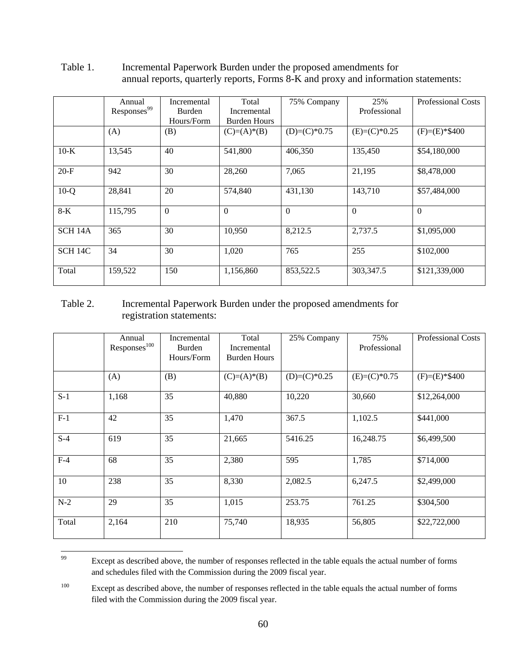|                     | Annual<br>Responses <sup>99</sup> | Incremental<br><b>Burden</b> | Total<br>Incremental | 75% Company    | 25%<br>Professional | <b>Professional Costs</b> |
|---------------------|-----------------------------------|------------------------------|----------------------|----------------|---------------------|---------------------------|
|                     |                                   | Hours/Form                   | <b>Burden Hours</b>  |                |                     |                           |
|                     | (A)                               | (B)                          | $(C)=(A)*(B)$        | $(D)=(C)*0.75$ | $(E)=(C)*0.25$      | $(F)=(E)*\$400$           |
| $10-K$              | 13,545                            | 40                           | 541,800              | 406,350        | 135,450             | \$54,180,000              |
| $20-F$              | 942                               | 30                           | 28,260               | 7,065          | 21,195              | \$8,478,000               |
| $10-Q$              | 28,841                            | 20                           | 574,840              | 431,130        | 143,710             | \$57,484,000              |
| $8-K$               | 115,795                           | $\Omega$                     | $\Omega$             | $\Omega$       | $\Omega$            | $\Omega$                  |
| SCH <sub>14</sub> A | 365                               | 30                           | 10,950               | 8,212.5        | 2,737.5             | \$1,095,000               |
| SCH <sub>14C</sub>  | 34                                | 30                           | 1,020                | 765            | 255                 | \$102,000                 |
| Total               | 159,522                           | 150                          | 1,156,860            | 853,522.5      | 303,347.5           | \$121,339,000             |

Table 1. Incremental Paperwork Burden under the proposed amendments for annual reports, quarterly reports, Forms 8-K and proxy and information statements:

# Table 2. Incremental Paperwork Burden under the proposed amendments for registration statements:

|       | Annual<br>Responses <sup>100</sup> | Incremental<br>Burden<br>Hours/Form | Total<br>Incremental<br><b>Burden Hours</b> | 25% Company    | 75%<br>Professional | <b>Professional Costs</b> |
|-------|------------------------------------|-------------------------------------|---------------------------------------------|----------------|---------------------|---------------------------|
|       | (A)                                | (B)                                 | $(C)=(A)*(B)$                               | $(D)=(C)*0.25$ | $(E)=(C)*0.75$      | $(F)=(E)*\$400$           |
| $S-1$ | 1,168                              | 35                                  | 40,880                                      | 10,220         | 30,660              | \$12,264,000              |
| $F-1$ | 42                                 | 35                                  | 1,470                                       | 367.5          | 1,102.5             | \$441,000                 |
| $S-4$ | 619                                | 35                                  | 21,665                                      | 5416.25        | 16,248.75           | \$6,499,500               |
| $F-4$ | 68                                 | 35                                  | 2,380                                       | 595            | 1,785               | \$714,000                 |
| 10    | 238                                | 35                                  | 8,330                                       | 2,082.5        | 6,247.5             | \$2,499,000               |
| $N-2$ | 29                                 | 35                                  | 1,015                                       | 253.75         | 761.25              | \$304,500                 |
| Total | 2,164                              | 210                                 | 75,740                                      | 18,935         | 56,805              | \$22,722,000              |

<sup>99</sup>  and schedules filed with the Commission during the 2009 fiscal year. Except as described above, the number of responses reflected in the table equals the actual number of forms

 filed with the Commission during the 2009 fiscal year. <sup>100</sup> Except as described above, the number of responses reflected in the table equals the actual number of forms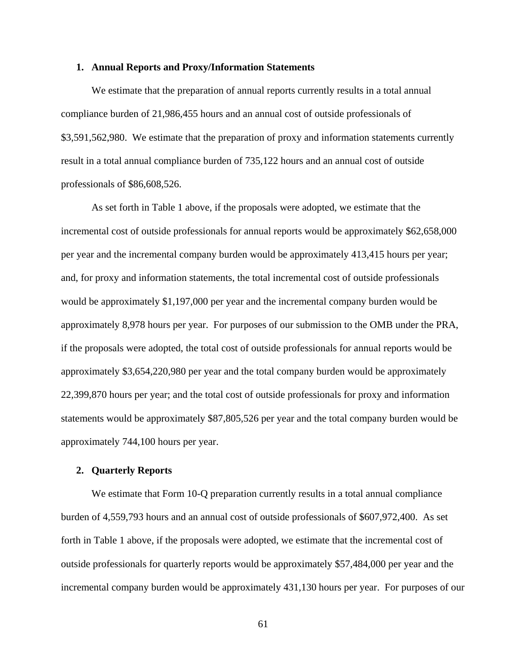### **1. Annual Reports and Proxy/Information Statements**

We estimate that the preparation of annual reports currently results in a total annual compliance burden of 21,986,455 hours and an annual cost of outside professionals of \$3,591,562,980. We estimate that the preparation of proxy and information statements currently result in a total annual compliance burden of 735,122 hours and an annual cost of outside professionals of \$86,608,526.

As set forth in Table 1 above, if the proposals were adopted, we estimate that the incremental cost of outside professionals for annual reports would be approximately \$62,658,000 per year and the incremental company burden would be approximately 413,415 hours per year; and, for proxy and information statements, the total incremental cost of outside professionals would be approximately \$1,197,000 per year and the incremental company burden would be approximately 8,978 hours per year. For purposes of our submission to the OMB under the PRA, if the proposals were adopted, the total cost of outside professionals for annual reports would be approximately \$3,654,220,980 per year and the total company burden would be approximately 22,399,870 hours per year; and the total cost of outside professionals for proxy and information statements would be approximately \$87,805,526 per year and the total company burden would be approximately 744,100 hours per year.

#### **2. Quarterly Reports**

We estimate that Form 10-Q preparation currently results in a total annual compliance burden of 4,559,793 hours and an annual cost of outside professionals of \$607,972,400. As set forth in Table 1 above, if the proposals were adopted, we estimate that the incremental cost of outside professionals for quarterly reports would be approximately \$57,484,000 per year and the incremental company burden would be approximately 431,130 hours per year. For purposes of our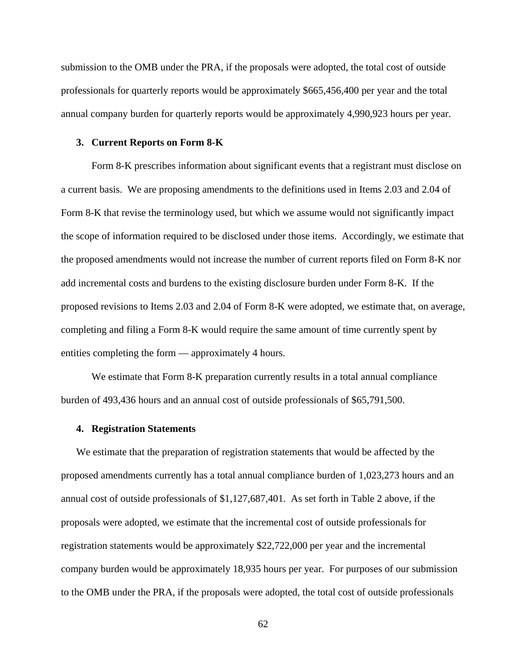submission to the OMB under the PRA, if the proposals were adopted, the total cost of outside professionals for quarterly reports would be approximately \$665,456,400 per year and the total annual company burden for quarterly reports would be approximately 4,990,923 hours per year.

### **3. Current Reports on Form 8-K**

Form 8-K prescribes information about significant events that a registrant must disclose on a current basis. We are proposing amendments to the definitions used in Items 2.03 and 2.04 of Form 8-K that revise the terminology used, but which we assume would not significantly impact the scope of information required to be disclosed under those items. Accordingly, we estimate that the proposed amendments would not increase the number of current reports filed on Form 8-K nor add incremental costs and burdens to the existing disclosure burden under Form 8-K. If the proposed revisions to Items 2.03 and 2.04 of Form 8-K were adopted, we estimate that, on average, completing and filing a Form 8-K would require the same amount of time currently spent by entities completing the form — approximately 4 hours.

We estimate that Form 8-K preparation currently results in a total annual compliance burden of 493,436 hours and an annual cost of outside professionals of \$65,791,500.

### **4. Registration Statements**

We estimate that the preparation of registration statements that would be affected by the proposed amendments currently has a total annual compliance burden of 1,023,273 hours and an annual cost of outside professionals of \$1,127,687,401. As set forth in Table 2 above, if the proposals were adopted, we estimate that the incremental cost of outside professionals for registration statements would be approximately \$22,722,000 per year and the incremental company burden would be approximately 18,935 hours per year. For purposes of our submission to the OMB under the PRA, if the proposals were adopted, the total cost of outside professionals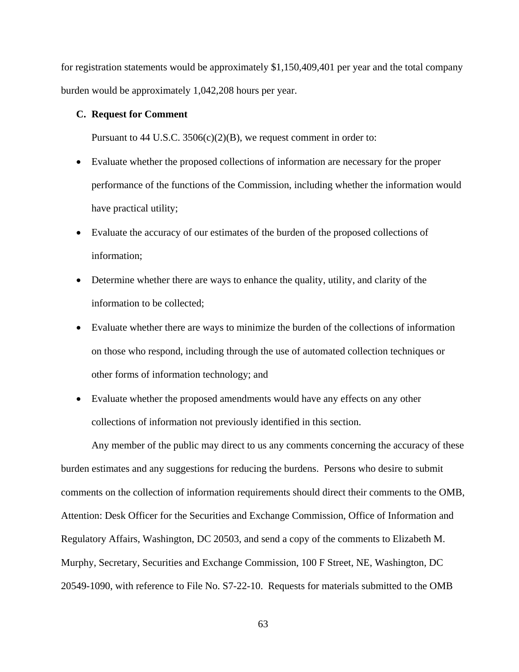for registration statements would be approximately \$1,150,409,401 per year and the total company burden would be approximately 1,042,208 hours per year.

## **C. Request for Comment**

Pursuant to 44 U.S.C.  $3506(c)(2)(B)$ , we request comment in order to:

- Evaluate whether the proposed collections of information are necessary for the proper performance of the functions of the Commission, including whether the information would have practical utility;
- Evaluate the accuracy of our estimates of the burden of the proposed collections of information;
- Determine whether there are ways to enhance the quality, utility, and clarity of the information to be collected;
- Evaluate whether there are ways to minimize the burden of the collections of information on those who respond, including through the use of automated collection techniques or other forms of information technology; and
- Evaluate whether the proposed amendments would have any effects on any other collections of information not previously identified in this section.

Any member of the public may direct to us any comments concerning the accuracy of these burden estimates and any suggestions for reducing the burdens. Persons who desire to submit comments on the collection of information requirements should direct their comments to the OMB, Attention: Desk Officer for the Securities and Exchange Commission, Office of Information and Regulatory Affairs, Washington, DC 20503, and send a copy of the comments to Elizabeth M. Murphy, Secretary, Securities and Exchange Commission, 100 F Street, NE, Washington, DC 20549-1090, with reference to File No. S7-22-10. Requests for materials submitted to the OMB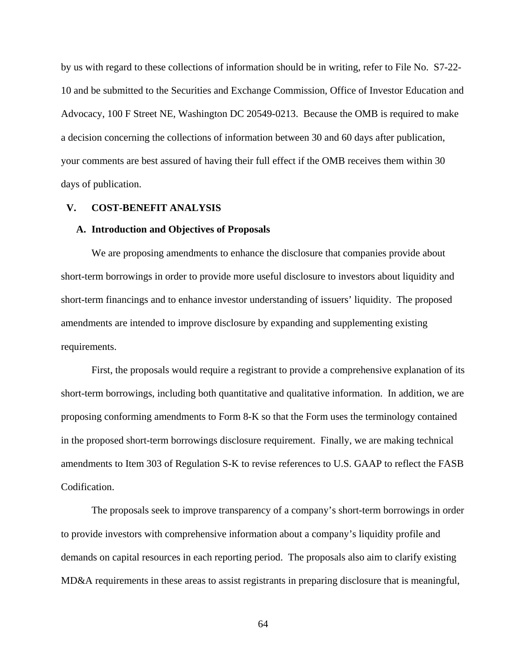by us with regard to these collections of information should be in writing, refer to File No. S7-22- 10 and be submitted to the Securities and Exchange Commission, Office of Investor Education and Advocacy, 100 F Street NE, Washington DC 20549-0213. Because the OMB is required to make a decision concerning the collections of information between 30 and 60 days after publication, your comments are best assured of having their full effect if the OMB receives them within 30 days of publication.

## **V. COST-BENEFIT ANALYSIS**

### **A. Introduction and Objectives of Proposals**

We are proposing amendments to enhance the disclosure that companies provide about short-term borrowings in order to provide more useful disclosure to investors about liquidity and short-term financings and to enhance investor understanding of issuers' liquidity. The proposed amendments are intended to improve disclosure by expanding and supplementing existing requirements.

First, the proposals would require a registrant to provide a comprehensive explanation of its short-term borrowings, including both quantitative and qualitative information. In addition, we are proposing conforming amendments to Form 8-K so that the Form uses the terminology contained in the proposed short-term borrowings disclosure requirement. Finally, we are making technical amendments to Item 303 of Regulation S-K to revise references to U.S. GAAP to reflect the FASB Codification.

The proposals seek to improve transparency of a company's short-term borrowings in order to provide investors with comprehensive information about a company's liquidity profile and demands on capital resources in each reporting period. The proposals also aim to clarify existing MD&A requirements in these areas to assist registrants in preparing disclosure that is meaningful,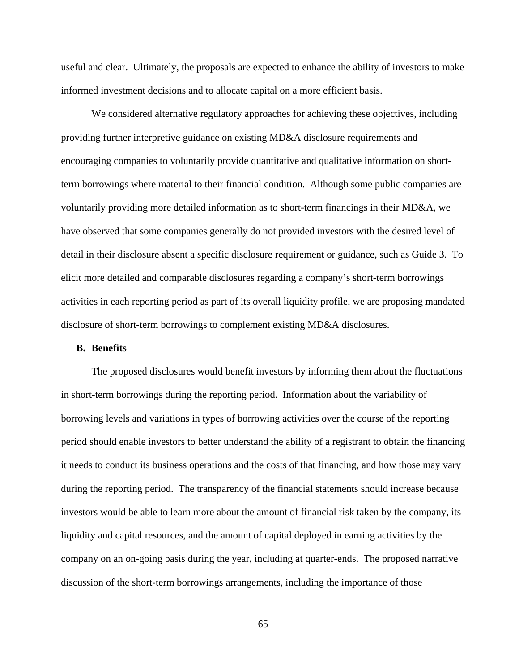useful and clear. Ultimately, the proposals are expected to enhance the ability of investors to make informed investment decisions and to allocate capital on a more efficient basis.

We considered alternative regulatory approaches for achieving these objectives, including providing further interpretive guidance on existing MD&A disclosure requirements and encouraging companies to voluntarily provide quantitative and qualitative information on shortterm borrowings where material to their financial condition. Although some public companies are voluntarily providing more detailed information as to short-term financings in their MD&A, we have observed that some companies generally do not provided investors with the desired level of detail in their disclosure absent a specific disclosure requirement or guidance, such as Guide 3. To elicit more detailed and comparable disclosures regarding a company's short-term borrowings activities in each reporting period as part of its overall liquidity profile, we are proposing mandated disclosure of short-term borrowings to complement existing MD&A disclosures.

#### **B. Benefits**

The proposed disclosures would benefit investors by informing them about the fluctuations in short-term borrowings during the reporting period. Information about the variability of borrowing levels and variations in types of borrowing activities over the course of the reporting period should enable investors to better understand the ability of a registrant to obtain the financing it needs to conduct its business operations and the costs of that financing, and how those may vary during the reporting period. The transparency of the financial statements should increase because investors would be able to learn more about the amount of financial risk taken by the company, its liquidity and capital resources, and the amount of capital deployed in earning activities by the company on an on-going basis during the year, including at quarter-ends. The proposed narrative discussion of the short-term borrowings arrangements, including the importance of those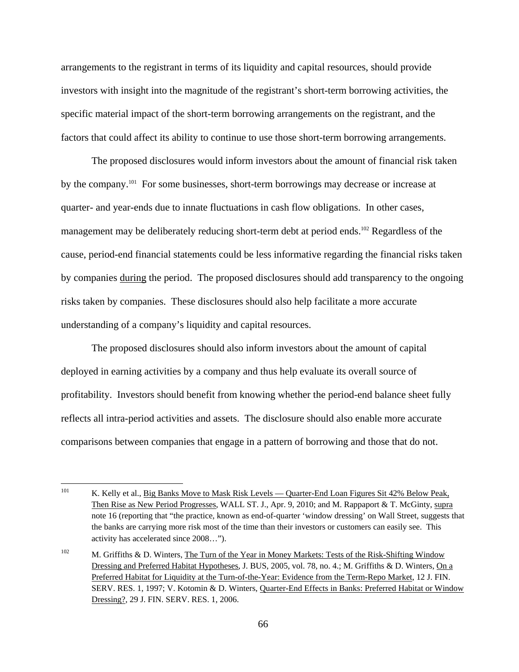arrangements to the registrant in terms of its liquidity and capital resources, should provide investors with insight into the magnitude of the registrant's short-term borrowing activities, the specific material impact of the short-term borrowing arrangements on the registrant, and the factors that could affect its ability to continue to use those short-term borrowing arrangements.

The proposed disclosures would inform investors about the amount of financial risk taken by the company.<sup>101</sup> For some businesses, short-term borrowings may decrease or increase at quarter- and year-ends due to innate fluctuations in cash flow obligations. In other cases, management may be deliberately reducing short-term debt at period ends.<sup>102</sup> Regardless of the cause, period-end financial statements could be less informative regarding the financial risks taken by companies during the period. The proposed disclosures should add transparency to the ongoing risks taken by companies. These disclosures should also help facilitate a more accurate understanding of a company's liquidity and capital resources.

The proposed disclosures should also inform investors about the amount of capital deployed in earning activities by a company and thus help evaluate its overall source of profitability. Investors should benefit from knowing whether the period-end balance sheet fully reflects all intra-period activities and assets. The disclosure should also enable more accurate comparisons between companies that engage in a pattern of borrowing and those that do not.

<sup>101</sup> Then Rise as New Period Progresses, WALL ST. J., Apr. 9, 2010; and M. Rappaport & T. McGinty, supra note 16 (reporting that "the practice, known as end-of-quarter 'window dressing' on Wall Street, suggests that K. Kelly et al., Big Banks Move to Mask Risk Levels — Quarter-End Loan Figures Sit 42% Below Peak, the banks are carrying more risk most of the time than their investors or customers can easily see. This activity has accelerated since 2008…").

Dressing?, 29 J. FIN. SERV. RES. 1, 2006. <sup>102</sup> M. Griffiths & D. Winters, The Turn of the Year in Money Markets: Tests of the Risk-Shifting Window Dressing and Preferred Habitat Hypotheses, J. BUS, 2005, vol. 78, no. 4.; M. Griffiths & D. Winters, On a Preferred Habitat for Liquidity at the Turn-of-the-Year: Evidence from the Term-Repo Market, 12 J. FIN. SERV. RES. 1, 1997; V. Kotomin & D. Winters, Quarter-End Effects in Banks: Preferred Habitat or Window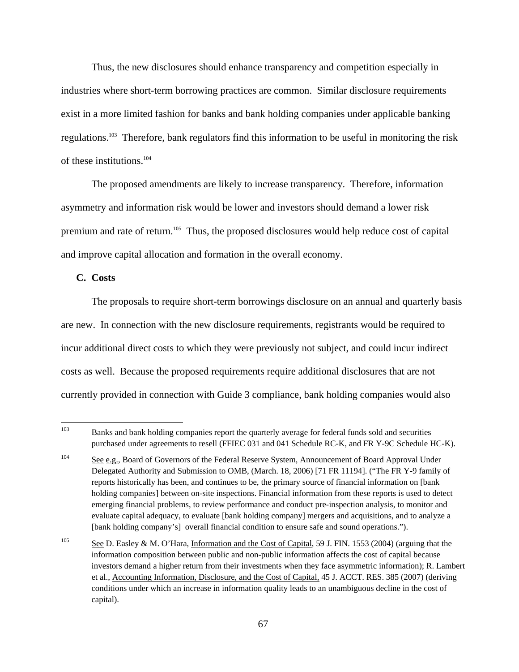Thus, the new disclosures should enhance transparency and competition especially in industries where short-term borrowing practices are common. Similar disclosure requirements exist in a more limited fashion for banks and bank holding companies under applicable banking regulations.103 Therefore, bank regulators find this information to be useful in monitoring the risk of these institutions.104

The proposed amendments are likely to increase transparency. Therefore, information asymmetry and information risk would be lower and investors should demand a lower risk premium and rate of return.105 Thus, the proposed disclosures would help reduce cost of capital and improve capital allocation and formation in the overall economy.

**C. Costs** 

The proposals to require short-term borrowings disclosure on an annual and quarterly basis are new. In connection with the new disclosure requirements, registrants would be required to incur additional direct costs to which they were previously not subject, and could incur indirect costs as well. Because the proposed requirements require additional disclosures that are not currently provided in connection with Guide 3 compliance, bank holding companies would also

<sup>103</sup> Banks and bank holding companies report the quarterly average for federal funds sold and securities purchased under agreements to resell (FFIEC 031 and 041 Schedule RC-K, and FR Y-9C Schedule HC-K).

 Delegated Authority and Submission to OMB, (March. 18, 2006) [71 FR 11194]. ("The FR Y-9 family of holding companies] between on-site inspections. Financial information from these reports is used to detect [bank holding company's] overall financial condition to ensure safe and sound operations."). <sup>104</sup> See e.g., Board of Governors of the Federal Reserve System, Announcement of Board Approval Under reports historically has been, and continues to be, the primary source of financial information on [bank emerging financial problems, to review performance and conduct pre-inspection analysis, to monitor and evaluate capital adequacy, to evaluate [bank holding company] mergers and acquisitions, and to analyze a

<sup>&</sup>lt;sup>105</sup> See D. Easley & M. O'Hara, Information and the Cost of Capital, 59 J. FIN. 1553 (2004) (arguing that the information composition between public and non-public information affects the cost of capital because investors demand a higher return from their investments when they face asymmetric information); R. Lambert et al., Accounting Information, Disclosure, and the Cost of Capital, 45 J. ACCT. RES. 385 (2007) (deriving conditions under which an increase in information quality leads to an unambiguous decline in the cost of capital).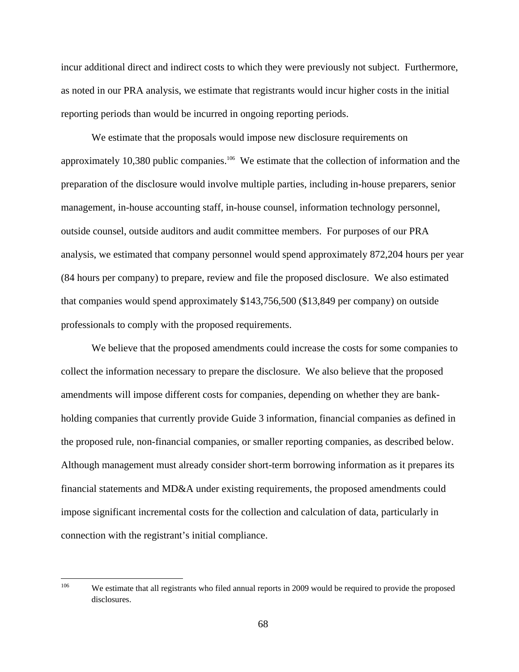incur additional direct and indirect costs to which they were previously not subject. Furthermore, as noted in our PRA analysis, we estimate that registrants would incur higher costs in the initial reporting periods than would be incurred in ongoing reporting periods.

We estimate that the proposals would impose new disclosure requirements on approximately 10,380 public companies.<sup>106</sup> We estimate that the collection of information and the preparation of the disclosure would involve multiple parties, including in-house preparers, senior management, in-house accounting staff, in-house counsel, information technology personnel, outside counsel, outside auditors and audit committee members. For purposes of our PRA analysis, we estimated that company personnel would spend approximately 872,204 hours per year (84 hours per company) to prepare, review and file the proposed disclosure. We also estimated that companies would spend approximately \$143,756,500 (\$13,849 per company) on outside professionals to comply with the proposed requirements.

We believe that the proposed amendments could increase the costs for some companies to collect the information necessary to prepare the disclosure. We also believe that the proposed amendments will impose different costs for companies, depending on whether they are bankholding companies that currently provide Guide 3 information, financial companies as defined in the proposed rule, non-financial companies, or smaller reporting companies, as described below. Although management must already consider short-term borrowing information as it prepares its financial statements and MD&A under existing requirements, the proposed amendments could impose significant incremental costs for the collection and calculation of data, particularly in connection with the registrant's initial compliance.

 106 We estimate that all registrants who filed annual reports in 2009 would be required to provide the proposed disclosures.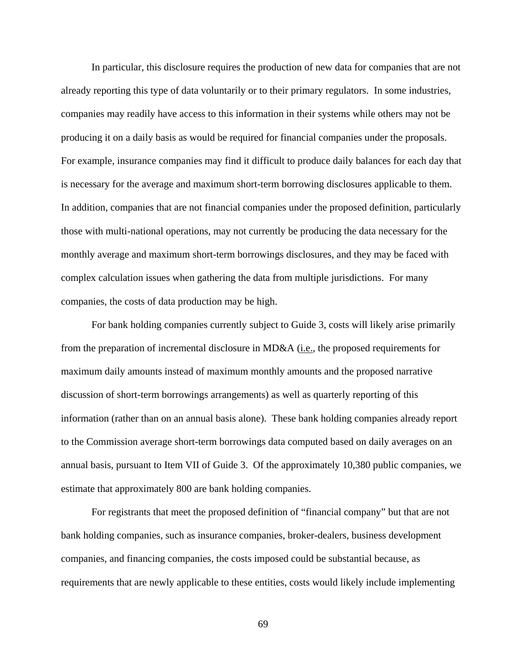In particular, this disclosure requires the production of new data for companies that are not already reporting this type of data voluntarily or to their primary regulators. In some industries, companies may readily have access to this information in their systems while others may not be producing it on a daily basis as would be required for financial companies under the proposals. For example, insurance companies may find it difficult to produce daily balances for each day that is necessary for the average and maximum short-term borrowing disclosures applicable to them. In addition, companies that are not financial companies under the proposed definition, particularly those with multi-national operations, may not currently be producing the data necessary for the monthly average and maximum short-term borrowings disclosures, and they may be faced with complex calculation issues when gathering the data from multiple jurisdictions. For many companies, the costs of data production may be high.

For bank holding companies currently subject to Guide 3, costs will likely arise primarily from the preparation of incremental disclosure in MD&A (i.e., the proposed requirements for maximum daily amounts instead of maximum monthly amounts and the proposed narrative discussion of short-term borrowings arrangements) as well as quarterly reporting of this information (rather than on an annual basis alone). These bank holding companies already report to the Commission average short-term borrowings data computed based on daily averages on an annual basis, pursuant to Item VII of Guide 3. Of the approximately 10,380 public companies, we estimate that approximately 800 are bank holding companies.

For registrants that meet the proposed definition of "financial company" but that are not bank holding companies, such as insurance companies, broker-dealers, business development companies, and financing companies, the costs imposed could be substantial because, as requirements that are newly applicable to these entities, costs would likely include implementing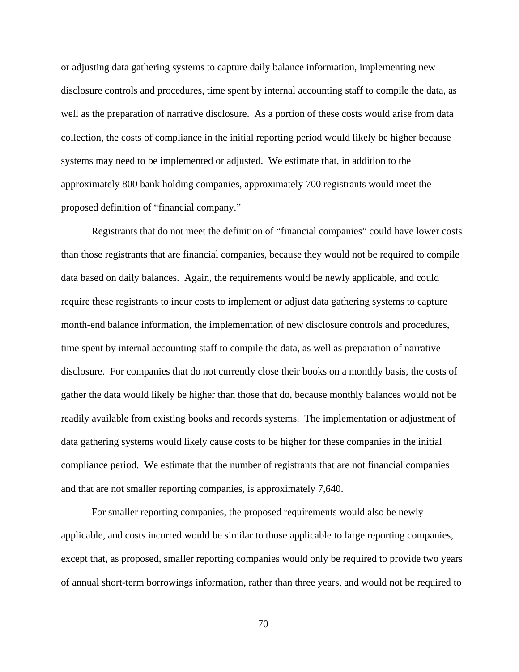or adjusting data gathering systems to capture daily balance information, implementing new disclosure controls and procedures, time spent by internal accounting staff to compile the data, as well as the preparation of narrative disclosure. As a portion of these costs would arise from data collection, the costs of compliance in the initial reporting period would likely be higher because systems may need to be implemented or adjusted. We estimate that, in addition to the approximately 800 bank holding companies, approximately 700 registrants would meet the proposed definition of "financial company."

Registrants that do not meet the definition of "financial companies" could have lower costs than those registrants that are financial companies, because they would not be required to compile data based on daily balances. Again, the requirements would be newly applicable, and could require these registrants to incur costs to implement or adjust data gathering systems to capture month-end balance information, the implementation of new disclosure controls and procedures, time spent by internal accounting staff to compile the data, as well as preparation of narrative disclosure. For companies that do not currently close their books on a monthly basis, the costs of gather the data would likely be higher than those that do, because monthly balances would not be readily available from existing books and records systems. The implementation or adjustment of data gathering systems would likely cause costs to be higher for these companies in the initial compliance period. We estimate that the number of registrants that are not financial companies and that are not smaller reporting companies, is approximately 7,640.

For smaller reporting companies, the proposed requirements would also be newly applicable, and costs incurred would be similar to those applicable to large reporting companies, except that, as proposed, smaller reporting companies would only be required to provide two years of annual short-term borrowings information, rather than three years, and would not be required to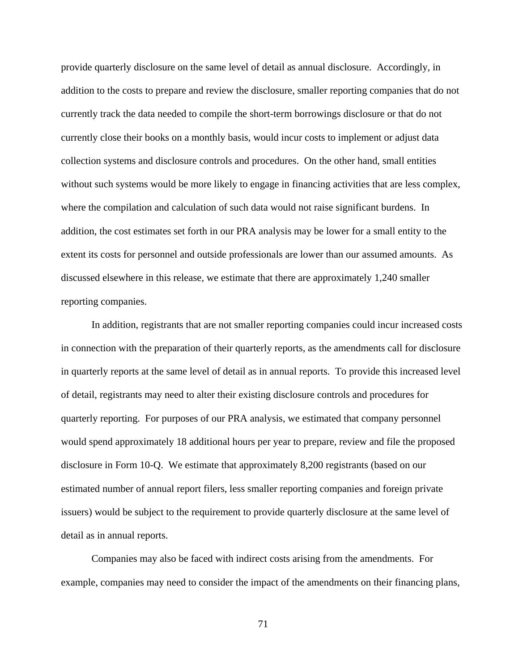provide quarterly disclosure on the same level of detail as annual disclosure. Accordingly, in addition to the costs to prepare and review the disclosure, smaller reporting companies that do not currently track the data needed to compile the short-term borrowings disclosure or that do not currently close their books on a monthly basis, would incur costs to implement or adjust data collection systems and disclosure controls and procedures. On the other hand, small entities without such systems would be more likely to engage in financing activities that are less complex, where the compilation and calculation of such data would not raise significant burdens. In addition, the cost estimates set forth in our PRA analysis may be lower for a small entity to the extent its costs for personnel and outside professionals are lower than our assumed amounts. As discussed elsewhere in this release, we estimate that there are approximately 1,240 smaller reporting companies.

In addition, registrants that are not smaller reporting companies could incur increased costs in connection with the preparation of their quarterly reports, as the amendments call for disclosure in quarterly reports at the same level of detail as in annual reports. To provide this increased level of detail, registrants may need to alter their existing disclosure controls and procedures for quarterly reporting. For purposes of our PRA analysis, we estimated that company personnel would spend approximately 18 additional hours per year to prepare, review and file the proposed disclosure in Form 10-Q. We estimate that approximately 8,200 registrants (based on our estimated number of annual report filers, less smaller reporting companies and foreign private issuers) would be subject to the requirement to provide quarterly disclosure at the same level of detail as in annual reports.

Companies may also be faced with indirect costs arising from the amendments. For example, companies may need to consider the impact of the amendments on their financing plans,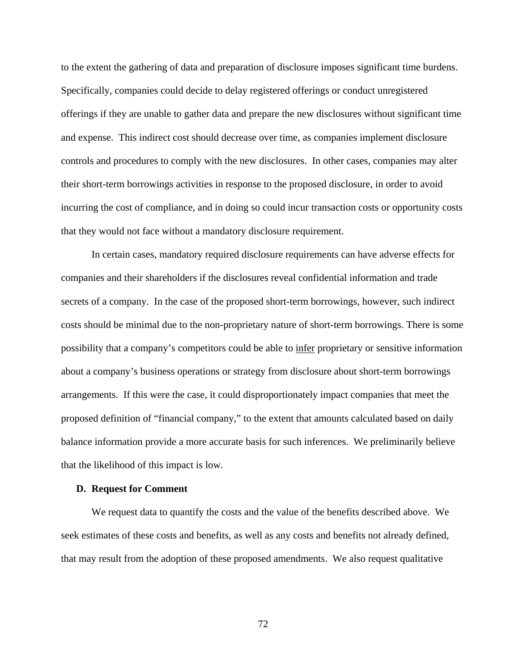to the extent the gathering of data and preparation of disclosure imposes significant time burdens. Specifically, companies could decide to delay registered offerings or conduct unregistered offerings if they are unable to gather data and prepare the new disclosures without significant time and expense. This indirect cost should decrease over time, as companies implement disclosure controls and procedures to comply with the new disclosures. In other cases, companies may alter their short-term borrowings activities in response to the proposed disclosure, in order to avoid incurring the cost of compliance, and in doing so could incur transaction costs or opportunity costs that they would not face without a mandatory disclosure requirement.

In certain cases, mandatory required disclosure requirements can have adverse effects for companies and their shareholders if the disclosures reveal confidential information and trade secrets of a company. In the case of the proposed short-term borrowings, however, such indirect costs should be minimal due to the non-proprietary nature of short-term borrowings. There is some possibility that a company's competitors could be able to infer proprietary or sensitive information about a company's business operations or strategy from disclosure about short-term borrowings arrangements. If this were the case, it could disproportionately impact companies that meet the proposed definition of "financial company," to the extent that amounts calculated based on daily balance information provide a more accurate basis for such inferences. We preliminarily believe that the likelihood of this impact is low.

#### **D. Request for Comment**

We request data to quantify the costs and the value of the benefits described above. We seek estimates of these costs and benefits, as well as any costs and benefits not already defined, that may result from the adoption of these proposed amendments. We also request qualitative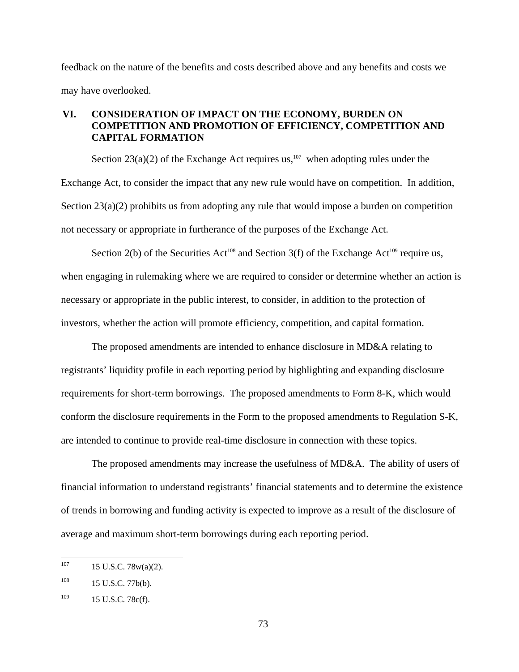feedback on the nature of the benefits and costs described above and any benefits and costs we may have overlooked.

# **VI. CONSIDERATION OF IMPACT ON THE ECONOMY, BURDEN ON COMPETITION AND PROMOTION OF EFFICIENCY, COMPETITION AND CAPITAL FORMATION**

Section 23(a)(2) of the Exchange Act requires us,<sup>107</sup> when adopting rules under the Exchange Act, to consider the impact that any new rule would have on competition. In addition, Section 23(a)(2) prohibits us from adopting any rule that would impose a burden on competition not necessary or appropriate in furtherance of the purposes of the Exchange Act.

Section 2(b) of the Securities Act<sup>108</sup> and Section 3(f) of the Exchange Act<sup>109</sup> require us, when engaging in rulemaking where we are required to consider or determine whether an action is necessary or appropriate in the public interest, to consider, in addition to the protection of investors, whether the action will promote efficiency, competition, and capital formation.

The proposed amendments are intended to enhance disclosure in MD&A relating to registrants' liquidity profile in each reporting period by highlighting and expanding disclosure requirements for short-term borrowings. The proposed amendments to Form 8-K, which would conform the disclosure requirements in the Form to the proposed amendments to Regulation S-K, are intended to continue to provide real-time disclosure in connection with these topics.

The proposed amendments may increase the usefulness of MD&A. The ability of users of financial information to understand registrants' financial statements and to determine the existence of trends in borrowing and funding activity is expected to improve as a result of the disclosure of average and maximum short-term borrowings during each reporting period.

<sup>107</sup>  $15$  U.S.C.  $78w(a)(2)$ .

<sup>&</sup>lt;sup>108</sup> 15 U.S.C. 77b(b).

 $109$  15 U.S.C. 78c(f).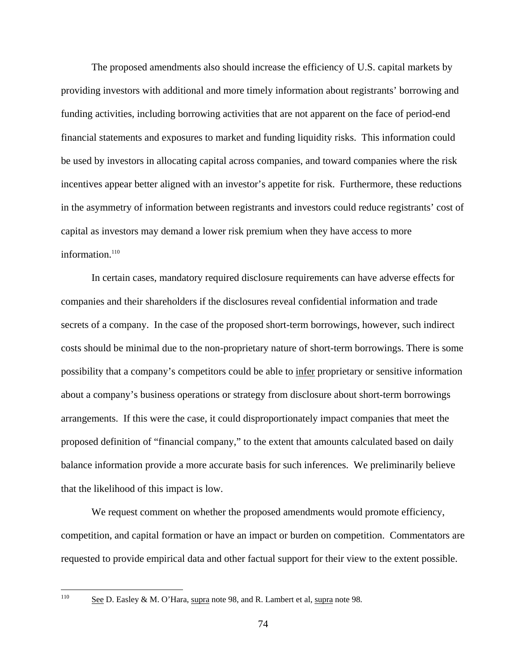The proposed amendments also should increase the efficiency of U.S. capital markets by providing investors with additional and more timely information about registrants' borrowing and funding activities, including borrowing activities that are not apparent on the face of period-end financial statements and exposures to market and funding liquidity risks. This information could be used by investors in allocating capital across companies, and toward companies where the risk incentives appear better aligned with an investor's appetite for risk. Furthermore, these reductions in the asymmetry of information between registrants and investors could reduce registrants' cost of capital as investors may demand a lower risk premium when they have access to more information. $110$ 

In certain cases, mandatory required disclosure requirements can have adverse effects for companies and their shareholders if the disclosures reveal confidential information and trade secrets of a company. In the case of the proposed short-term borrowings, however, such indirect costs should be minimal due to the non-proprietary nature of short-term borrowings. There is some possibility that a company's competitors could be able to infer proprietary or sensitive information about a company's business operations or strategy from disclosure about short-term borrowings arrangements. If this were the case, it could disproportionately impact companies that meet the proposed definition of "financial company," to the extent that amounts calculated based on daily balance information provide a more accurate basis for such inferences. We preliminarily believe that the likelihood of this impact is low.

We request comment on whether the proposed amendments would promote efficiency, competition, and capital formation or have an impact or burden on competition. Commentators are requested to provide empirical data and other factual support for their view to the extent possible.

 $\frac{1}{110}$ 

See D. Easley & M. O'Hara, supra note 98, and R. Lambert et al, supra note 98.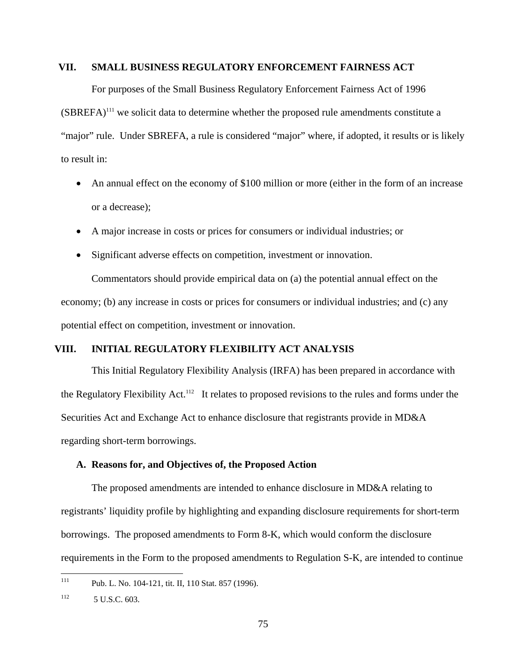## **VII. SMALL BUSINESS REGULATORY ENFORCEMENT FAIRNESS ACT**

For purposes of the Small Business Regulatory Enforcement Fairness Act of 1996

 $(SBREFA)^{111}$  we solicit data to determine whether the proposed rule amendments constitute a "major" rule. Under SBREFA, a rule is considered "major" where, if adopted, it results or is likely to result in:

- An annual effect on the economy of \$100 million or more (either in the form of an increase or a decrease);
- • A major increase in costs or prices for consumers or individual industries; or
- Significant adverse effects on competition, investment or innovation.

Commentators should provide empirical data on (a) the potential annual effect on the economy; (b) any increase in costs or prices for consumers or individual industries; and (c) any potential effect on competition, investment or innovation.

# **VIII. INITIAL REGULATORY FLEXIBILITY ACT ANALYSIS**

This Initial Regulatory Flexibility Analysis (IRFA) has been prepared in accordance with the Regulatory Flexibility Act.<sup>112</sup> It relates to proposed revisions to the rules and forms under the Securities Act and Exchange Act to enhance disclosure that registrants provide in MD&A regarding short-term borrowings.

## **A. Reasons for, and Objectives of, the Proposed Action**

The proposed amendments are intended to enhance disclosure in MD&A relating to registrants' liquidity profile by highlighting and expanding disclosure requirements for short-term borrowings. The proposed amendments to Form 8-K, which would conform the disclosure requirements in the Form to the proposed amendments to Regulation S-K, are intended to continue

 $111\,$ Pub. L. No. 104-121, tit. II, 110 Stat. 857 (1996).

<sup>112</sup> 5 U.S.C. 603.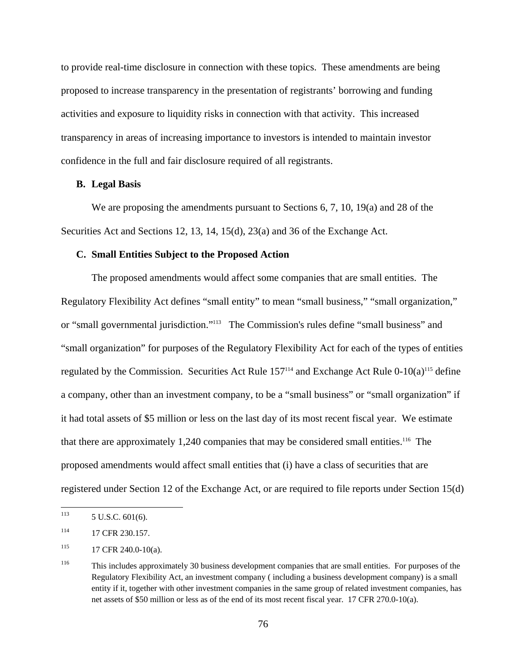to provide real-time disclosure in connection with these topics. These amendments are being proposed to increase transparency in the presentation of registrants' borrowing and funding activities and exposure to liquidity risks in connection with that activity. This increased transparency in areas of increasing importance to investors is intended to maintain investor confidence in the full and fair disclosure required of all registrants.

### **B. Legal Basis**

We are proposing the amendments pursuant to Sections 6, 7, 10, 19(a) and 28 of the Securities Act and Sections 12, 13, 14, 15(d), 23(a) and 36 of the Exchange Act.

#### **C. Small Entities Subject to the Proposed Action**

The proposed amendments would affect some companies that are small entities. The Regulatory Flexibility Act defines "small entity" to mean "small business," "small organization," or "small governmental jurisdiction."113 The Commission's rules define "small business" and "small organization" for purposes of the Regulatory Flexibility Act for each of the types of entities regulated by the Commission. Securities Act Rule  $157^{114}$  and Exchange Act Rule 0-10(a)<sup>115</sup> define a company, other than an investment company, to be a "small business" or "small organization" if it had total assets of \$5 million or less on the last day of its most recent fiscal year. We estimate that there are approximately  $1,240$  companies that may be considered small entities.<sup>116</sup> The proposed amendments would affect small entities that (i) have a class of securities that are registered under Section 12 of the Exchange Act, or are required to file reports under Section 15(d)

<sup>113</sup> 5 U.S.C. 601(6).

<sup>114 17</sup> CFR 230.157.

 $115$  17 CFR 240.0-10(a).

<sup>116</sup> 116 This includes approximately 30 business development companies that are small entities. For purposes of the Regulatory Flexibility Act, an investment company ( including a business development company) is a small entity if it, together with other investment companies in the same group of related investment companies, has net assets of \$50 million or less as of the end of its most recent fiscal year. 17 CFR 270.0-10(a).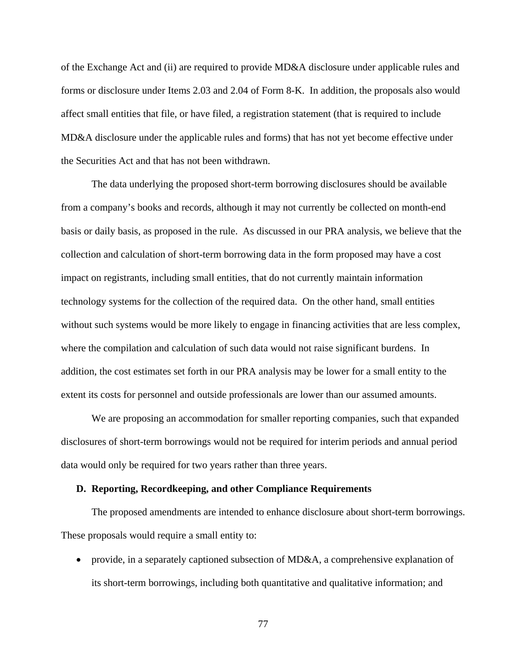of the Exchange Act and (ii) are required to provide MD&A disclosure under applicable rules and forms or disclosure under Items 2.03 and 2.04 of Form 8-K. In addition, the proposals also would affect small entities that file, or have filed, a registration statement (that is required to include MD&A disclosure under the applicable rules and forms) that has not yet become effective under the Securities Act and that has not been withdrawn.

The data underlying the proposed short-term borrowing disclosures should be available from a company's books and records, although it may not currently be collected on month-end basis or daily basis, as proposed in the rule. As discussed in our PRA analysis, we believe that the collection and calculation of short-term borrowing data in the form proposed may have a cost impact on registrants, including small entities, that do not currently maintain information technology systems for the collection of the required data. On the other hand, small entities without such systems would be more likely to engage in financing activities that are less complex, where the compilation and calculation of such data would not raise significant burdens. In addition, the cost estimates set forth in our PRA analysis may be lower for a small entity to the extent its costs for personnel and outside professionals are lower than our assumed amounts.

We are proposing an accommodation for smaller reporting companies, such that expanded disclosures of short-term borrowings would not be required for interim periods and annual period data would only be required for two years rather than three years.

#### **D. Reporting, Recordkeeping, and other Compliance Requirements**

The proposed amendments are intended to enhance disclosure about short-term borrowings. These proposals would require a small entity to:

• provide, in a separately captioned subsection of MD&A, a comprehensive explanation of its short-term borrowings, including both quantitative and qualitative information; and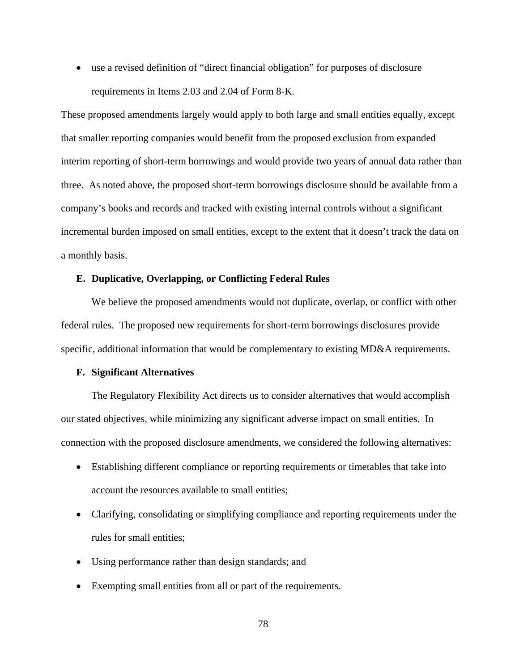• use a revised definition of "direct financial obligation" for purposes of disclosure requirements in Items 2.03 and 2.04 of Form 8-K.

These proposed amendments largely would apply to both large and small entities equally, except that smaller reporting companies would benefit from the proposed exclusion from expanded interim reporting of short-term borrowings and would provide two years of annual data rather than three. As noted above, the proposed short-term borrowings disclosure should be available from a company's books and records and tracked with existing internal controls without a significant incremental burden imposed on small entities, except to the extent that it doesn't track the data on a monthly basis.

## **E. Duplicative, Overlapping, or Conflicting Federal Rules**

We believe the proposed amendments would not duplicate, overlap, or conflict with other federal rules. The proposed new requirements for short-term borrowings disclosures provide specific, additional information that would be complementary to existing MD&A requirements.

#### **F. Significant Alternatives**

The Regulatory Flexibility Act directs us to consider alternatives that would accomplish our stated objectives, while minimizing any significant adverse impact on small entities. In connection with the proposed disclosure amendments, we considered the following alternatives:

- Establishing different compliance or reporting requirements or timetables that take into account the resources available to small entities;
- Clarifying, consolidating or simplifying compliance and reporting requirements under the rules for small entities;
- Using performance rather than design standards; and
- Exempting small entities from all or part of the requirements.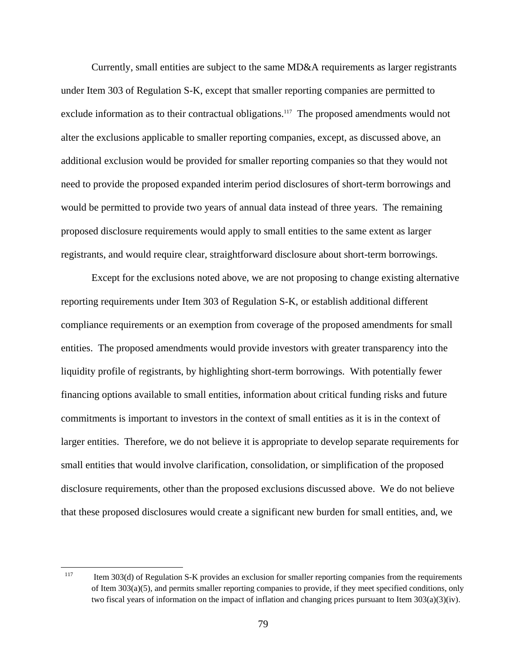Currently, small entities are subject to the same MD&A requirements as larger registrants under Item 303 of Regulation S-K, except that smaller reporting companies are permitted to exclude information as to their contractual obligations.<sup>117</sup> The proposed amendments would not alter the exclusions applicable to smaller reporting companies, except, as discussed above, an additional exclusion would be provided for smaller reporting companies so that they would not need to provide the proposed expanded interim period disclosures of short-term borrowings and would be permitted to provide two years of annual data instead of three years. The remaining proposed disclosure requirements would apply to small entities to the same extent as larger registrants, and would require clear, straightforward disclosure about short-term borrowings.

Except for the exclusions noted above, we are not proposing to change existing alternative reporting requirements under Item 303 of Regulation S-K, or establish additional different compliance requirements or an exemption from coverage of the proposed amendments for small entities. The proposed amendments would provide investors with greater transparency into the liquidity profile of registrants, by highlighting short-term borrowings. With potentially fewer financing options available to small entities, information about critical funding risks and future commitments is important to investors in the context of small entities as it is in the context of larger entities. Therefore, we do not believe it is appropriate to develop separate requirements for small entities that would involve clarification, consolidation, or simplification of the proposed disclosure requirements, other than the proposed exclusions discussed above. We do not believe that these proposed disclosures would create a significant new burden for small entities, and, we

 $\overline{a}$ 

Item 303(d) of Regulation S-K provides an exclusion for smaller reporting companies from the requirements of Item 303(a)(5), and permits smaller reporting companies to provide, if they meet specified conditions, only two fiscal years of information on the impact of inflation and changing prices pursuant to Item 303(a)(3)(iv). 117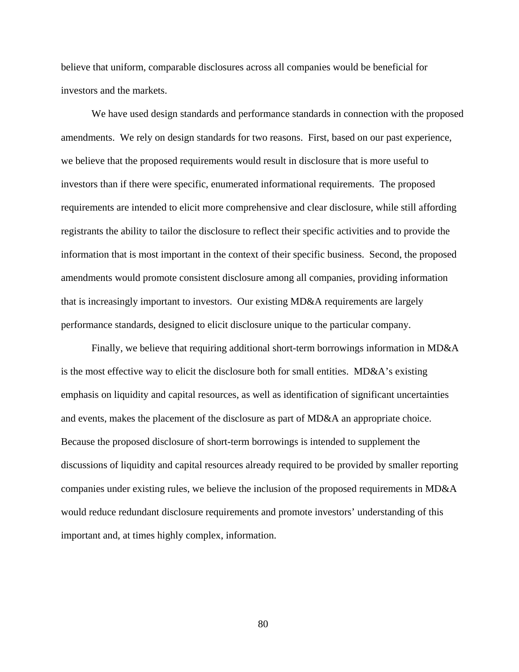believe that uniform, comparable disclosures across all companies would be beneficial for investors and the markets.

We have used design standards and performance standards in connection with the proposed amendments. We rely on design standards for two reasons. First, based on our past experience, we believe that the proposed requirements would result in disclosure that is more useful to investors than if there were specific, enumerated informational requirements. The proposed requirements are intended to elicit more comprehensive and clear disclosure, while still affording registrants the ability to tailor the disclosure to reflect their specific activities and to provide the information that is most important in the context of their specific business. Second, the proposed amendments would promote consistent disclosure among all companies, providing information that is increasingly important to investors. Our existing MD&A requirements are largely performance standards, designed to elicit disclosure unique to the particular company.

Finally, we believe that requiring additional short-term borrowings information in MD&A is the most effective way to elicit the disclosure both for small entities. MD&A's existing emphasis on liquidity and capital resources, as well as identification of significant uncertainties and events, makes the placement of the disclosure as part of MD&A an appropriate choice. Because the proposed disclosure of short-term borrowings is intended to supplement the discussions of liquidity and capital resources already required to be provided by smaller reporting companies under existing rules, we believe the inclusion of the proposed requirements in MD&A would reduce redundant disclosure requirements and promote investors' understanding of this important and, at times highly complex, information.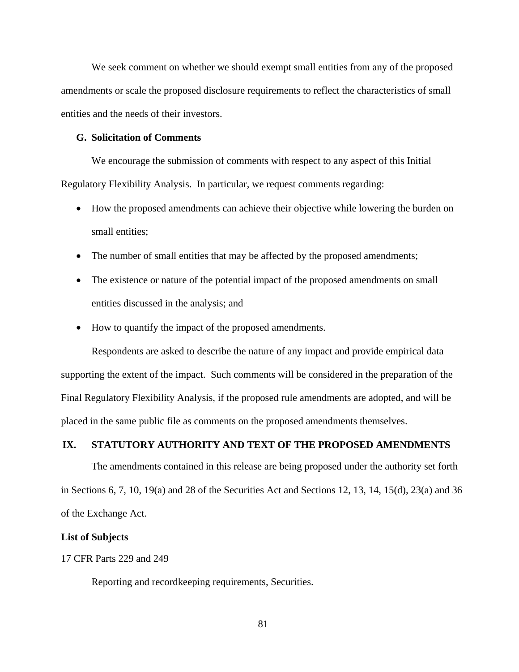We seek comment on whether we should exempt small entities from any of the proposed amendments or scale the proposed disclosure requirements to reflect the characteristics of small entities and the needs of their investors.

#### **G. Solicitation of Comments**

We encourage the submission of comments with respect to any aspect of this Initial Regulatory Flexibility Analysis. In particular, we request comments regarding:

- How the proposed amendments can achieve their objective while lowering the burden on small entities;
- The number of small entities that may be affected by the proposed amendments;
- The existence or nature of the potential impact of the proposed amendments on small entities discussed in the analysis; and
- How to quantify the impact of the proposed amendments.

Respondents are asked to describe the nature of any impact and provide empirical data supporting the extent of the impact. Such comments will be considered in the preparation of the Final Regulatory Flexibility Analysis, if the proposed rule amendments are adopted, and will be placed in the same public file as comments on the proposed amendments themselves.

## **IX. STATUTORY AUTHORITY AND TEXT OF THE PROPOSED AMENDMENTS**

The amendments contained in this release are being proposed under the authority set forth in Sections 6, 7, 10, 19(a) and 28 of the Securities Act and Sections 12, 13, 14, 15(d), 23(a) and 36 of the Exchange Act.

## **List of Subjects**

### 17 CFR Parts 229 and 249

Reporting and recordkeeping requirements, Securities.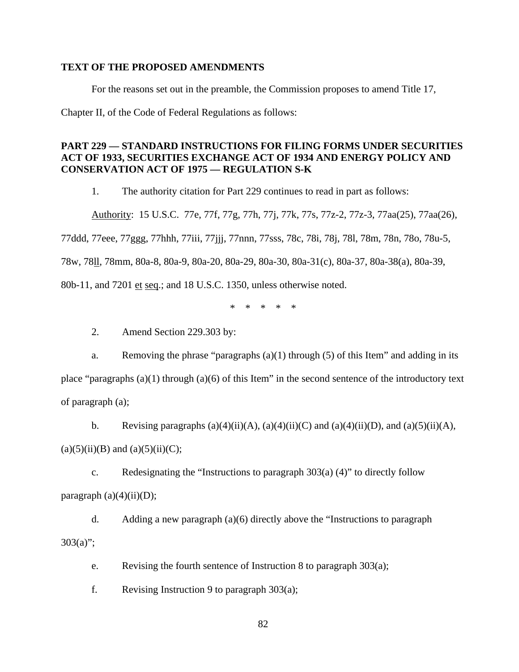## **TEXT OF THE PROPOSED AMENDMENTS**

For the reasons set out in the preamble, the Commission proposes to amend Title 17,

Chapter II, of the Code of Federal Regulations as follows:

# **PART 229 — STANDARD INSTRUCTIONS FOR FILING FORMS UNDER SECURITIES ACT OF 1933, SECURITIES EXCHANGE ACT OF 1934 AND ENERGY POLICY AND CONSERVATION ACT OF 1975 — REGULATION S-K**

1. The authority citation for Part 229 continues to read in part as follows:

Authority: 15 U.S.C. 77e, 77f, 77g, 77h, 77j, 77k, 77s, 77z-2, 77z-3, 77aa(25), 77aa(26),

77ddd, 77eee, 77ggg, 77hhh, 77iii, 77jjj, 77nnn, 77sss, 78c, 78i, 78j, 78l, 78m, 78n, 78o, 78u-5,

78w, 78ll, 78mm, 80a-8, 80a-9, 80a-20, 80a-29, 80a-30, 80a-31(c), 80a-37, 80a-38(a), 80a-39,

80b-11, and 7201 et seq.; and 18 U.S.C. 1350, unless otherwise noted.

\* \* \* \* \*

2. Amend Section 229.303 by:

a. Removing the phrase "paragraphs  $(a)(1)$  through (5) of this Item" and adding in its place "paragraphs  $(a)(1)$  through  $(a)(6)$  of this Item" in the second sentence of the introductory text of paragraph (a);

b. Revising paragraphs  $(a)(4)(ii)(A)$ ,  $(a)(4)(ii)(C)$  and  $(a)(4)(ii)(D)$ , and  $(a)(5)(ii)(A)$ ,

 $(a)(5)(ii)(B)$  and  $(a)(5)(ii)(C)$ ;

c. Redesignating the "Instructions to paragraph  $303(a)$  (4)" to directly follow paragraph  $(a)(4)(ii)(D)$ ;

d. Adding a new paragraph (a)(6) directly above the "Instructions to paragraph  $303(a)$ ";

e. Revising the fourth sentence of Instruction 8 to paragraph 303(a);

f. Revising Instruction 9 to paragraph 303(a);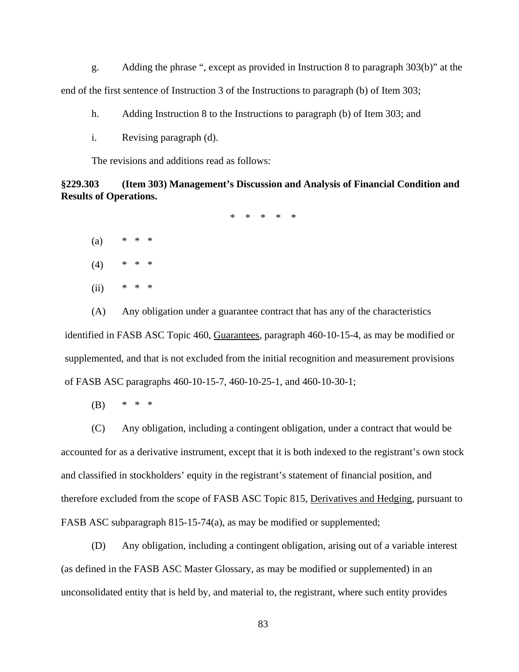g. Adding the phrase ", except as provided in Instruction 8 to paragraph 303(b)" at the end of the first sentence of Instruction 3 of the Instructions to paragraph (b) of Item 303;

h. Adding Instruction 8 to the Instructions to paragraph (b) of Item 303; and

i. Revising paragraph (d).

The revisions and additions read as follows:

**§229.303 (Item 303) Management's Discussion and Analysis of Financial Condition and Results of Operations.** 

\* \* \* \* \*

- $(a)$
- $\ast$  $(4)$  \* \* \*
- $\ast$  $(ii)$  \* \* \*

(A) Any obligation under a guarantee contract that has any of the characteristics identified in FASB ASC Topic 460, Guarantees, paragraph 460-10-15-4, as may be modified or supplemented, and that is not excluded from the initial recognition and measurement provisions of FASB ASC paragraphs 460-10-15-7, 460-10-25-1, and 460-10-30-1;

(B) \* \* \*

(C) Any obligation, including a contingent obligation, under a contract that would be accounted for as a derivative instrument, except that it is both indexed to the registrant's own stock and classified in stockholders' equity in the registrant's statement of financial position, and therefore excluded from the scope of FASB ASC Topic 815, Derivatives and Hedging, pursuant to FASB ASC subparagraph 815-15-74(a), as may be modified or supplemented;

(D) Any obligation, including a contingent obligation, arising out of a variable interest (as defined in the FASB ASC Master Glossary, as may be modified or supplemented) in an unconsolidated entity that is held by, and material to, the registrant, where such entity provides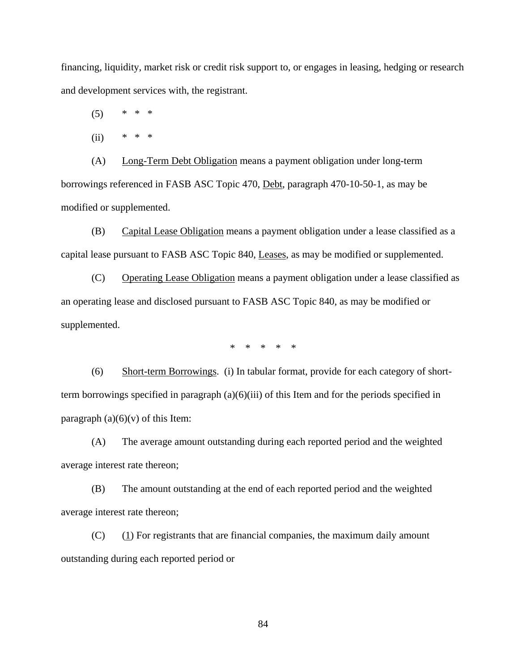financing, liquidity, market risk or credit risk support to, or engages in leasing, hedging or research and development services with, the registrant.

 $(5)$ 

(ii) \* \* \*

(A) Long-Term Debt Obligation means a payment obligation under long-term borrowings referenced in FASB ASC Topic 470, Debt, paragraph 470-10-50-1, as may be modified or supplemented.

(B) Capital Lease Obligation means a payment obligation under a lease classified as a capital lease pursuant to FASB ASC Topic 840, Leases, as may be modified or supplemented.

(C) Operating Lease Obligation means a payment obligation under a lease classified as an operating lease and disclosed pursuant to FASB ASC Topic 840, as may be modified or supplemented.

\* \* \* \* \*

(6) Short-term Borrowings. (i) In tabular format, provide for each category of shortterm borrowings specified in paragraph (a)(6)(iii) of this Item and for the periods specified in paragraph  $(a)(6)(v)$  of this Item:

(A) The average amount outstanding during each reported period and the weighted average interest rate thereon;

(B) The amount outstanding at the end of each reported period and the weighted average interest rate thereon;

 $(C)$  (1) For registrants that are financial companies, the maximum daily amount outstanding during each reported period or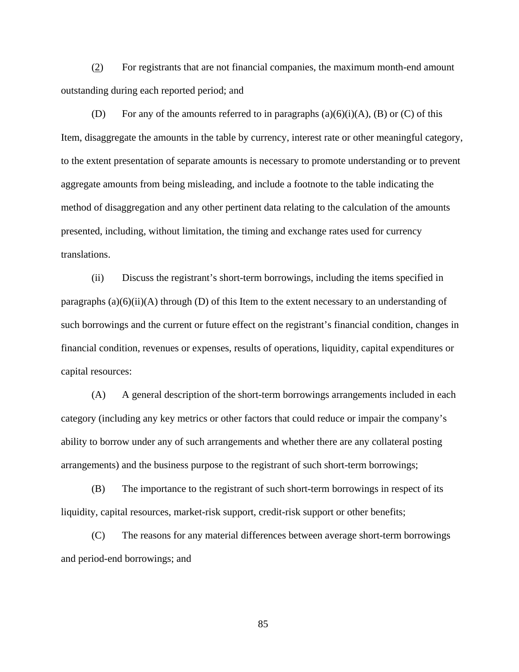(2) For registrants that are not financial companies, the maximum month-end amount outstanding during each reported period; and

(D) For any of the amounts referred to in paragraphs  $(a)(6)(i)(A)$ ,  $(B)$  or  $(C)$  of this Item, disaggregate the amounts in the table by currency, interest rate or other meaningful category, to the extent presentation of separate amounts is necessary to promote understanding or to prevent aggregate amounts from being misleading, and include a footnote to the table indicating the method of disaggregation and any other pertinent data relating to the calculation of the amounts presented, including, without limitation, the timing and exchange rates used for currency translations.

(ii) Discuss the registrant's short-term borrowings, including the items specified in paragraphs  $(a)(6)(ii)(A)$  through  $(D)$  of this Item to the extent necessary to an understanding of such borrowings and the current or future effect on the registrant's financial condition, changes in financial condition, revenues or expenses, results of operations, liquidity, capital expenditures or capital resources:

(A) A general description of the short-term borrowings arrangements included in each category (including any key metrics or other factors that could reduce or impair the company's ability to borrow under any of such arrangements and whether there are any collateral posting arrangements) and the business purpose to the registrant of such short-term borrowings;

(B) The importance to the registrant of such short-term borrowings in respect of its liquidity, capital resources, market-risk support, credit-risk support or other benefits;

(C) The reasons for any material differences between average short-term borrowings and period-end borrowings; and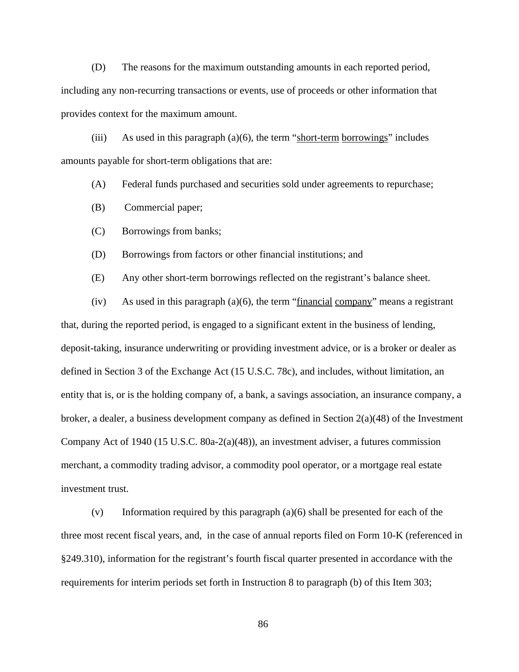(D) The reasons for the maximum outstanding amounts in each reported period, including any non-recurring transactions or events, use of proceeds or other information that provides context for the maximum amount.

(iii) As used in this paragraph (a)(6), the term "short-term borrowings" includes amounts payable for short-term obligations that are:

(A) Federal funds purchased and securities sold under agreements to repurchase;

(B) Commercial paper;

(C) Borrowings from banks;

(D) Borrowings from factors or other financial institutions; and

(E) Any other short-term borrowings reflected on the registrant's balance sheet.

 $(iv)$  As used in this paragraph  $(a)(6)$ , the term "financial company" means a registrant that, during the reported period, is engaged to a significant extent in the business of lending, deposit-taking, insurance underwriting or providing investment advice, or is a broker or dealer as defined in Section 3 of the Exchange Act (15 U.S.C. 78c), and includes, without limitation, an entity that is, or is the holding company of, a bank, a savings association, an insurance company, a broker, a dealer, a business development company as defined in Section 2(a)(48) of the Investment Company Act of 1940 (15 U.S.C. 80a-2(a)(48)), an investment adviser, a futures commission merchant, a commodity trading advisor, a commodity pool operator, or a mortgage real estate investment trust.

(v) Information required by this paragraph (a)(6) shall be presented for each of the three most recent fiscal years, and, in the case of annual reports filed on Form 10-K (referenced in §249.310), information for the registrant's fourth fiscal quarter presented in accordance with the requirements for interim periods set forth in Instruction 8 to paragraph (b) of this Item 303;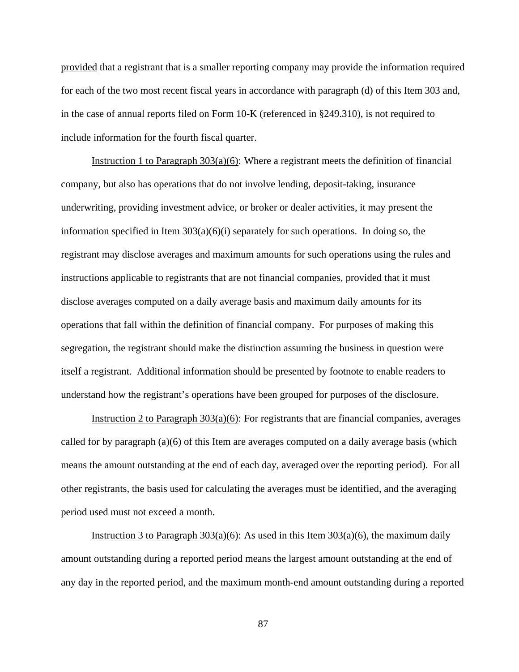provided that a registrant that is a smaller reporting company may provide the information required for each of the two most recent fiscal years in accordance with paragraph (d) of this Item 303 and, in the case of annual reports filed on Form 10-K (referenced in §249.310), is not required to include information for the fourth fiscal quarter.

Instruction 1 to Paragraph  $303(a)(6)$ : Where a registrant meets the definition of financial company, but also has operations that do not involve lending, deposit-taking, insurance underwriting, providing investment advice, or broker or dealer activities, it may present the information specified in Item  $303(a)(6)(i)$  separately for such operations. In doing so, the registrant may disclose averages and maximum amounts for such operations using the rules and instructions applicable to registrants that are not financial companies, provided that it must disclose averages computed on a daily average basis and maximum daily amounts for its operations that fall within the definition of financial company. For purposes of making this segregation, the registrant should make the distinction assuming the business in question were itself a registrant. Additional information should be presented by footnote to enable readers to understand how the registrant's operations have been grouped for purposes of the disclosure.

Instruction 2 to Paragraph  $303(a)(6)$ : For registrants that are financial companies, averages called for by paragraph (a)(6) of this Item are averages computed on a daily average basis (which means the amount outstanding at the end of each day, averaged over the reporting period). For all other registrants, the basis used for calculating the averages must be identified, and the averaging period used must not exceed a month.

Instruction 3 to Paragraph  $303(a)(6)$ : As used in this Item  $303(a)(6)$ , the maximum daily amount outstanding during a reported period means the largest amount outstanding at the end of any day in the reported period, and the maximum month-end amount outstanding during a reported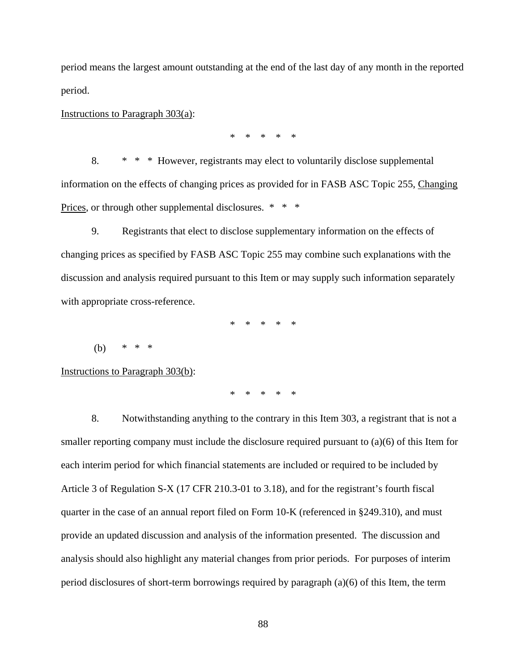period means the largest amount outstanding at the end of the last day of any month in the reported period.

Instructions to Paragraph 303(a):

\* \* \* \* \*

 8. \* \* \* However, registrants may elect to voluntarily disclose supplemental Prices, or through other supplemental disclosures. \* \* \* information on the effects of changing prices as provided for in FASB ASC Topic 255, Changing

9. Registrants that elect to disclose supplementary information on the effects of changing prices as specified by FASB ASC Topic 255 may combine such explanations with the discussion and analysis required pursuant to this Item or may supply such information separately with appropriate cross-reference.

\* \* \* \* \*

(b) \* \* \*

Instructions to Paragraph 303(b):

\* \* \* \* \*

8. Notwithstanding anything to the contrary in this Item 303, a registrant that is not a smaller reporting company must include the disclosure required pursuant to (a)(6) of this Item for each interim period for which financial statements are included or required to be included by Article 3 of Regulation S-X (17 CFR 210.3-01 to 3.18), and for the registrant's fourth fiscal quarter in the case of an annual report filed on Form 10-K (referenced in §249.310), and must provide an updated discussion and analysis of the information presented. The discussion and analysis should also highlight any material changes from prior periods. For purposes of interim period disclosures of short-term borrowings required by paragraph (a)(6) of this Item, the term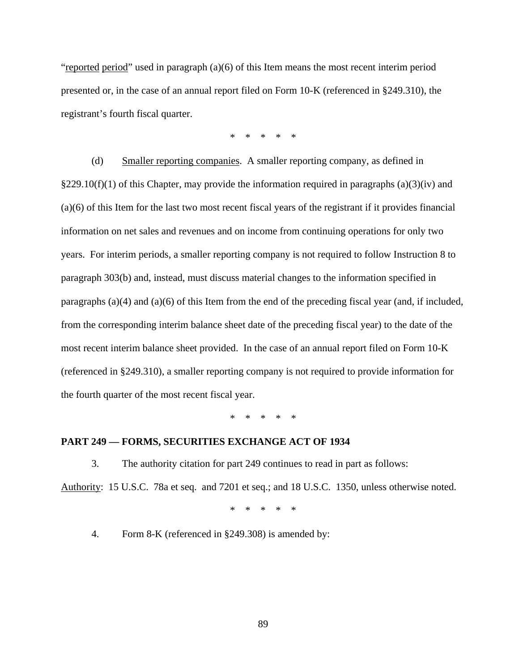"reported period" used in paragraph (a)(6) of this Item means the most recent interim period presented or, in the case of an annual report filed on Form 10-K (referenced in §249.310), the registrant's fourth fiscal quarter.

\* \* \* \* \*

(d) Smaller reporting companies. A smaller reporting company, as defined in  $§229.10(f)(1)$  of this Chapter, may provide the information required in paragraphs (a)(3)(iv) and (a)(6) of this Item for the last two most recent fiscal years of the registrant if it provides financial information on net sales and revenues and on income from continuing operations for only two years. For interim periods, a smaller reporting company is not required to follow Instruction 8 to paragraph 303(b) and, instead, must discuss material changes to the information specified in paragraphs (a)(4) and (a)(6) of this Item from the end of the preceding fiscal year (and, if included, from the corresponding interim balance sheet date of the preceding fiscal year) to the date of the most recent interim balance sheet provided. In the case of an annual report filed on Form 10-K (referenced in §249.310), a smaller reporting company is not required to provide information for the fourth quarter of the most recent fiscal year.

\* \* \* \* \*

#### **PART 249 — FORMS, SECURITIES EXCHANGE ACT OF 1934**

3. The authority citation for part 249 continues to read in part as follows: Authority: 15 U.S.C. 78a et seq. and 7201 et seq.; and 18 U.S.C. 1350, unless otherwise noted.

\* \* \* \* \*

4. Form 8-K (referenced in §249.308) is amended by: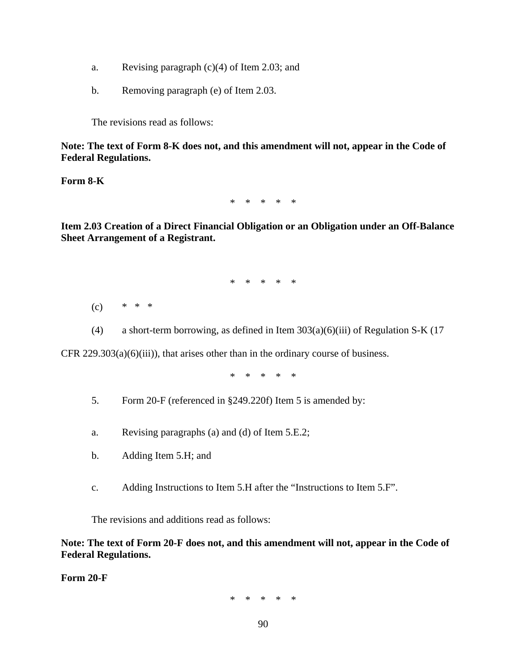- a. Revising paragraph  $(c)(4)$  of Item 2.03; and
- b. Removing paragraph (e) of Item 2.03.

The revisions read as follows:

**Note: The text of Form 8-K does not, and this amendment will not, appear in the Code of Federal Regulations.** 

**Form 8-K** 

\* \* \* \* \*

**Item 2.03 Creation of a Direct Financial Obligation or an Obligation under an Off-Balance Sheet Arrangement of a Registrant.** 

\* \* \* \* \*

- $* * *$  $(c)$
- (4) a short-term borrowing, as defined in Item 303(a)(6)(iii) of Regulation S-K (17

CFR  $229.303(a)(6)(iii)$ , that arises other than in the ordinary course of business.

\* \* \* \* \*

- 5. Form 20-F (referenced in §249.220f) Item 5 is amended by:
- a. Revising paragraphs (a) and (d) of Item 5.E.2;
- b. Adding Item 5.H; and
- c. Adding Instructions to Item 5.H after the "Instructions to Item 5.F".

The revisions and additions read as follows:

**Note: The text of Form 20-F does not, and this amendment will not, appear in the Code of Federal Regulations.** 

**Form 20-F** 

\* \* \* \* \*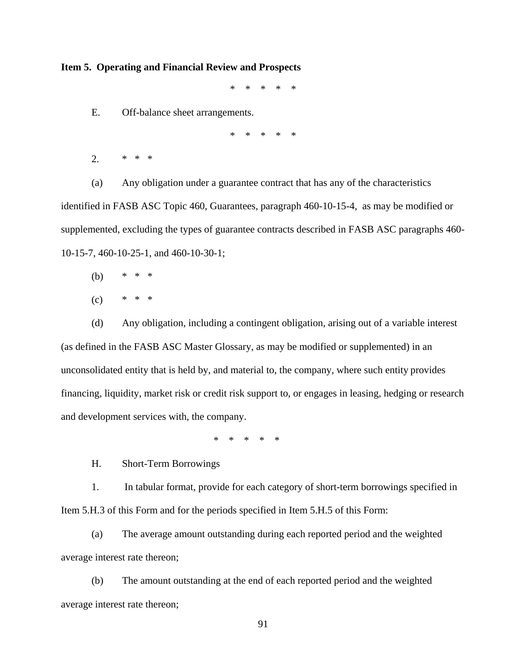#### **Item 5. Operating and Financial Review and Prospects**

\* \* \* \* \*

E. Off-balance sheet arrangements.

\* \* \* \* \*

2. \* \* \*

(a) Any obligation under a guarantee contract that has any of the characteristics identified in FASB ASC Topic 460, Guarantees, paragraph 460-10-15-4, as may be modified or supplemented, excluding the types of guarantee contracts described in FASB ASC paragraphs 460- 10-15-7, 460-10-25-1, and 460-10-30-1;

- $\ast$ (b) \* \* \*
- $(c)$  \* \* \*

(d) Any obligation, including a contingent obligation, arising out of a variable interest (as defined in the FASB ASC Master Glossary, as may be modified or supplemented) in an unconsolidated entity that is held by, and material to, the company, where such entity provides financing, liquidity, market risk or credit risk support to, or engages in leasing, hedging or research and development services with, the company.

\* \* \* \* \*

H. Short-Term Borrowings

1. In tabular format, provide for each category of short-term borrowings specified in Item 5.H.3 of this Form and for the periods specified in Item 5.H.5 of this Form:

(a) The average amount outstanding during each reported period and the weighted average interest rate thereon;

(b) The amount outstanding at the end of each reported period and the weighted average interest rate thereon;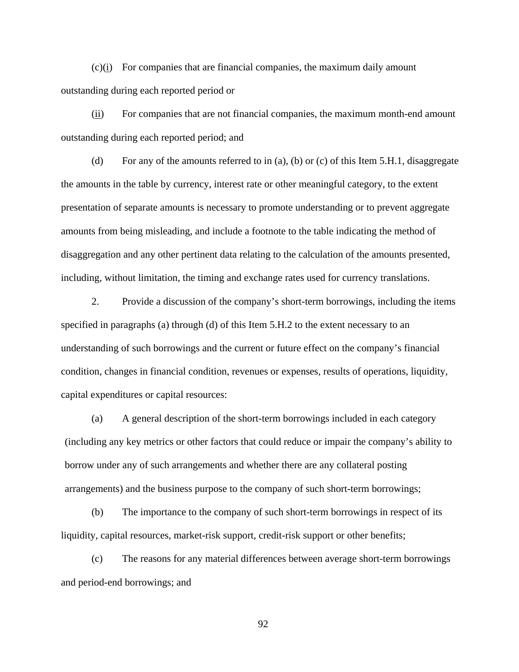(c)(i) For companies that are financial companies, the maximum daily amount outstanding during each reported period or

(ii) For companies that are not financial companies, the maximum month-end amount outstanding during each reported period; and

(d) For any of the amounts referred to in (a), (b) or (c) of this Item 5.H.1, disaggregate the amounts in the table by currency, interest rate or other meaningful category, to the extent presentation of separate amounts is necessary to promote understanding or to prevent aggregate amounts from being misleading, and include a footnote to the table indicating the method of disaggregation and any other pertinent data relating to the calculation of the amounts presented, including, without limitation, the timing and exchange rates used for currency translations.

2. Provide a discussion of the company's short-term borrowings, including the items specified in paragraphs (a) through (d) of this Item 5.H.2 to the extent necessary to an understanding of such borrowings and the current or future effect on the company's financial condition, changes in financial condition, revenues or expenses, results of operations, liquidity, capital expenditures or capital resources:

(a) A general description of the short-term borrowings included in each category (including any key metrics or other factors that could reduce or impair the company's ability to borrow under any of such arrangements and whether there are any collateral posting arrangements) and the business purpose to the company of such short-term borrowings;

(b) The importance to the company of such short-term borrowings in respect of its liquidity, capital resources, market-risk support, credit-risk support or other benefits;

(c) The reasons for any material differences between average short-term borrowings and period-end borrowings; and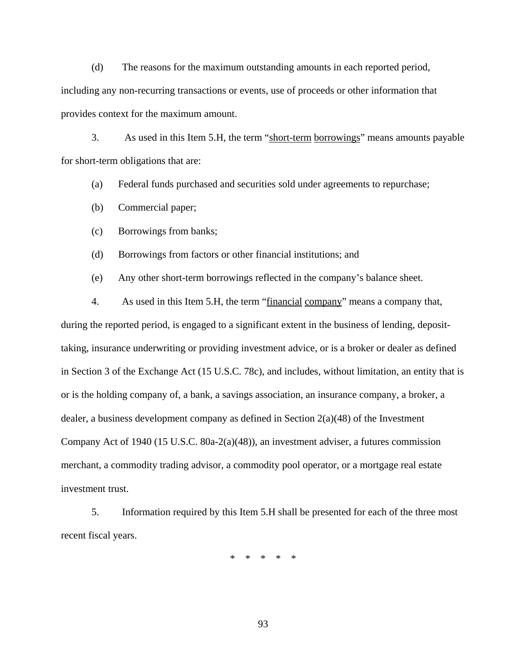(d) The reasons for the maximum outstanding amounts in each reported period, including any non-recurring transactions or events, use of proceeds or other information that provides context for the maximum amount.

3. As used in this Item 5.H, the term "short-term borrowings" means amounts payable for short-term obligations that are:

(a) Federal funds purchased and securities sold under agreements to repurchase;

(b) Commercial paper;

(c) Borrowings from banks;

(d) Borrowings from factors or other financial institutions; and

(e) Any other short-term borrowings reflected in the company's balance sheet.

4. As used in this Item 5.H, the term "financial company" means a company that, during the reported period, is engaged to a significant extent in the business of lending, deposittaking, insurance underwriting or providing investment advice, or is a broker or dealer as defined in Section 3 of the Exchange Act (15 U.S.C. 78c), and includes, without limitation, an entity that is or is the holding company of, a bank, a savings association, an insurance company, a broker, a dealer, a business development company as defined in Section 2(a)(48) of the Investment Company Act of 1940 (15 U.S.C. 80a-2(a)(48)), an investment adviser, a futures commission merchant, a commodity trading advisor, a commodity pool operator, or a mortgage real estate investment trust.

5. Information required by this Item 5.H shall be presented for each of the three most recent fiscal years.

> $\mathbf{e}$ \* \* \* \* \*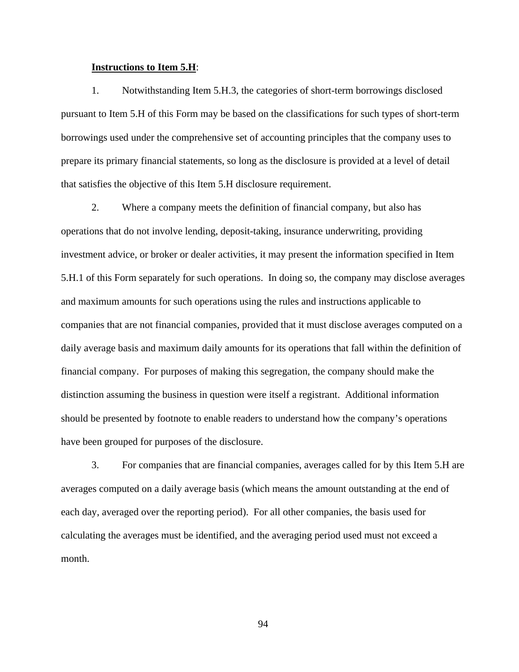#### **Instructions to Item 5.H**:

1. Notwithstanding Item 5.H.3, the categories of short-term borrowings disclosed pursuant to Item 5.H of this Form may be based on the classifications for such types of short-term borrowings used under the comprehensive set of accounting principles that the company uses to prepare its primary financial statements, so long as the disclosure is provided at a level of detail that satisfies the objective of this Item 5.H disclosure requirement.

2. Where a company meets the definition of financial company, but also has operations that do not involve lending, deposit-taking, insurance underwriting, providing investment advice, or broker or dealer activities, it may present the information specified in Item 5.H.1 of this Form separately for such operations. In doing so, the company may disclose averages and maximum amounts for such operations using the rules and instructions applicable to companies that are not financial companies, provided that it must disclose averages computed on a daily average basis and maximum daily amounts for its operations that fall within the definition of financial company. For purposes of making this segregation, the company should make the distinction assuming the business in question were itself a registrant. Additional information should be presented by footnote to enable readers to understand how the company's operations have been grouped for purposes of the disclosure.

3. For companies that are financial companies, averages called for by this Item 5.H are averages computed on a daily average basis (which means the amount outstanding at the end of each day, averaged over the reporting period). For all other companies, the basis used for calculating the averages must be identified, and the averaging period used must not exceed a month.